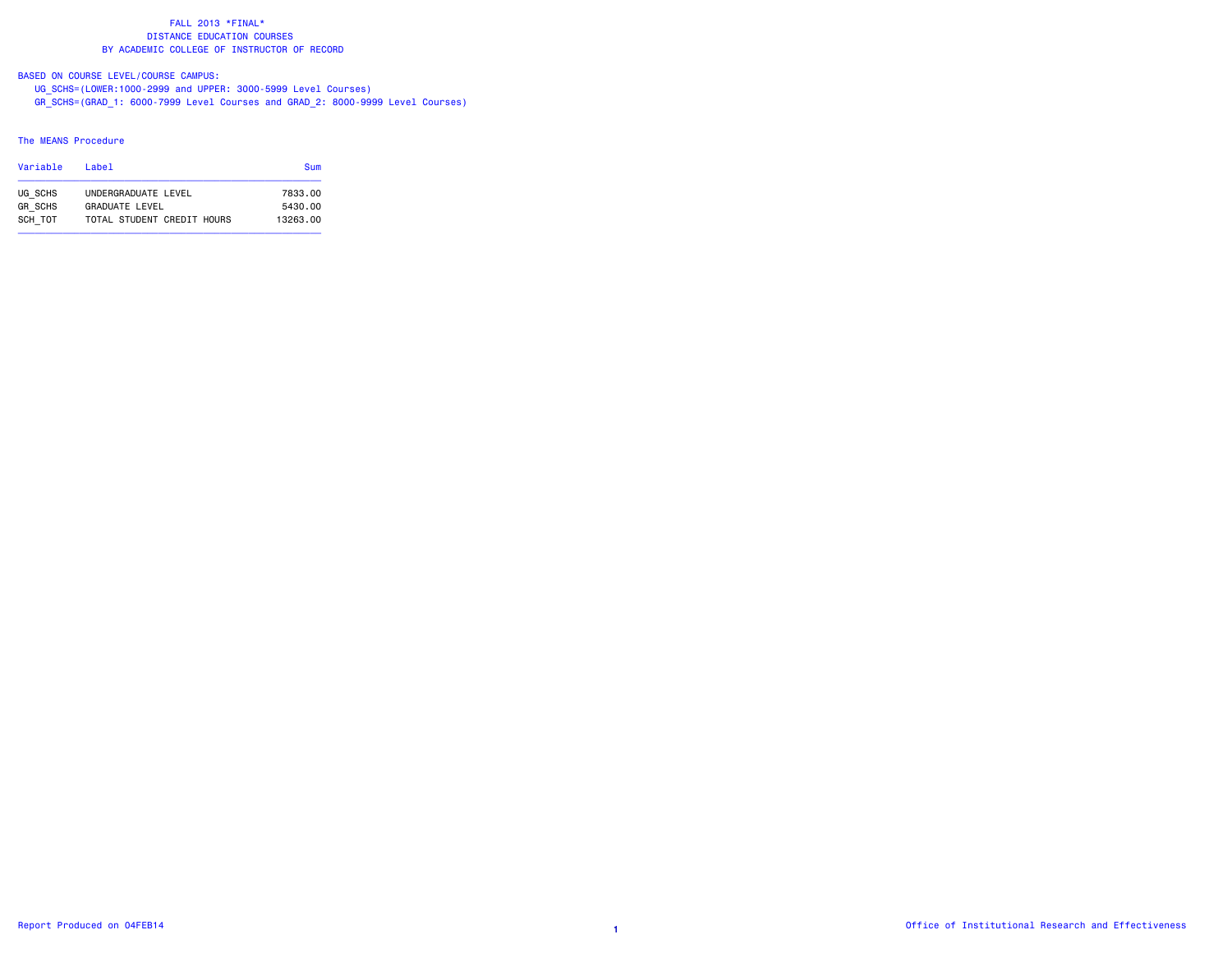# BASED ON COURSE LEVEL/COURSE CAMPUS:

 UG\_SCHS=(LOWER:1000-2999 and UPPER: 3000-5999 Level Courses) GR\_SCHS=(GRAD\_1: 6000-7999 Level Courses and GRAD\_2: 8000-9999 Level Courses)

### The MEANS Procedure

| Variable       | l ahel                     | Sum      |
|----------------|----------------------------|----------|
| UG SCHS        | UNDERGRADUATE LEVEL        | 7833.00  |
| <b>GR SCHS</b> | GRADUATE LEVEL             | 5430.00  |
| SCH TOT        | TOTAL STUDENT CREDIT HOURS | 13263.00 |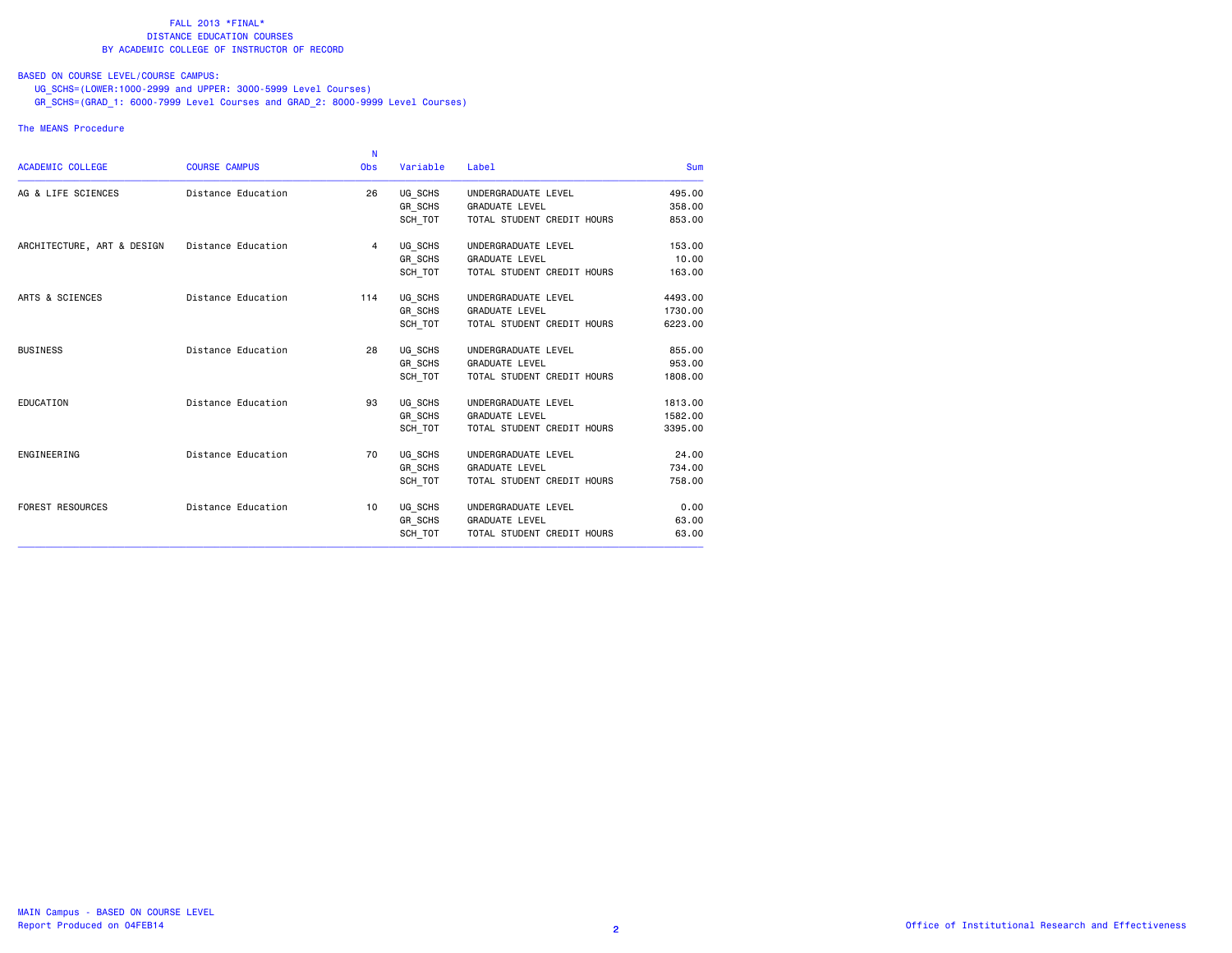# BASED ON COURSE LEVEL/COURSE CAMPUS:

UG\_SCHS=(LOWER:1000-2999 and UPPER: 3000-5999 Level Courses)

GR\_SCHS=(GRAD\_1: 6000-7999 Level Courses and GRAD\_2: 8000-9999 Level Courses)

### The MEANS Procedure

|                            |                      | -N         |          |                            |            |
|----------------------------|----------------------|------------|----------|----------------------------|------------|
| <b>ACADEMIC COLLEGE</b>    | <b>COURSE CAMPUS</b> | <b>Obs</b> | Variable | <b>Label</b>               | <b>Sum</b> |
| AG & LIFE SCIENCES         | Distance Education   | 26         | UG SCHS  | UNDERGRADUATE LEVEL        | 495.00     |
|                            |                      |            | GR SCHS  | <b>GRADUATE LEVEL</b>      | 358,00     |
|                            |                      |            | SCH_TOT  | TOTAL STUDENT CREDIT HOURS | 853.00     |
| ARCHITECTURE, ART & DESIGN | Distance Education   | 4          | UG SCHS  | UNDERGRADUATE LEVEL        | 153.00     |
|                            |                      |            | GR SCHS  | <b>GRADUATE LEVEL</b>      | 10.00      |
|                            |                      |            | SCH_TOT  | TOTAL STUDENT CREDIT HOURS | 163.00     |
| ARTS & SCIENCES            | Distance Education   | 114        | UG SCHS  | UNDERGRADUATE LEVEL        | 4493.00    |
|                            |                      |            | GR SCHS  | <b>GRADUATE LEVEL</b>      | 1730.00    |
|                            |                      |            | SCH TOT  | TOTAL STUDENT CREDIT HOURS | 6223.00    |
| <b>BUSINESS</b>            | Distance Education   | 28         | UG SCHS  | UNDERGRADUATE LEVEL        | 855.00     |
|                            |                      |            | GR SCHS  | <b>GRADUATE LEVEL</b>      | 953.00     |
|                            |                      |            | SCH TOT  | TOTAL STUDENT CREDIT HOURS | 1808,00    |
| EDUCATION                  | Distance Education   | 93         | UG SCHS  | UNDERGRADUATE LEVEL        | 1813,00    |
|                            |                      |            | GR SCHS  | <b>GRADUATE LEVEL</b>      | 1582.00    |
|                            |                      |            | SCH TOT  | TOTAL STUDENT CREDIT HOURS | 3395.00    |
| ENGINEERING                | Distance Education   | 70         | UG SCHS  | UNDERGRADUATE LEVEL        | 24.00      |
|                            |                      |            | GR SCHS  | <b>GRADUATE LEVEL</b>      | 734.00     |
|                            |                      |            | SCH TOT  | TOTAL STUDENT CREDIT HOURS | 758,00     |
| <b>FOREST RESOURCES</b>    | Distance Education   | 10         | UG SCHS  | UNDERGRADUATE LEVEL        | 0.00       |
|                            |                      |            | GR_SCHS  | <b>GRADUATE LEVEL</b>      | 63.00      |
|                            |                      |            | SCH TOT  | TOTAL STUDENT CREDIT HOURS | 63.00      |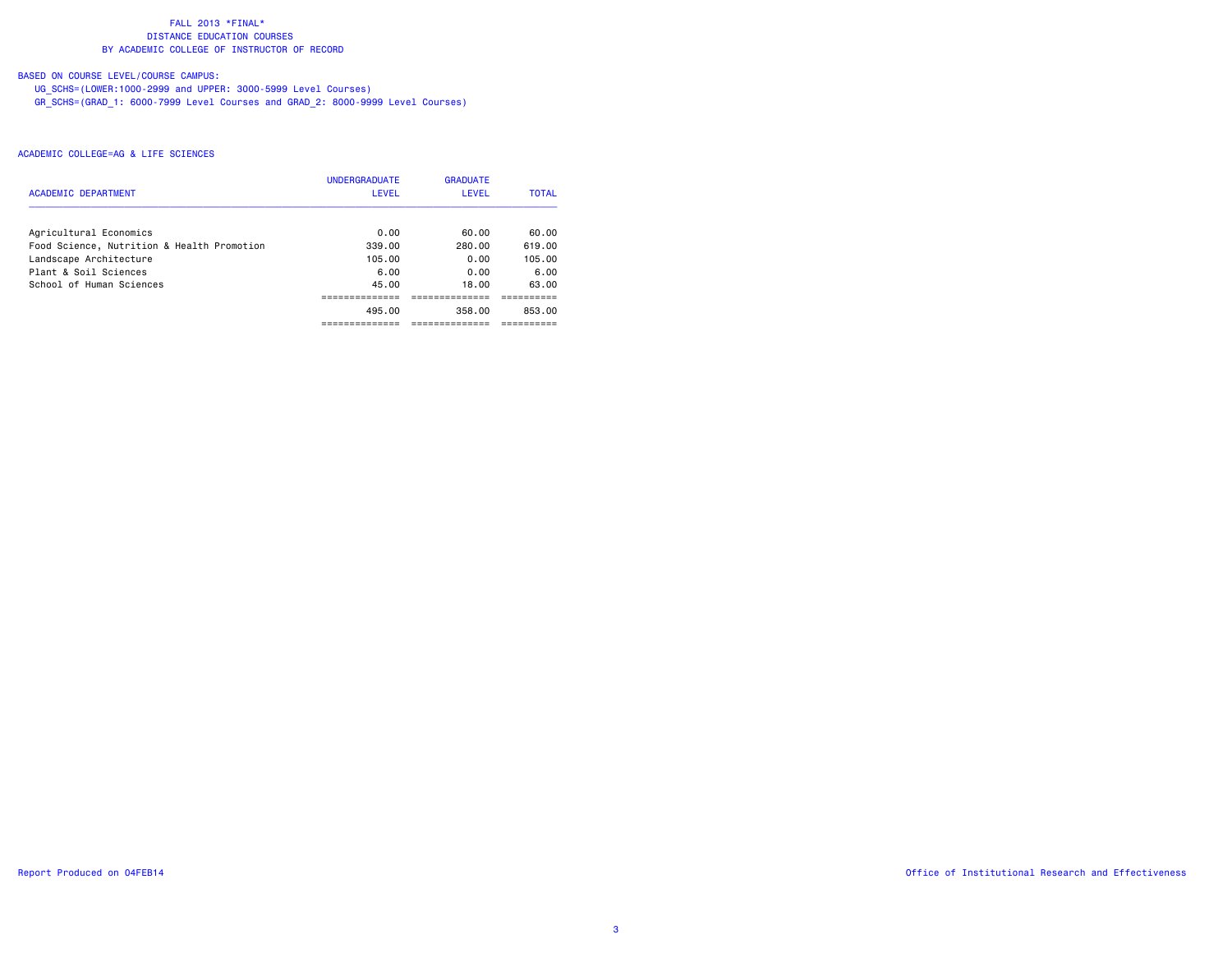# BASED ON COURSE LEVEL/COURSE CAMPUS:

UG\_SCHS=(LOWER:1000-2999 and UPPER: 3000-5999 Level Courses)

GR\_SCHS=(GRAD\_1: 6000-7999 Level Courses and GRAD\_2: 8000-9999 Level Courses)

| <b>ACADEMIC DEPARTMENT</b>                 | <b>UNDERGRADUATE</b><br><b>LEVEL</b> | <b>GRADUATE</b><br>LEVEL | <b>TOTAL</b> |
|--------------------------------------------|--------------------------------------|--------------------------|--------------|
| Agricultural Economics                     | 0.00                                 | 60.00                    | 60.00        |
| Food Science, Nutrition & Health Promotion | 339.00                               | 280.00                   | 619.00       |
| Landscape Architecture                     | 105.00                               | 0.00                     | 105.00       |
| Plant & Soil Sciences                      | 6.00                                 | 0.00                     | 6.00         |
| School of Human Sciences                   | 45.00                                | 18.00                    | 63.00        |
|                                            |                                      |                          |              |
|                                            | 495.00                               | 358.00                   | 853.00       |
|                                            |                                      |                          |              |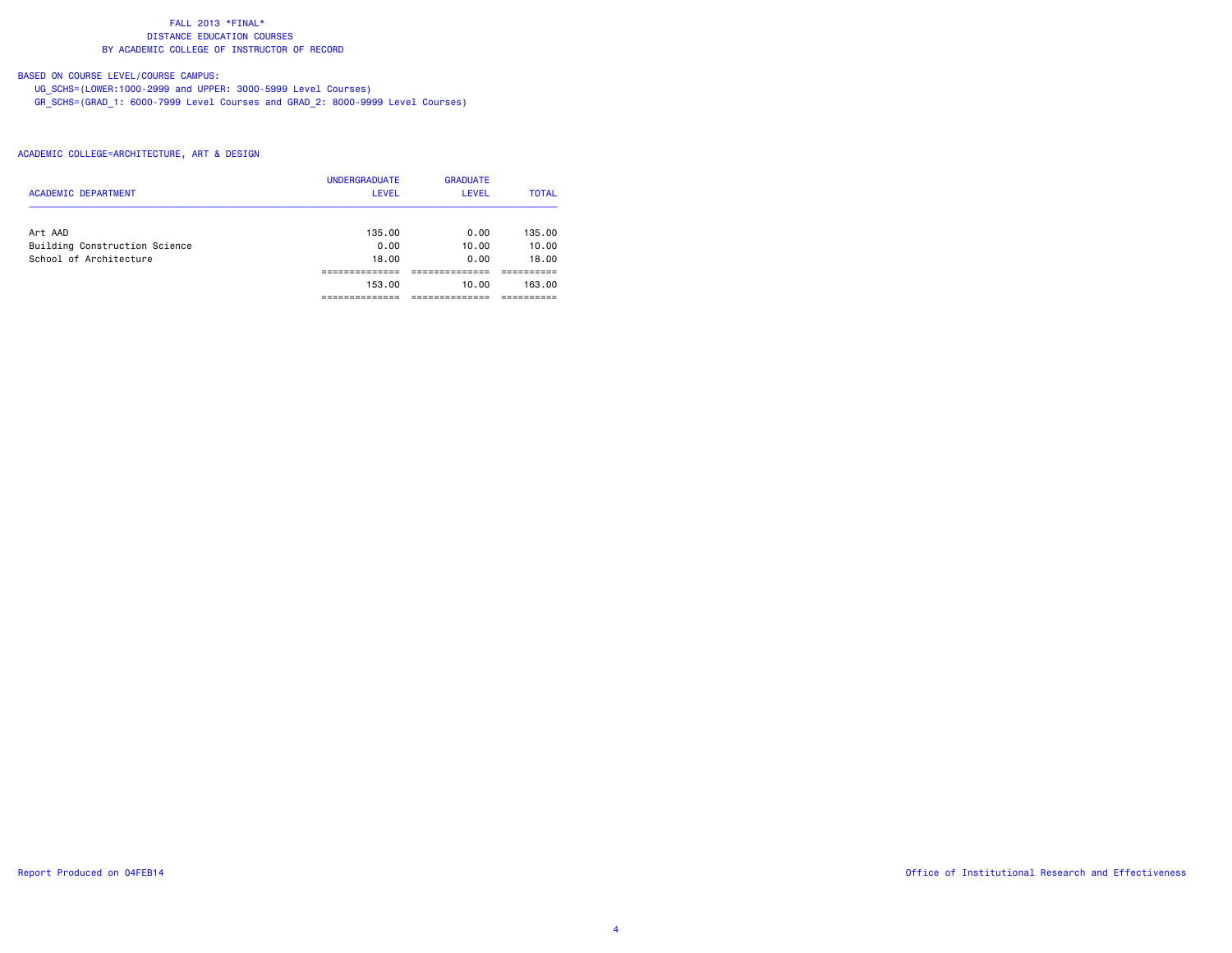# BASED ON COURSE LEVEL/COURSE CAMPUS:

UG\_SCHS=(LOWER:1000-2999 and UPPER: 3000-5999 Level Courses)

GR\_SCHS=(GRAD\_1: 6000-7999 Level Courses and GRAD\_2: 8000-9999 Level Courses)

| <b>ACADEMIC DEPARTMENT</b>    | <b>UNDERGRADUATE</b><br><b>LEVEL</b> | <b>GRADUATE</b><br>LEVEL | <b>TOTAL</b> |
|-------------------------------|--------------------------------------|--------------------------|--------------|
| Art AAD                       | 135.00                               | 0.00                     | 135.00       |
| Building Construction Science | 0.00                                 | 10.00                    | 10.00        |
| School of Architecture        | 18,00                                | 0.00                     | 18.00        |
|                               |                                      |                          |              |
|                               | 153.00                               | 10.00                    | 163.00       |
|                               |                                      |                          |              |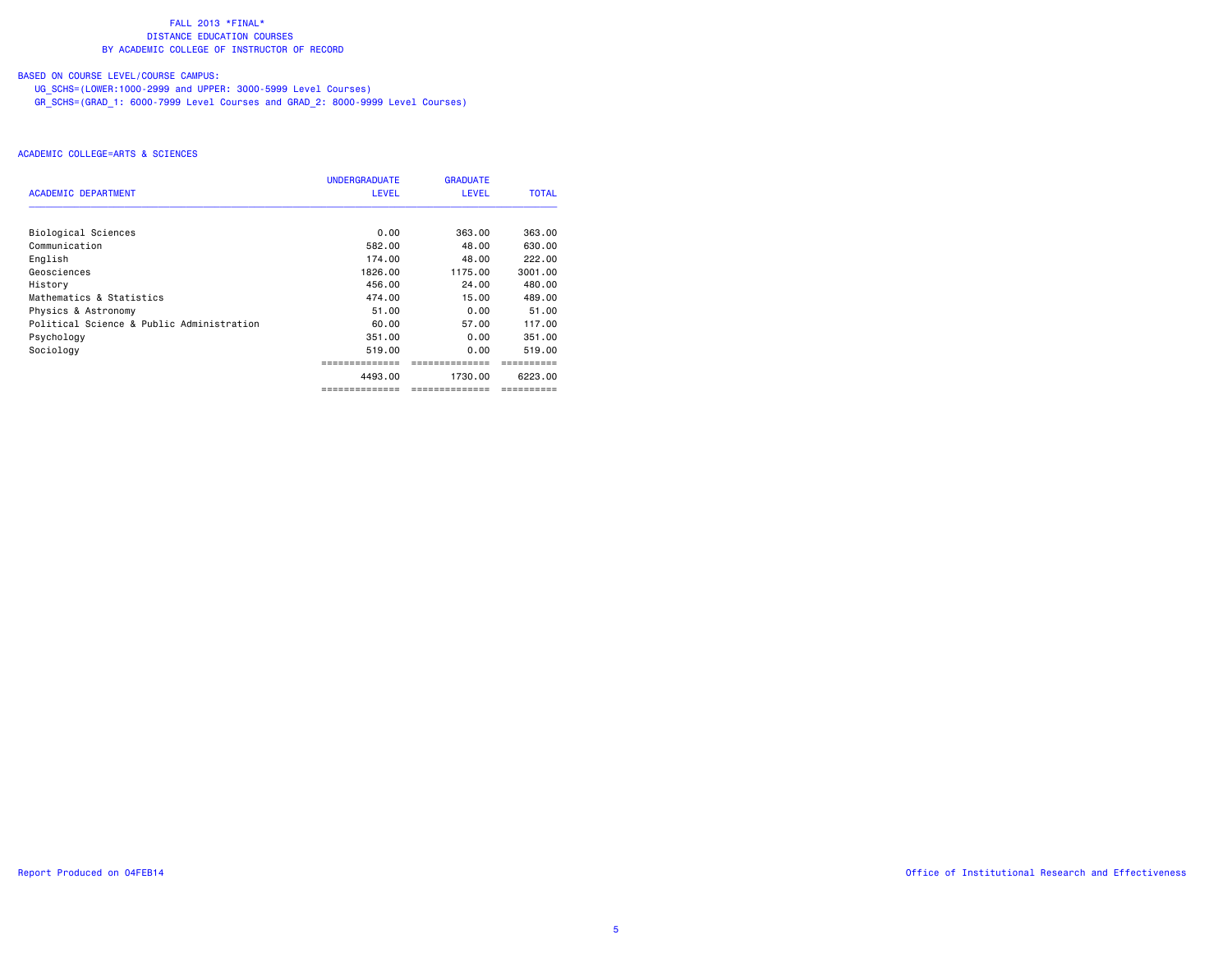# BASED ON COURSE LEVEL/COURSE CAMPUS:

UG\_SCHS=(LOWER:1000-2999 and UPPER: 3000-5999 Level Courses)

GR\_SCHS=(GRAD\_1: 6000-7999 Level Courses and GRAD\_2: 8000-9999 Level Courses)

|                                           | <b>UNDERGRADUATE</b> | <b>GRADUATE</b> |              |
|-------------------------------------------|----------------------|-----------------|--------------|
| <b>ACADEMIC DEPARTMENT</b>                | <b>LEVEL</b>         | <b>LEVEL</b>    | <b>TOTAL</b> |
| Biological Sciences                       | 0.00                 | 363.00          | 363.00       |
| Communication                             | 582.00               | 48.00           | 630.00       |
| English                                   | 174.00               | 48.00           | 222.00       |
| Geosciences                               | 1826.00              | 1175.00         | 3001.00      |
| History                                   | 456.00               | 24.00           | 480.00       |
| Mathematics & Statistics                  | 474.00               | 15.00           | 489.00       |
| Physics & Astronomy                       | 51.00                | 0.00            | 51.00        |
| Political Science & Public Administration | 60.00                | 57.00           | 117.00       |
| Psychology                                | 351.00               | 0.00            | 351.00       |
| Sociology                                 | 519.00               | 0.00            | 519.00       |
|                                           |                      |                 |              |
|                                           | 4493.00              | 1730.00         | 6223.00      |
|                                           | ==============       | =============   | ==========   |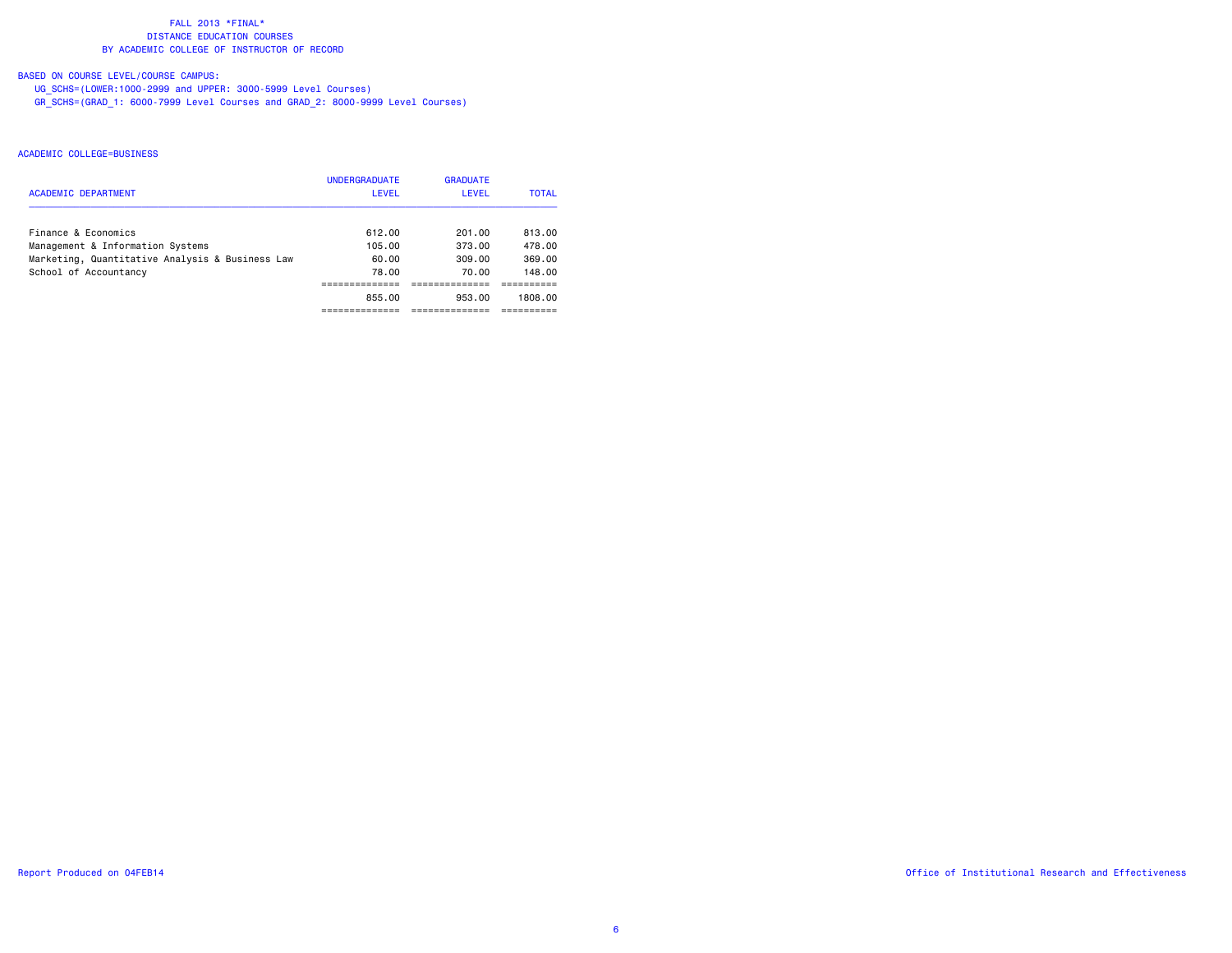# BASED ON COURSE LEVEL/COURSE CAMPUS:

UG\_SCHS=(LOWER:1000-2999 and UPPER: 3000-5999 Level Courses)

GR\_SCHS=(GRAD\_1: 6000-7999 Level Courses and GRAD\_2: 8000-9999 Level Courses)

| ACADEMIC DEPARTMENT                             | <b>UNDERGRADUATE</b><br>LEVEL | <b>GRADUATE</b><br>LEVEL | <b>TOTAL</b> |
|-------------------------------------------------|-------------------------------|--------------------------|--------------|
| Finance & Economics                             | 612.00                        | 201.00                   | 813.00       |
| Management & Information Systems                | 105.00                        | 373.00                   | 478.00       |
| Marketing, Quantitative Analysis & Business Law | 60.00                         | 309.00                   | 369.00       |
| School of Accountancy                           | 78.00                         | 70.00                    | 148.00       |
|                                                 |                               |                          |              |
|                                                 | 855.00                        | 953.00                   | 1808.00      |
|                                                 |                               |                          |              |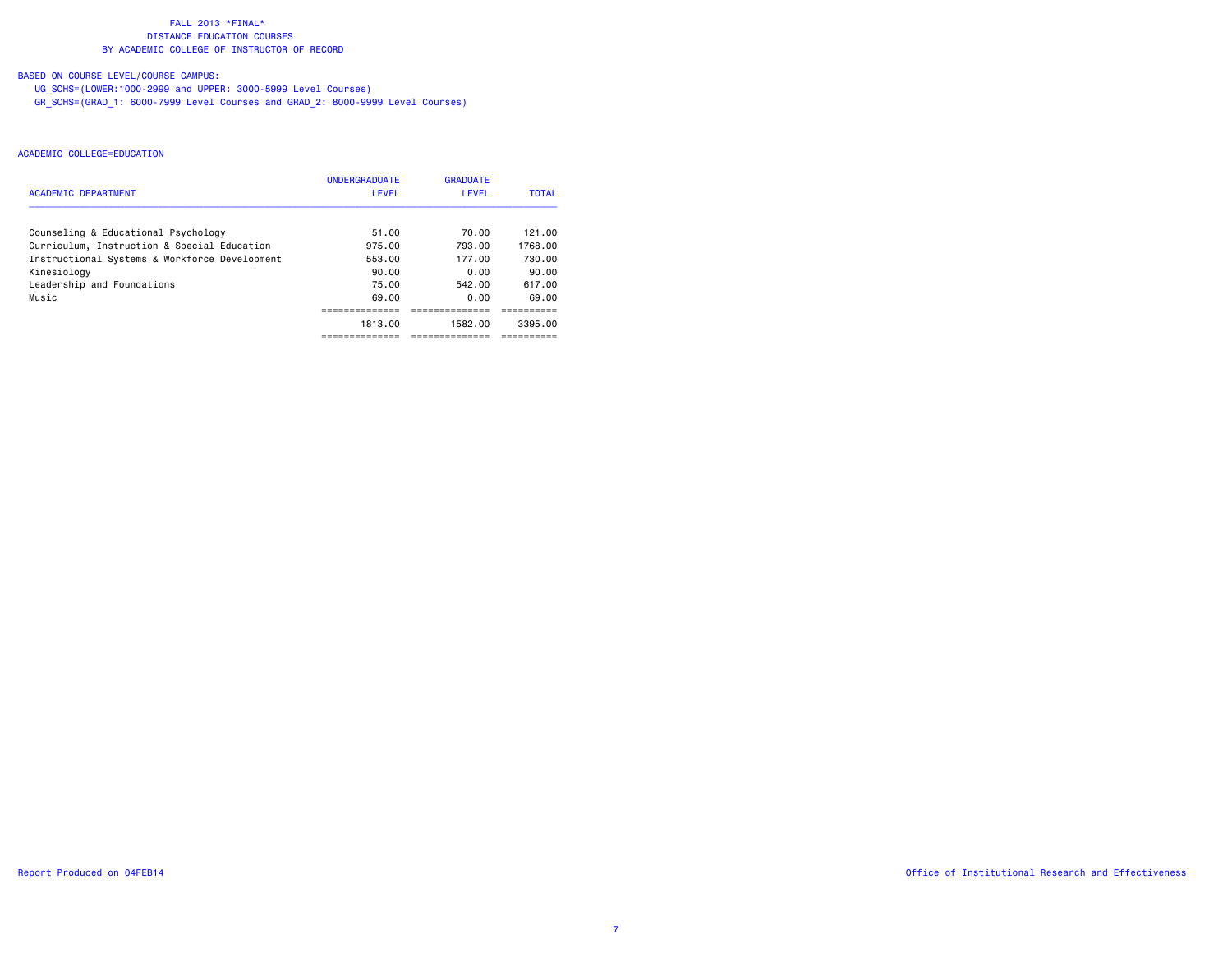# BASED ON COURSE LEVEL/COURSE CAMPUS:

UG\_SCHS=(LOWER:1000-2999 and UPPER: 3000-5999 Level Courses)

GR\_SCHS=(GRAD\_1: 6000-7999 Level Courses and GRAD\_2: 8000-9999 Level Courses)

|                                               | <b>UNDERGRADUATE</b> | <b>GRADUATE</b> |              |
|-----------------------------------------------|----------------------|-----------------|--------------|
| <b>ACADEMIC DEPARTMENT</b>                    | <b>LEVEL</b>         | <b>LEVEL</b>    | <b>TOTAL</b> |
| Counseling & Educational Psychology           | 51.00                | 70.00           | 121.00       |
| Curriculum, Instruction & Special Education   | 975.00               | 793.00          | 1768.00      |
| Instructional Systems & Workforce Development | 553.00               | 177.00          | 730.00       |
| Kinesiology                                   | 90.00                | 0.00            | 90.00        |
| Leadership and Foundations                    | 75.00                | 542.00          | 617.00       |
| Music                                         | 69.00                | 0.00            | 69.00        |
|                                               |                      |                 |              |
|                                               | 1813.00              | 1582.00         | 3395.00      |
|                                               |                      |                 |              |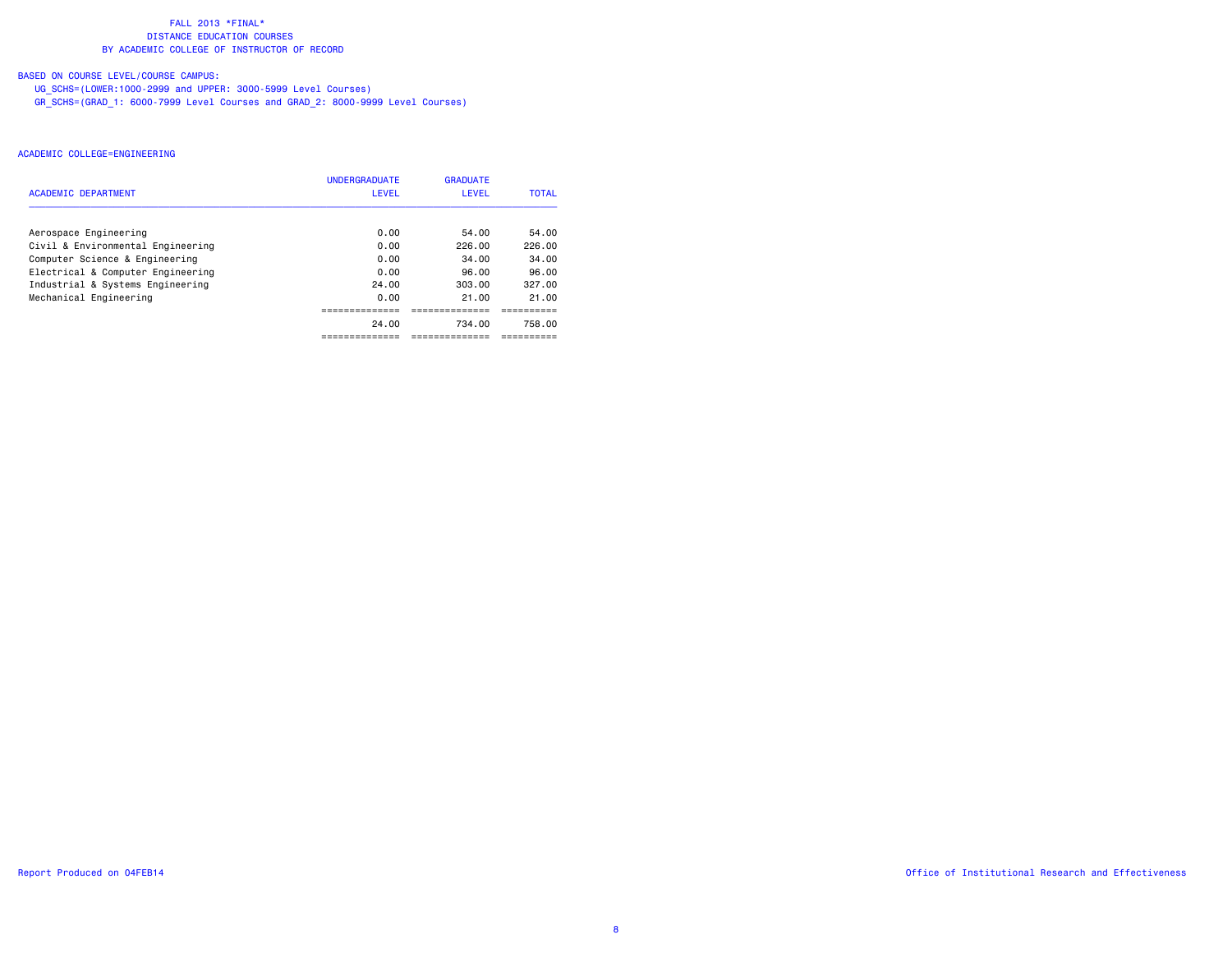# BASED ON COURSE LEVEL/COURSE CAMPUS:

UG\_SCHS=(LOWER:1000-2999 and UPPER: 3000-5999 Level Courses)

GR\_SCHS=(GRAD\_1: 6000-7999 Level Courses and GRAD\_2: 8000-9999 Level Courses)

|                                   | <b>UNDERGRADUATE</b> | <b>GRADUATE</b> |              |
|-----------------------------------|----------------------|-----------------|--------------|
| <b>ACADEMIC DEPARTMENT</b>        | LEVEL                | <b>LEVEL</b>    | <b>TOTAL</b> |
| Aerospace Engineering             | 0.00                 | 54.00           | 54.00        |
| Civil & Environmental Engineering | 0.00                 | 226.00          | 226.00       |
| Computer Science & Engineering    | 0.00                 | 34.00           | 34.00        |
| Electrical & Computer Engineering | 0.00                 | 96.00           | 96.00        |
| Industrial & Systems Engineering  | 24.00                | 303.00          | 327.00       |
| Mechanical Engineering            | 0.00                 | 21.00           | 21.00        |
|                                   |                      |                 |              |
|                                   | 24.00                | 734.00          | 758.00       |
|                                   |                      |                 |              |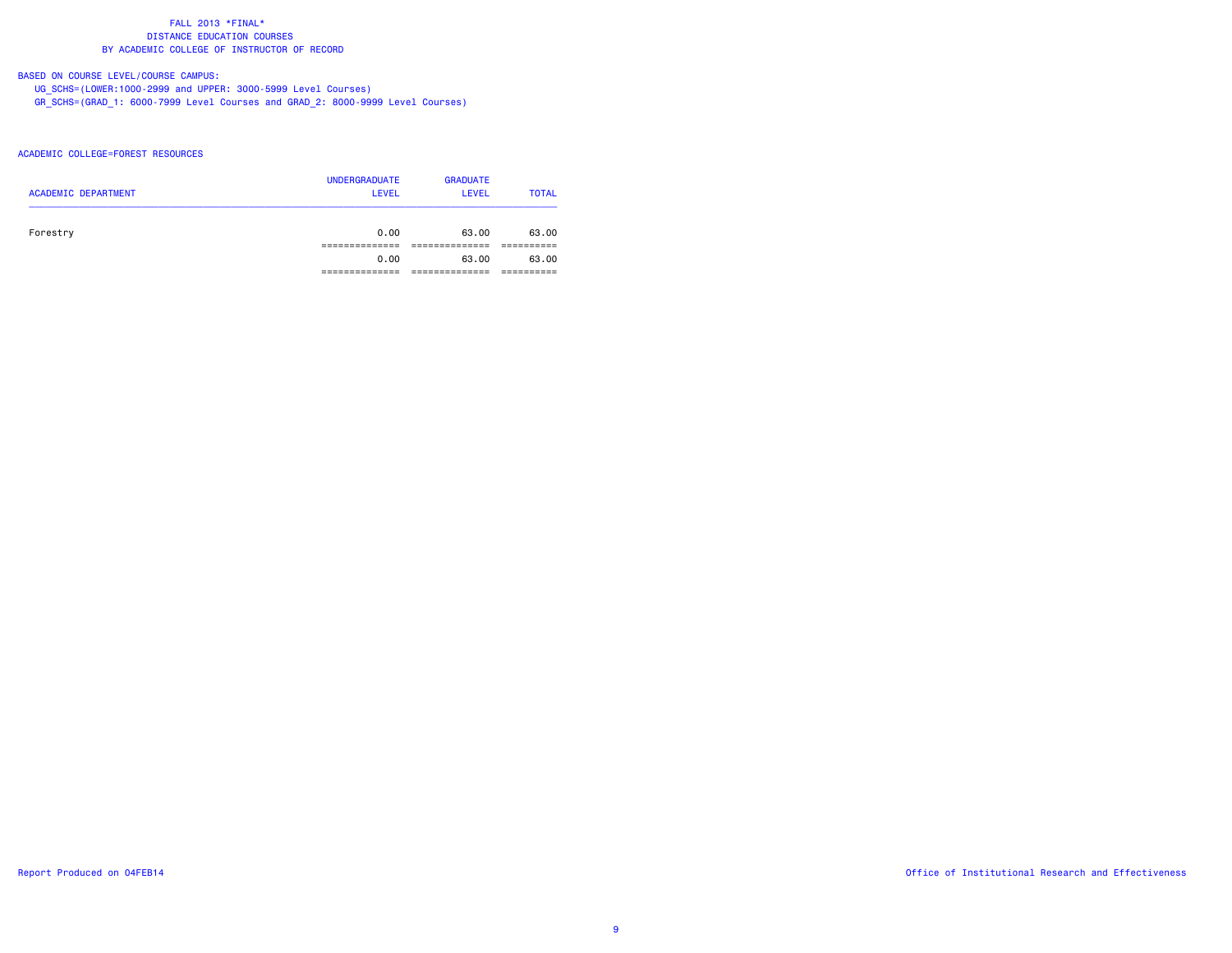# BASED ON COURSE LEVEL/COURSE CAMPUS:

UG\_SCHS=(LOWER:1000-2999 and UPPER: 3000-5999 Level Courses)

GR\_SCHS=(GRAD\_1: 6000-7999 Level Courses and GRAD\_2: 8000-9999 Level Courses)

### ACADEMIC COLLEGE=FOREST RESOURCES

| <b>ACADEMIC DEPARTMENT</b> | <b>UNDERGRADUATE</b><br><b>LEVEL</b> | <b>GRADUATE</b><br><b>LEVEL</b> | <b>TOTAL</b> |
|----------------------------|--------------------------------------|---------------------------------|--------------|
| Forestry                   | 0.00                                 | 63.00                           | 63.00        |
|                            |                                      |                                 |              |
|                            | 0.00                                 | 63.00                           | 63.00        |
|                            |                                      |                                 |              |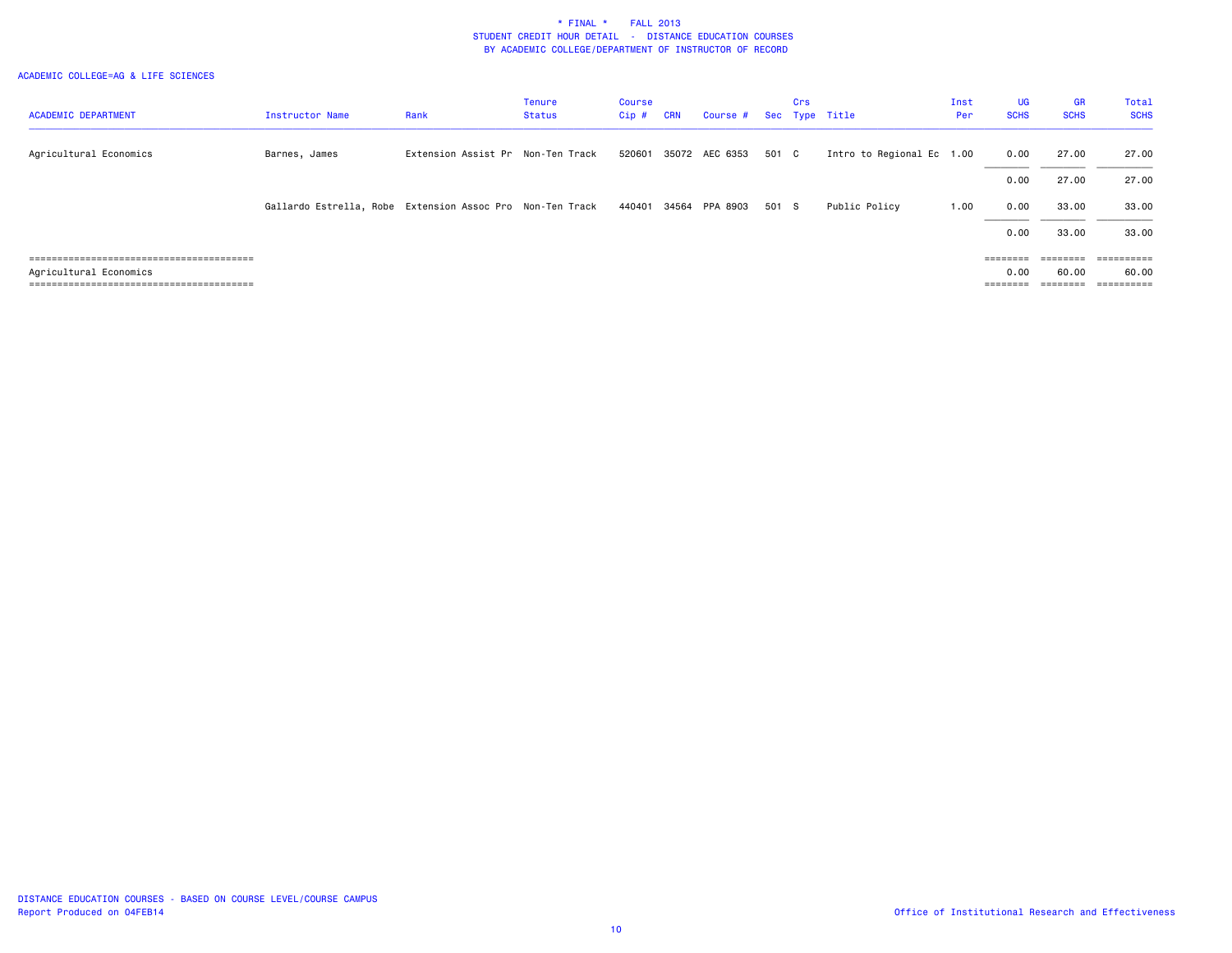|                                  |                                                           |                                   | <b>Tenure</b> | Course  |            |                         |       | Crs |                           | Inst | <b>UG</b>   | <b>GR</b>   | Total       |
|----------------------------------|-----------------------------------------------------------|-----------------------------------|---------------|---------|------------|-------------------------|-------|-----|---------------------------|------|-------------|-------------|-------------|
| <b>ACADEMIC DEPARTMENT</b>       | <b>Instructor Name</b>                                    | Rank                              | Status        | $Cip$ # | <b>CRN</b> | Course # Sec Type Title |       |     |                           | Per  | <b>SCHS</b> | <b>SCHS</b> | <b>SCHS</b> |
|                                  |                                                           |                                   |               |         |            |                         |       |     |                           |      |             |             |             |
| Agricultural Economics           | Barnes, James                                             | Extension Assist Pr Non-Ten Track |               | 520601  |            | 35072 AEC 6353          | 501 C |     | Intro to Regional Ec 1.00 |      | 0.00        | 27.00       | 27.00       |
|                                  |                                                           |                                   |               |         |            |                         |       |     |                           |      |             |             |             |
|                                  |                                                           |                                   |               |         |            |                         |       |     |                           |      | 0.00        | 27.00       | 27.00       |
|                                  | Gallardo Estrella, Robe Extension Assoc Pro Non-Ten Track |                                   |               | 440401  | 34564      | PPA 8903                | 501 S |     | Public Policy             | 1.00 | 0.00        | 33.00       | 33.00       |
|                                  |                                                           |                                   |               |         |            |                         |       |     |                           |      | 0.00        | 33.00       | 33.00       |
|                                  |                                                           |                                   |               |         |            |                         |       |     |                           |      |             |             |             |
|                                  |                                                           |                                   |               |         |            |                         |       |     |                           |      | ========    |             |             |
| Agricultural Economics           |                                                           |                                   |               |         |            |                         |       |     |                           |      | 0.00        | 60.00       | 60.00       |
| ================================ |                                                           |                                   |               |         |            |                         |       |     |                           |      | =======     | ========    | ==========  |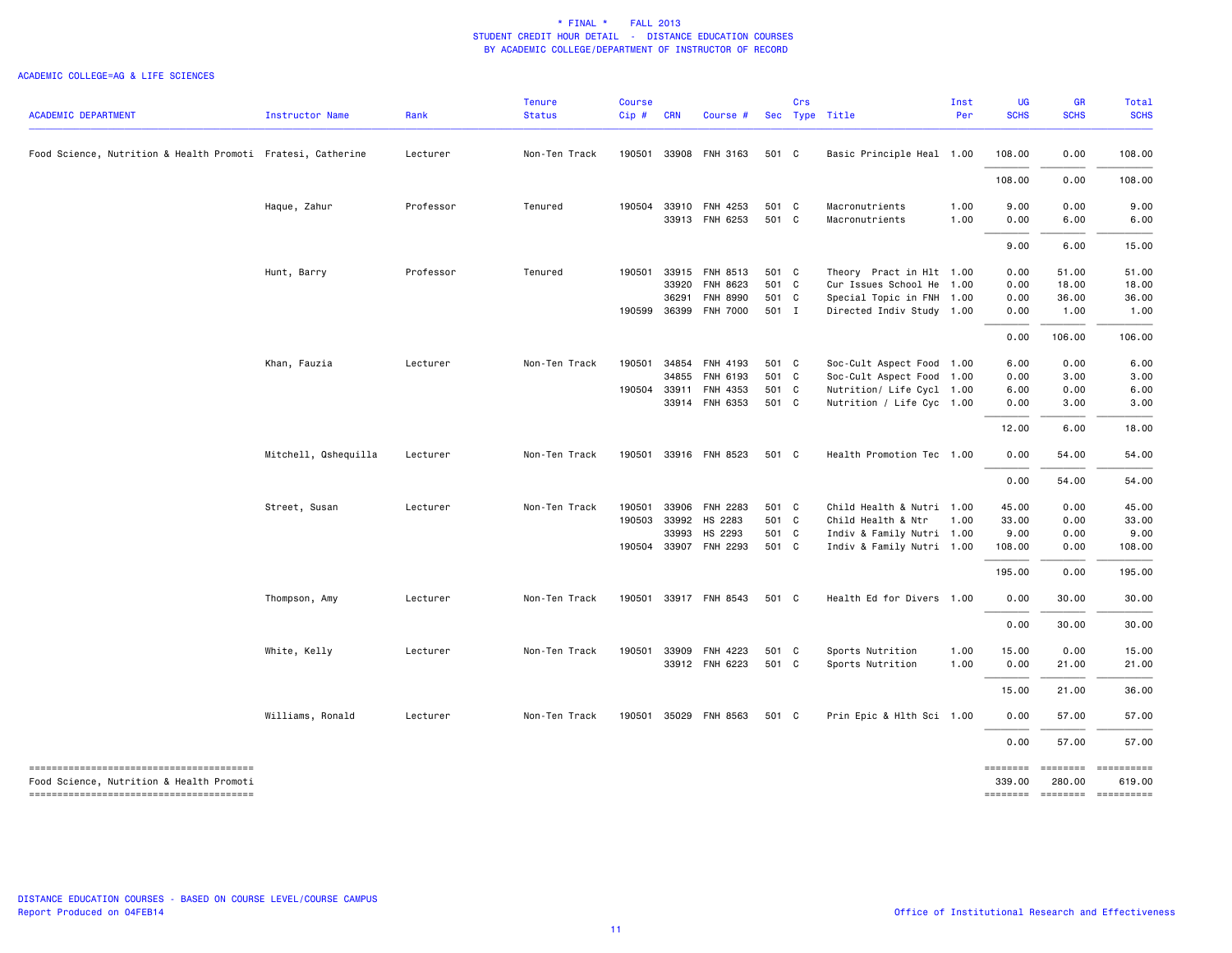| <b>ACADEMIC DEPARTMENT</b>                                  | Instructor Name      | Rank      | <b>Tenure</b><br><b>Status</b> | <b>Course</b><br>Cip# | <b>CRN</b> | Course #              |       | Crs | Sec Type Title            | Inst<br>Per | UG<br><b>SCHS</b>  | <b>GR</b><br><b>SCHS</b>    | Total<br><b>SCHS</b> |
|-------------------------------------------------------------|----------------------|-----------|--------------------------------|-----------------------|------------|-----------------------|-------|-----|---------------------------|-------------|--------------------|-----------------------------|----------------------|
|                                                             |                      |           |                                |                       |            |                       |       |     |                           |             |                    |                             |                      |
| Food Science, Nutrition & Health Promoti Fratesi, Catherine |                      | Lecturer  | Non-Ten Track                  | 190501                |            | 33908 FNH 3163        | 501 C |     | Basic Principle Heal 1.00 |             | 108.00             | 0.00                        | 108.00               |
|                                                             |                      |           |                                |                       |            |                       |       |     |                           |             | 108.00             | 0.00                        | 108.00               |
|                                                             | Haque, Zahur         | Professor | Tenured                        | 190504                |            | 33910 FNH 4253        | 501 C |     | Macronutrients            | 1.00        | 9.00               | 0.00                        | 9.00                 |
|                                                             |                      |           |                                |                       |            | 33913 FNH 6253        | 501 C |     | Macronutrients            | 1.00        | 0.00               | 6.00                        | 6.00                 |
|                                                             |                      |           |                                |                       |            |                       |       |     |                           |             | 9.00               | 6.00                        | 15.00                |
|                                                             | Hunt, Barry          | Professor | Tenured                        | 190501                | 33915      | FNH 8513              | 501 C |     | Theory Pract in Hlt 1.00  |             | 0.00               | 51.00                       | 51.00                |
|                                                             |                      |           |                                |                       | 33920      | FNH 8623              | 501 C |     | Cur Issues School He 1.00 |             | 0.00               | 18.00                       | 18.00                |
|                                                             |                      |           |                                |                       | 36291      | <b>FNH 8990</b>       | 501 C |     | Special Topic in FNH 1.00 |             | 0.00               | 36.00                       | 36.00                |
|                                                             |                      |           |                                |                       |            | 190599 36399 FNH 7000 | 501 I |     | Directed Indiv Study 1.00 |             | 0.00               | 1.00                        | 1.00                 |
|                                                             |                      |           |                                |                       |            |                       |       |     |                           |             | 0.00               | 106.00                      | 106.00               |
|                                                             | Khan, Fauzia         | Lecturer  | Non-Ten Track                  | 190501                |            | 34854 FNH 4193        | 501 C |     | Soc-Cult Aspect Food 1.00 |             | 6.00               | 0.00                        | 6.00                 |
|                                                             |                      |           |                                |                       | 34855      | FNH 6193              | 501 C |     | Soc-Cult Aspect Food 1.00 |             | 0.00               | 3.00                        | 3.00                 |
|                                                             |                      |           |                                | 190504                | 33911      | FNH 4353              | 501 C |     | Nutrition/ Life Cycl 1.00 |             | 6.00               | 0.00                        | 6.00                 |
|                                                             |                      |           |                                |                       |            | 33914 FNH 6353        | 501 C |     | Nutrition / Life Cyc 1.00 |             | 0.00               | 3.00                        | 3.00                 |
|                                                             |                      |           |                                |                       |            |                       |       |     |                           |             | 12.00              | 6.00                        | 18.00                |
|                                                             | Mitchell, Qshequilla | Lecturer  | Non-Ten Track                  | 190501                |            | 33916 FNH 8523        | 501 C |     | Health Promotion Tec 1.00 |             | 0.00               | 54.00                       | 54.00                |
|                                                             |                      |           |                                |                       |            |                       |       |     |                           |             | 0.00               | 54.00                       | 54.00                |
|                                                             | Street, Susan        | Lecturer  | Non-Ten Track                  | 190501                | 33906      | FNH 2283              | 501 C |     | Child Health & Nutri 1.00 |             | 45.00              | 0.00                        | 45.00                |
|                                                             |                      |           |                                | 190503                | 33992      | HS 2283               | 501 C |     | Child Health & Ntr        | 1.00        | 33.00              | 0.00                        | 33.00                |
|                                                             |                      |           |                                |                       | 33993      | HS 2293               | 501 C |     | Indiv & Family Nutri 1.00 |             | 9.00               | 0.00                        | 9.00                 |
|                                                             |                      |           |                                | 190504                |            | 33907 FNH 2293        | 501 C |     | Indiv & Family Nutri 1.00 |             | 108.00             | 0.00                        | 108.00               |
|                                                             |                      |           |                                |                       |            |                       |       |     |                           |             | 195.00             | 0.00                        | 195.00               |
|                                                             | Thompson, Amy        | Lecturer  | Non-Ten Track                  |                       |            | 190501 33917 FNH 8543 | 501 C |     | Health Ed for Divers 1.00 |             | 0.00               | 30.00                       | 30.00                |
|                                                             |                      |           |                                |                       |            |                       |       |     |                           |             | 0.00               | 30.00                       | 30.00                |
|                                                             | White, Kelly         | Lecturer  | Non-Ten Track                  | 190501                |            | 33909 FNH 4223        | 501 C |     | Sports Nutrition          | 1.00        | 15.00              | 0.00                        | 15.00                |
|                                                             |                      |           |                                |                       |            | 33912 FNH 6223        | 501 C |     | Sports Nutrition          | 1.00        | 0.00               | 21.00                       | 21.00                |
|                                                             |                      |           |                                |                       |            |                       |       |     |                           |             | 15.00              | 21.00                       | 36.00                |
|                                                             | Williams, Ronald     | Lecturer  | Non-Ten Track                  |                       |            | 190501 35029 FNH 8563 | 501 C |     | Prin Epic & Hlth Sci 1.00 |             | 0.00               | 57.00                       | 57.00                |
|                                                             |                      |           |                                |                       |            |                       |       |     |                           |             | 0.00               | 57.00                       | 57.00                |
| Food Science, Nutrition & Health Promoti                    |                      |           |                                |                       |            |                       |       |     |                           |             | ========<br>339.00 | <b>EDEDEDED</b><br>280,00   | 619.00               |
|                                                             |                      |           |                                |                       |            |                       |       |     |                           |             |                    | -------- -------- --------- |                      |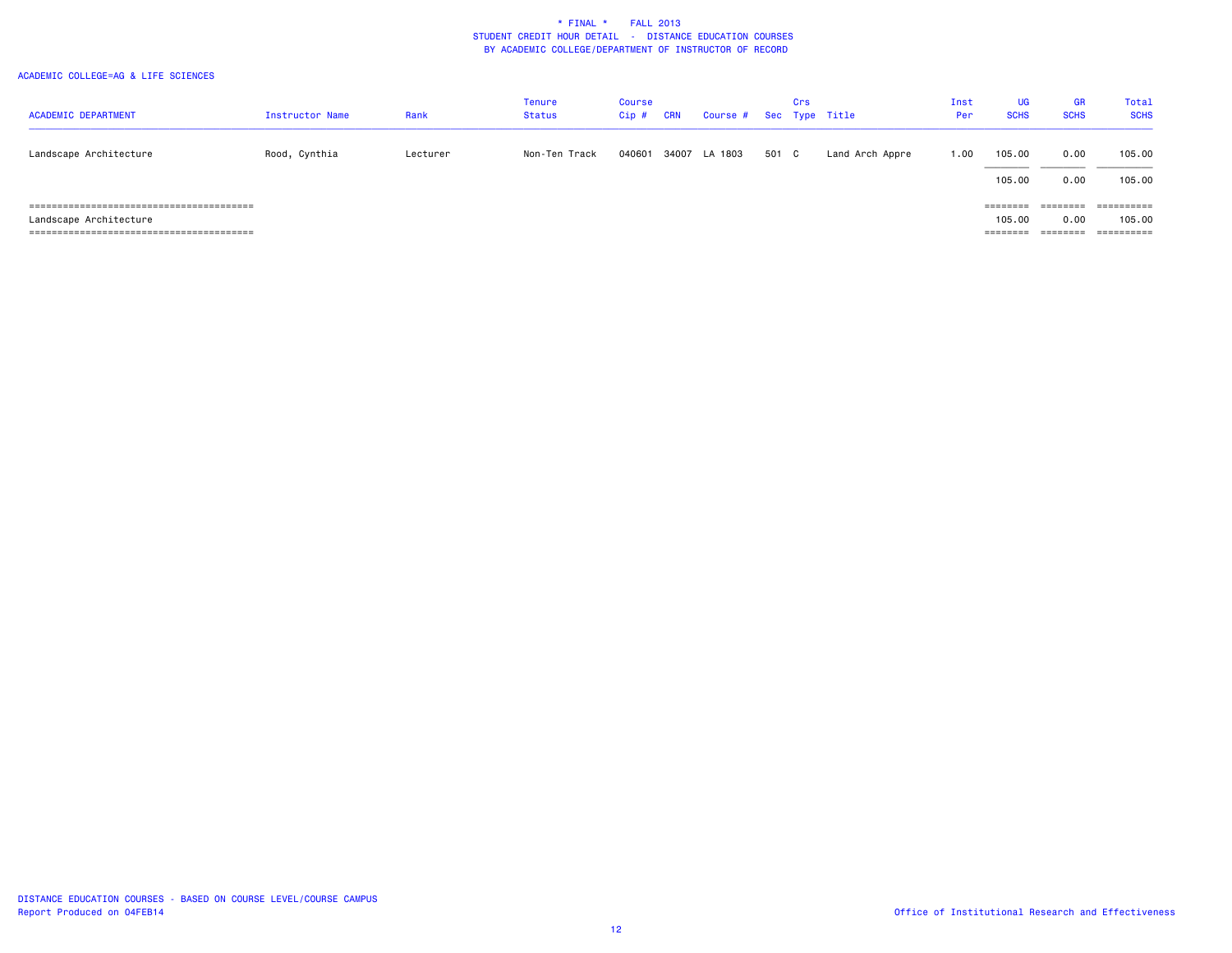| <b>ACADEMIC DEPARTMENT</b> | Instructor Name | Rank     | <b>Tenure</b><br><b>Status</b> | Course<br>$Cip$ # | <b>CRN</b> | Course # Sec Type Title |       | Crs |                 | Inst<br>Per | <b>UG</b><br><b>SCHS</b> | GR<br><b>SCHS</b> | Total<br><b>SCHS</b> |
|----------------------------|-----------------|----------|--------------------------------|-------------------|------------|-------------------------|-------|-----|-----------------|-------------|--------------------------|-------------------|----------------------|
| Landscape Architecture     | Rood, Cynthia   | Lecturer | Non-Ten Track                  | 040601            |            | 34007 LA 1803           | 501 C |     | Land Arch Appre | 1.00        | 105.00                   | 0.00              | 105.00               |
|                            |                 |          |                                |                   |            |                         |       |     |                 |             | 105.00                   | 0.00              | 105.00               |
|                            |                 |          |                                |                   |            |                         |       |     |                 |             | $=$ = = = = = = =        | ========          |                      |
| Landscape Architecture     |                 |          |                                |                   |            |                         |       |     |                 |             | 105,00                   | 0.00              | 105.00               |
|                            |                 |          |                                |                   |            |                         |       |     |                 |             |                          | ========          | ==========           |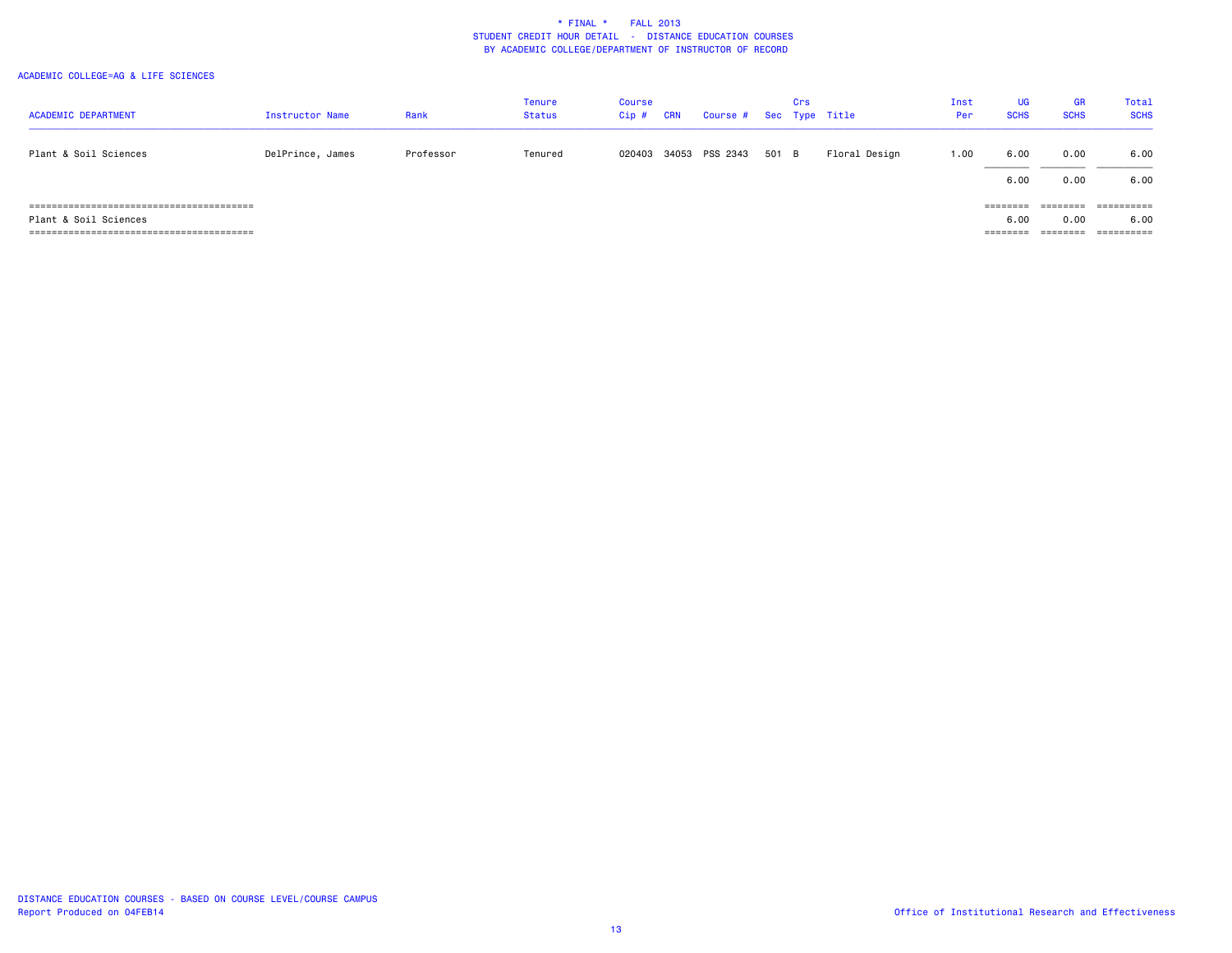| <b>ACADEMIC DEPARTMENT</b> | Instructor Name  | Rank      | <b>Tenure</b><br><b>Status</b> | Course<br>$Cip$ # | CRN | Course # Sec Type Title |       | Crs |               | Inst<br>Per | <b>UG</b><br><b>SCHS</b> | <b>GR</b><br><b>SCHS</b>  | Total<br><b>SCHS</b>       |
|----------------------------|------------------|-----------|--------------------------------|-------------------|-----|-------------------------|-------|-----|---------------|-------------|--------------------------|---------------------------|----------------------------|
| Plant & Soil Sciences      | DelPrince, James | Professor | Tenured                        | 020403            |     | 34053 PSS 2343          | 501 B |     | Floral Design | 1.00        | 6.00                     | 0.00                      | 6.00                       |
| Plant & Soil Sciences      |                  |           |                                |                   |     |                         |       |     |               |             | 6.00<br>========<br>6.00 | 0.00<br>, -------<br>0.00 | 6.00<br>==========<br>6.00 |
|                            |                  |           |                                |                   |     |                         |       |     |               |             |                          |                           | ==========                 |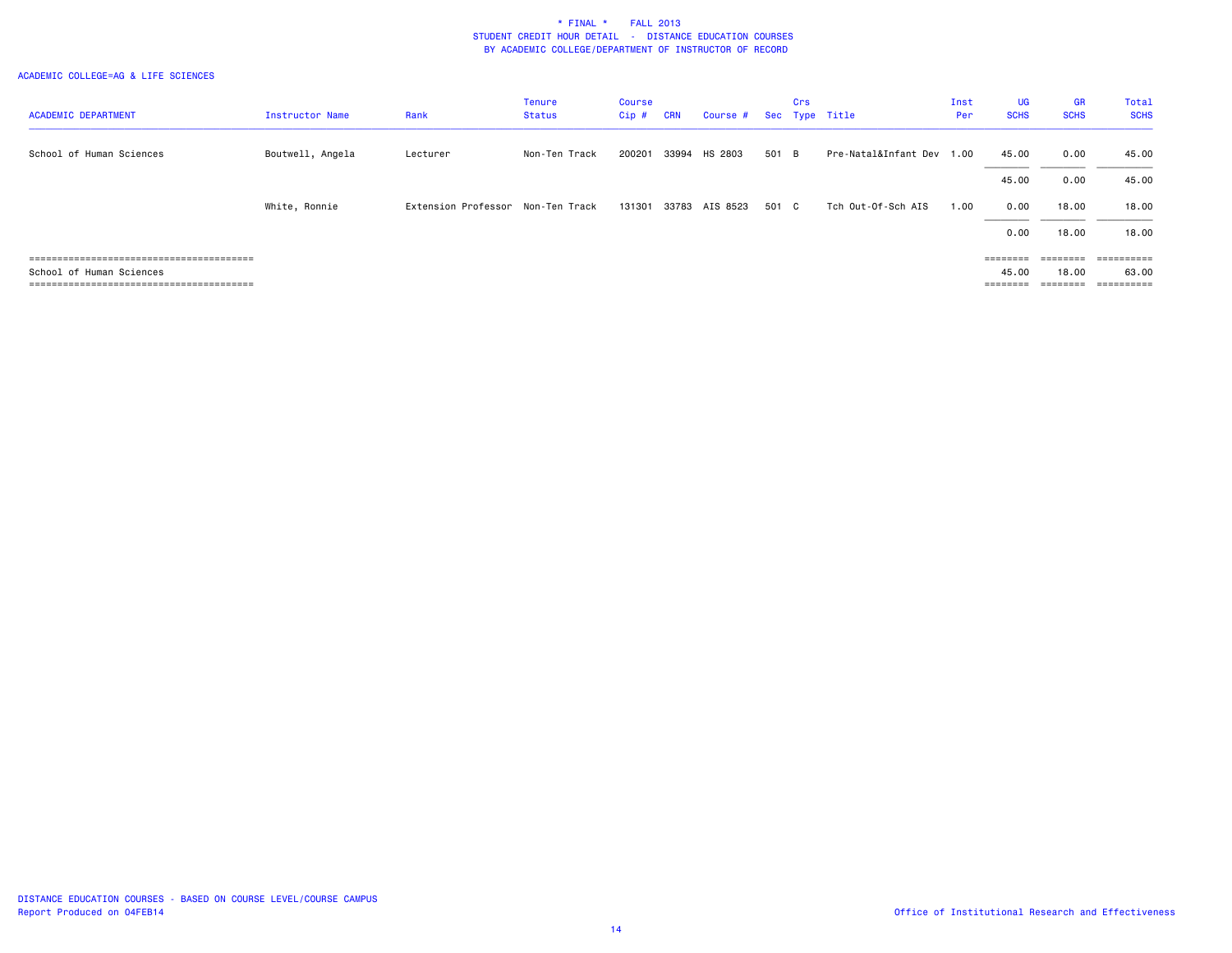|                            |                        |                                   | <b>Tenure</b> | Course |            |                         |       | Crs |                           | Inst | <b>UG</b>   | GR                | Total       |
|----------------------------|------------------------|-----------------------------------|---------------|--------|------------|-------------------------|-------|-----|---------------------------|------|-------------|-------------------|-------------|
| <b>ACADEMIC DEPARTMENT</b> | <b>Instructor Name</b> | Rank                              | <b>Status</b> | Cip#   | <b>CRN</b> | Course # Sec Type Title |       |     |                           | Per  | <b>SCHS</b> | <b>SCHS</b>       | <b>SCHS</b> |
|                            |                        |                                   |               |        |            |                         |       |     |                           |      |             |                   |             |
| School of Human Sciences   | Boutwell, Angela       | Lecturer                          | Non-Ten Track | 200201 | 33994      | HS 2803                 | 501 B |     | Pre-Natal&Infant Dev 1.00 |      | 45.00       | 0.00              | 45.00       |
|                            |                        |                                   |               |        |            |                         |       |     |                           |      | 45.00       | 0.00              | 45.00       |
|                            | White, Ronnie          | Extension Professor Non-Ten Track |               | 131301 | 33783      | AIS 8523                | 501 C |     | Tch Out-Of-Sch AIS        | 1.00 | 0.00        | 18.00             | 18,00       |
|                            |                        |                                   |               |        |            |                         |       |     |                           |      | 0.00        | 18.00             | 18.00       |
|                            |                        |                                   |               |        |            |                         |       |     |                           |      |             | $=$ = = = = = = = |             |
| School of Human Sciences   |                        |                                   |               |        |            |                         |       |     |                           |      | 45.00       | 18.00             | 63.00       |
|                            |                        |                                   |               |        |            |                         |       |     |                           |      | ========    | ---------         | ==========  |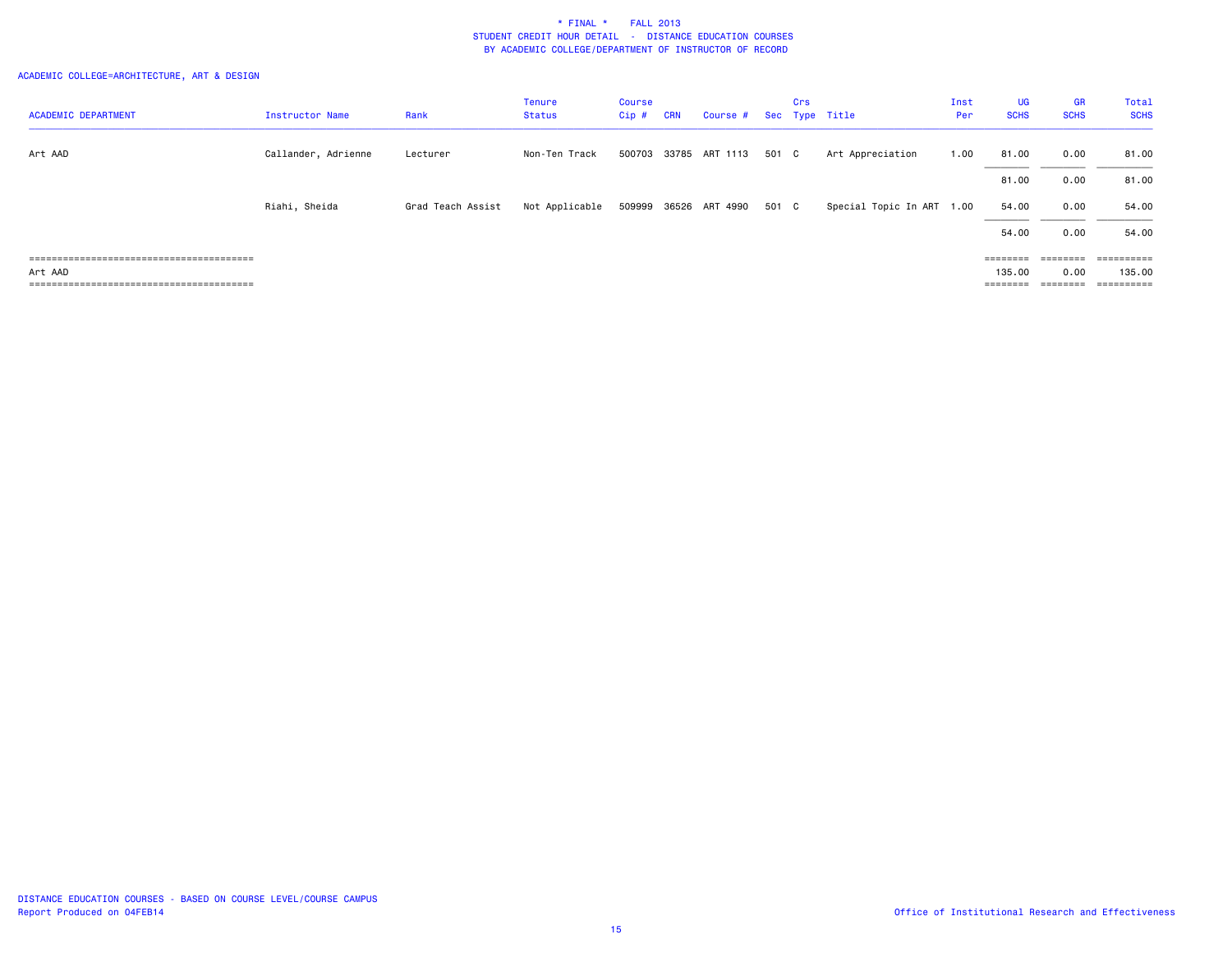| <b>ACADEMIC DEPARTMENT</b> | <b>Instructor Name</b> | Rank              | <b>Tenure</b><br>Status | Course<br>$Cip$ # | <b>CRN</b> | Course # Sec Type Title |       | Crs |                           | Inst<br>Per | <b>UG</b><br><b>SCHS</b> | <b>GR</b><br><b>SCHS</b> | Total<br><b>SCHS</b> |
|----------------------------|------------------------|-------------------|-------------------------|-------------------|------------|-------------------------|-------|-----|---------------------------|-------------|--------------------------|--------------------------|----------------------|
|                            |                        |                   |                         |                   |            |                         |       |     |                           |             |                          |                          |                      |
| Art AAD                    | Callander, Adrienne    | Lecturer          | Non-Ten Track           |                   |            | 500703 33785 ART 1113   | 501 C |     | Art Appreciation          | 1.00        | 81.00                    | 0.00                     | 81.00                |
|                            |                        |                   |                         |                   |            |                         |       |     |                           |             | 81.00                    | 0.00                     | 81.00                |
|                            | Riahi, Sheida          | Grad Teach Assist | Not Applicable          |                   |            | 509999 36526 ART 4990   | 501 C |     | Special Topic In ART 1.00 |             | 54.00                    | 0.00                     | 54.00                |
|                            |                        |                   |                         |                   |            |                         |       |     |                           |             | 54.00                    | 0.00                     | 54.00                |
|                            |                        |                   |                         |                   |            |                         |       |     |                           |             | ========                 | ========                 | ==========           |
| Art AAD                    |                        |                   |                         |                   |            |                         |       |     |                           |             | 135.00                   | 0.00                     | 135.00               |
|                            |                        |                   |                         |                   |            |                         |       |     |                           |             |                          | $=$ = = = = = = =        |                      |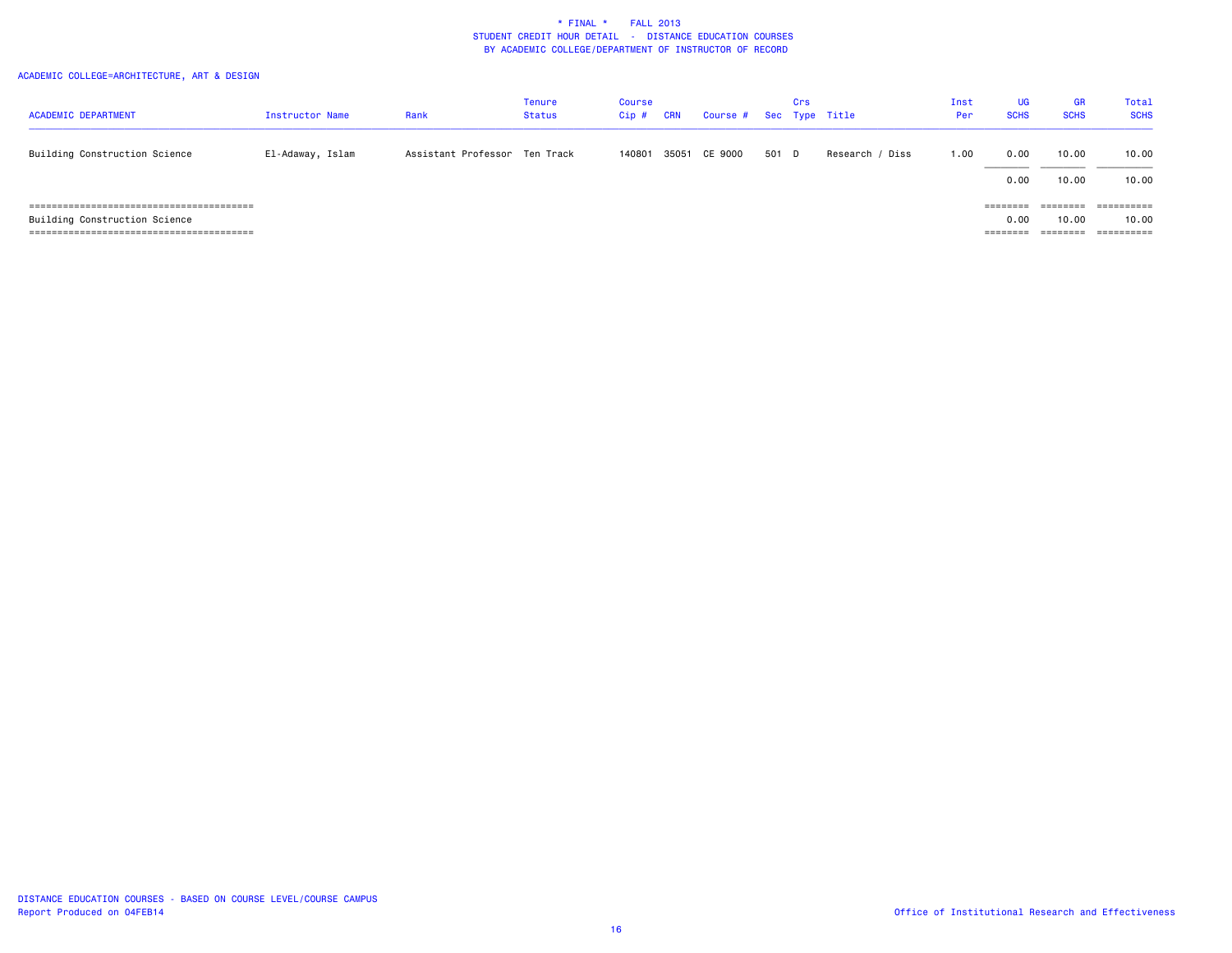| <b>ACADEMIC DEPARTMENT</b>    | Instructor Name  | Rank                          | Tenure<br>Status | Course<br>$Cip$ # | CRN | Course # Sec Type Title |       | Crs |                 | Inst<br>Per | <b>UG</b><br><b>SCHS</b> | <b>GR</b><br><b>SCHS</b> | Total<br><b>SCHS</b> |
|-------------------------------|------------------|-------------------------------|------------------|-------------------|-----|-------------------------|-------|-----|-----------------|-------------|--------------------------|--------------------------|----------------------|
| Building Construction Science | El-Adaway, Islam | Assistant Professor Ten Track |                  | 140801            |     | 35051 CE 9000           | 501 D |     | Research / Diss | 1.00        | 0.00                     | 10.00                    | 10.00                |
|                               |                  |                               |                  |                   |     |                         |       |     |                 |             | 0.00                     | 10.00                    | 10.00                |
|                               |                  |                               |                  |                   |     |                         |       |     |                 |             | --------<br>--------     | ________<br>--------     | ==========           |
| Building Construction Science |                  |                               |                  |                   |     |                         |       |     |                 |             | 0.00                     | 10.00                    | 10.00                |
|                               |                  |                               |                  |                   |     |                         |       |     |                 |             | ========                 | --------<br>--------     | ==========           |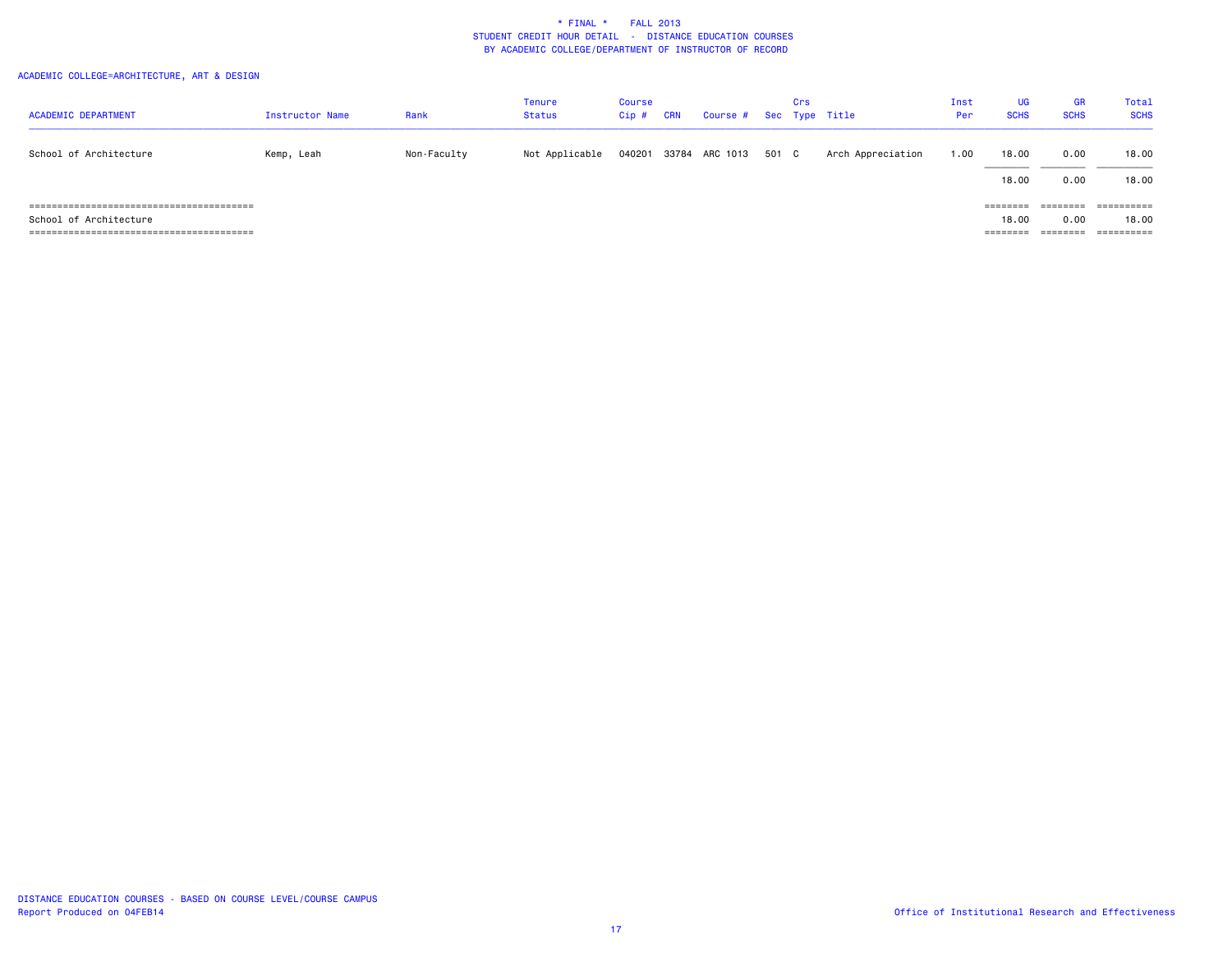| <b>ACADEMIC DEPARTMENT</b> | <b>Instructor Name</b> | Rank        | <b>Tenure</b><br><b>Status</b> | Course<br>$Cip$ # | <b>CRN</b> | Course # Sec Type Title |       | Crs |                   | Inst<br>Per | UG<br><b>SCHS</b> | GR<br><b>SCHS</b> | Total<br><b>SCHS</b> |
|----------------------------|------------------------|-------------|--------------------------------|-------------------|------------|-------------------------|-------|-----|-------------------|-------------|-------------------|-------------------|----------------------|
|                            |                        |             |                                |                   |            |                         |       |     |                   |             |                   |                   |                      |
| School of Architecture     | Kemp, Leah             | Non-Faculty | Not Applicable                 | 040201            |            | 33784 ARC 1013          | 501 C |     | Arch Appreciation | 1.00        | 18,00             | 0.00              | 18,00                |
|                            |                        |             |                                |                   |            |                         |       |     |                   |             | 18,00             | 0.00              | 18.00                |
|                            |                        |             |                                |                   |            |                         |       |     |                   |             |                   | ========          | ==========           |
| School of Architecture     |                        |             |                                |                   |            |                         |       |     |                   |             | 18,00             | 0.00              | 18,00                |
|                            |                        |             |                                |                   |            |                         |       |     |                   |             | ========          | ========          | ==========           |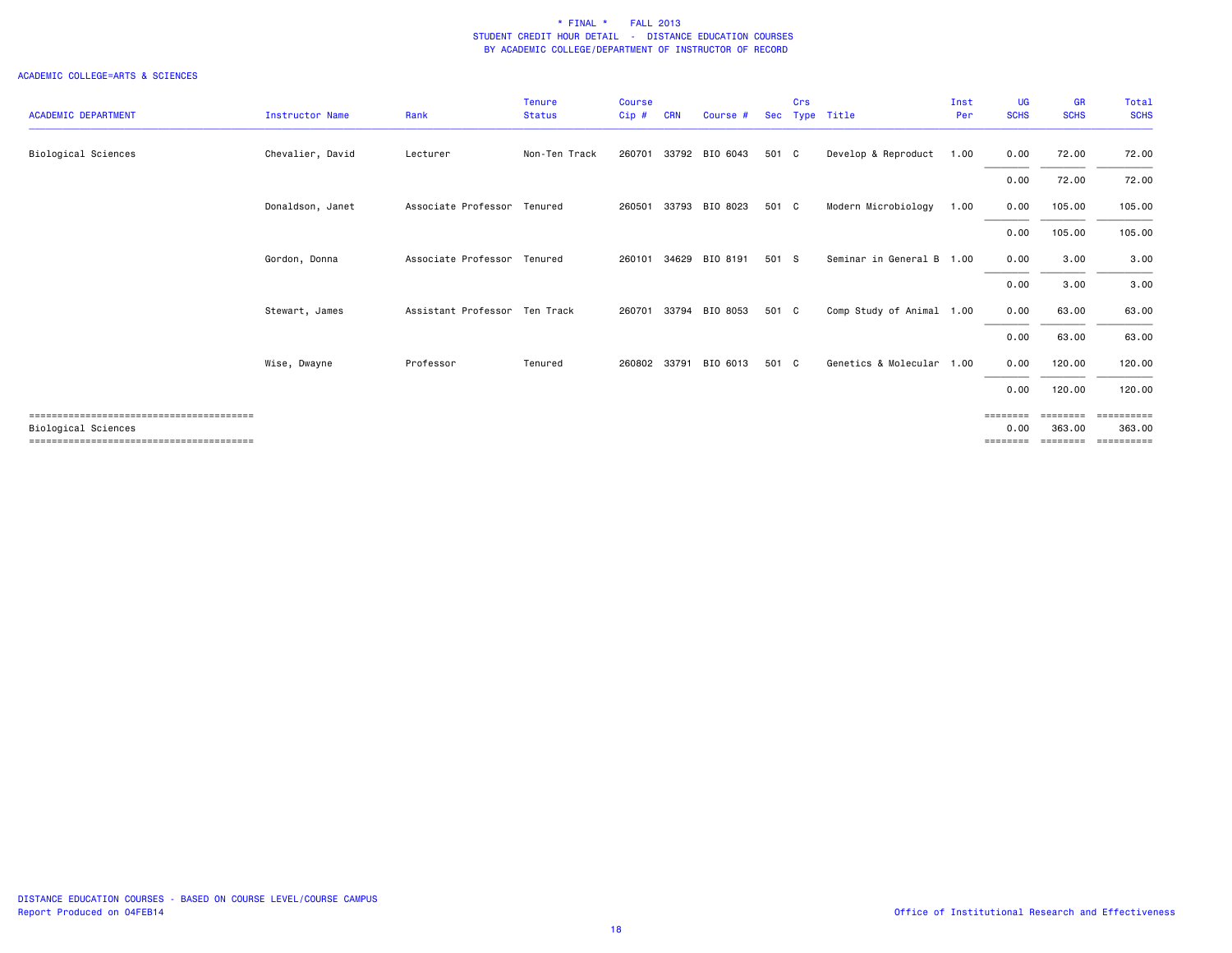| <b>ACADEMIC DEPARTMENT</b> | Instructor Name  | Rank                          | <b>Tenure</b><br><b>Status</b> | Course<br>Cip# | <b>CRN</b> | Course #       | Sec   | Crs | Type Title                | Inst<br>Per | <b>UG</b><br><b>SCHS</b>        | <b>GR</b><br><b>SCHS</b> | Total<br><b>SCHS</b>  |
|----------------------------|------------------|-------------------------------|--------------------------------|----------------|------------|----------------|-------|-----|---------------------------|-------------|---------------------------------|--------------------------|-----------------------|
|                            |                  |                               |                                |                |            |                |       |     |                           |             |                                 |                          |                       |
| Biological Sciences        | Chevalier, David | Lecturer                      | Non-Ten Track                  | 260701         |            | 33792 BIO 6043 | 501 C |     | Develop & Reproduct       | 1.00        | 0.00                            | 72.00                    | 72.00                 |
|                            |                  |                               |                                |                |            |                |       |     |                           |             | 0.00                            | 72.00                    | 72.00                 |
|                            | Donaldson, Janet | Associate Professor           | Tenured                        | 260501         | 33793      | BIO 8023       | 501 C |     | Modern Microbiology       | 1.00        | 0.00                            | 105.00                   | 105.00                |
|                            |                  |                               |                                |                |            |                |       |     |                           |             | 0.00                            | 105.00                   | 105.00                |
|                            | Gordon, Donna    | Associate Professor Tenured   |                                | 260101         | 34629      | BIO 8191       | 501 S |     | Seminar in General B 1.00 |             | 0.00                            | 3.00                     | 3.00                  |
|                            |                  |                               |                                |                |            |                |       |     |                           |             | 0.00                            | 3.00                     | 3.00                  |
|                            | Stewart, James   | Assistant Professor Ten Track |                                | 260701         | 33794      | BIO 8053       | 501 C |     | Comp Study of Animal 1.00 |             | 0.00                            | 63.00                    | 63.00                 |
|                            |                  |                               |                                |                |            |                |       |     |                           |             | 0.00                            | 63.00                    | 63.00                 |
|                            | Wise, Dwayne     | Professor                     | Tenured                        | 260802         | 33791      | BIO 6013       | 501 C |     | Genetics & Molecular      | 1.00        | 0.00                            | 120.00                   | 120.00                |
|                            |                  |                               |                                |                |            |                |       |     |                           |             | 0.00                            | 120,00                   | 120,00                |
|                            |                  |                               |                                |                |            |                |       |     |                           |             | $=$ $=$ $=$ $=$ $=$ $=$ $=$ $=$ | $=$ = = = = = = =        |                       |
| Biological Sciences        |                  |                               |                                |                |            |                |       |     |                           |             | 0.00<br>========                | 363,00<br>========       | 363,00<br>----------- |
|                            |                  |                               |                                |                |            |                |       |     |                           |             |                                 |                          |                       |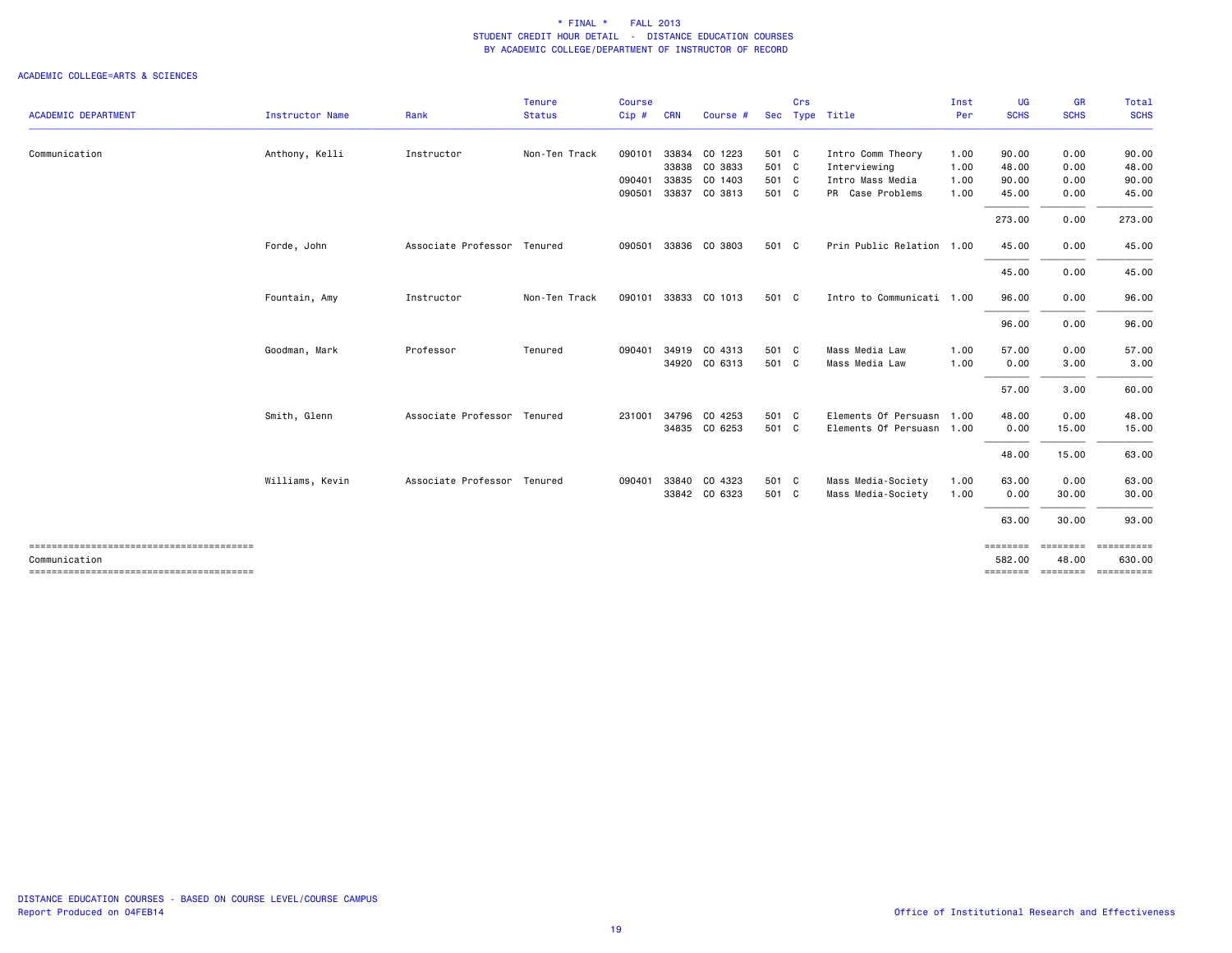|                            |                 |                             | <b>Tenure</b> | <b>Course</b> |            |               |       | Crs |                           | Inst | <b>UG</b>   | <b>GR</b>   | <b>Total</b>                             |
|----------------------------|-----------------|-----------------------------|---------------|---------------|------------|---------------|-------|-----|---------------------------|------|-------------|-------------|------------------------------------------|
| <b>ACADEMIC DEPARTMENT</b> | Instructor Name | Rank                        | <b>Status</b> | Cip#          | <b>CRN</b> | Course #      |       |     | Sec Type Title            | Per  | <b>SCHS</b> | <b>SCHS</b> | <b>SCHS</b>                              |
| Communication              | Anthony, Kelli  | Instructor                  | Non-Ten Track | 090101        | 33834      | CO 1223       | 501 C |     | Intro Comm Theory         | 1.00 | 90.00       | 0.00        | 90.00                                    |
|                            |                 |                             |               |               | 33838      | CO 3833       | 501 C |     | Interviewing              | 1.00 | 48.00       | 0.00        | 48.00                                    |
|                            |                 |                             |               | 090401        | 33835      | CO 1403       | 501 C |     | Intro Mass Media          | 1.00 | 90.00       | 0.00        | 90.00                                    |
|                            |                 |                             |               | 090501        | 33837      | CO 3813       | 501 C |     | PR Case Problems          | 1.00 | 45.00       | 0.00        | 45.00                                    |
|                            |                 |                             |               |               |            |               |       |     |                           |      | 273.00      | 0.00        | 273.00                                   |
|                            | Forde, John     | Associate Professor         | Tenured       | 090501        | 33836      | CO 3803       | 501 C |     | Prin Public Relation 1.00 |      | 45.00       | 0.00        | 45.00                                    |
|                            |                 |                             |               |               |            |               |       |     |                           |      | 45.00       | 0.00        | 45.00                                    |
|                            | Fountain, Amy   | Instructor                  | Non-Ten Track | 090101        |            | 33833 CO 1013 | 501 C |     | Intro to Communicati 1.00 |      | 96.00       | 0.00        | 96.00                                    |
|                            |                 |                             |               |               |            |               |       |     |                           |      | 96.00       | 0.00        | 96.00                                    |
|                            | Goodman, Mark   | Professor                   | Tenured       | 090401        | 34919      | CO 4313       | 501 C |     | Mass Media Law            | 1.00 | 57.00       | 0.00        | 57.00                                    |
|                            |                 |                             |               |               |            | 34920 CO 6313 | 501 C |     | Mass Media Law            | 1.00 | 0.00        | 3.00        | 3.00                                     |
|                            |                 |                             |               |               |            |               |       |     |                           |      | 57.00       | 3.00        | 60.00                                    |
|                            | Smith, Glenn    | Associate Professor Tenured |               | 231001        | 34796      | CO 4253       | 501 C |     | Elements Of Persuasn 1.00 |      | 48.00       | 0.00        | 48.00                                    |
|                            |                 |                             |               |               |            | 34835 CO 6253 | 501 C |     | Elements Of Persuasn 1.00 |      | 0.00        | 15.00       | 15.00                                    |
|                            |                 |                             |               |               |            |               |       |     |                           |      | 48.00       | 15.00       | 63.00                                    |
|                            | Williams, Kevin | Associate Professor Tenured |               | 090401        | 33840      | CO 4323       | 501 C |     | Mass Media-Society        | 1.00 | 63.00       | 0.00        | 63.00                                    |
|                            |                 |                             |               |               |            | 33842 CO 6323 | 501 C |     | Mass Media-Society        | 1.00 | 0.00        | 30.00       | 30.00                                    |
|                            |                 |                             |               |               |            |               |       |     |                           |      | 63.00       | 30.00       | 93.00                                    |
|                            |                 |                             |               |               |            |               |       |     |                           |      | ========    | ========    | ==========                               |
| Communication              |                 |                             |               |               |            |               |       |     |                           |      | 582.00      | 48.00       | 630.00<br>============================== |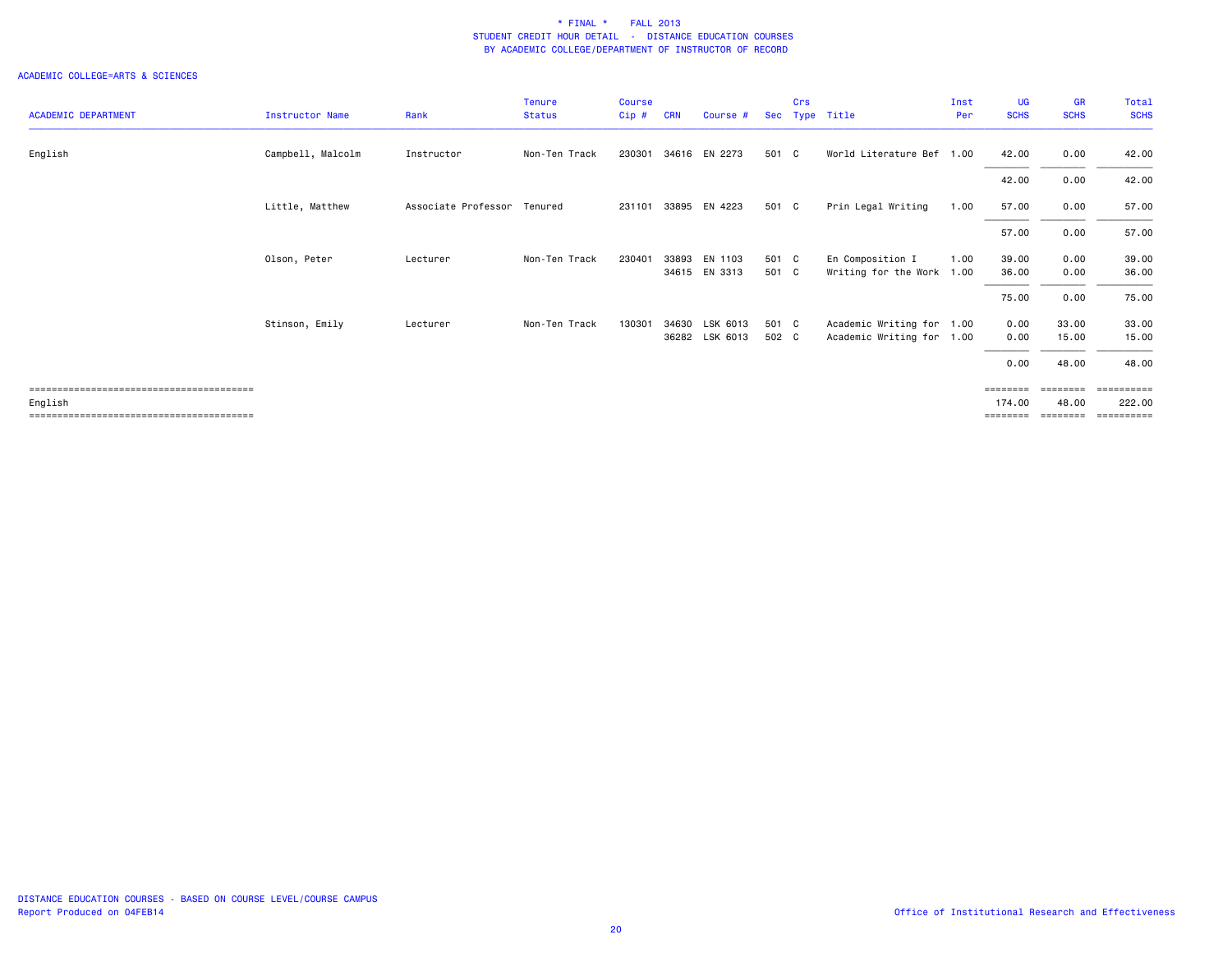|                            |                        |                     | Tenure        | <b>Course</b> |            |                |            | Crs |                           | Inst | <b>UG</b>   | <b>GR</b>   | Total       |
|----------------------------|------------------------|---------------------|---------------|---------------|------------|----------------|------------|-----|---------------------------|------|-------------|-------------|-------------|
| <b>ACADEMIC DEPARTMENT</b> | <b>Instructor Name</b> | Rank                | <b>Status</b> | Cip#          | <b>CRN</b> | Course #       | <b>Sec</b> |     | Type Title                | Per  | <b>SCHS</b> | <b>SCHS</b> | <b>SCHS</b> |
| English                    | Campbell, Malcolm      | Instructor          | Non-Ten Track | 230301        |            | 34616 EN 2273  | 501 C      |     | World Literature Bef 1.00 |      | 42.00       | 0.00        | 42.00       |
|                            |                        |                     |               |               |            |                |            |     |                           |      | 42.00       | 0.00        | 42.00       |
|                            | Little, Matthew        | Associate Professor | Tenured       | 231101        |            | 33895 EN 4223  | 501 C      |     | Prin Legal Writing        | 1.00 | 57.00       | 0.00        | 57.00       |
|                            |                        |                     |               |               |            |                |            |     |                           |      | 57.00       | 0.00        | 57.00       |
|                            | Olson, Peter           | Lecturer            | Non-Ten Track | 230401        | 33893      | EN 1103        | 501 C      |     | En Composition I          | 1.00 | 39.00       | 0.00        | 39.00       |
|                            |                        |                     |               |               |            | 34615 EN 3313  | 501 C      |     | Writing for the Work 1.00 |      | 36.00       | 0.00        | 36.00       |
|                            |                        |                     |               |               |            |                |            |     |                           |      | 75.00       | 0.00        | 75.00       |
|                            | Stinson, Emily         | Lecturer            | Non-Ten Track | 130301        | 34630      | LSK 6013       | 501 C      |     | Academic Writing for 1.00 |      | 0.00        | 33.00       | 33.00       |
|                            |                        |                     |               |               |            | 36282 LSK 6013 | 502 C      |     | Academic Writing for 1.00 |      | 0.00        | 15.00       | 15.00       |
|                            |                        |                     |               |               |            |                |            |     |                           |      | 0.00        | 48.00       | 48.00       |
|                            |                        |                     |               |               |            |                |            |     |                           |      | ========    | eeeeeee     | ==========  |
| English                    |                        |                     |               |               |            |                |            |     |                           |      | 174.00      | 48.00       | 222.00      |
|                            |                        |                     |               |               |            |                |            |     |                           |      | ========    | ========    | ==========  |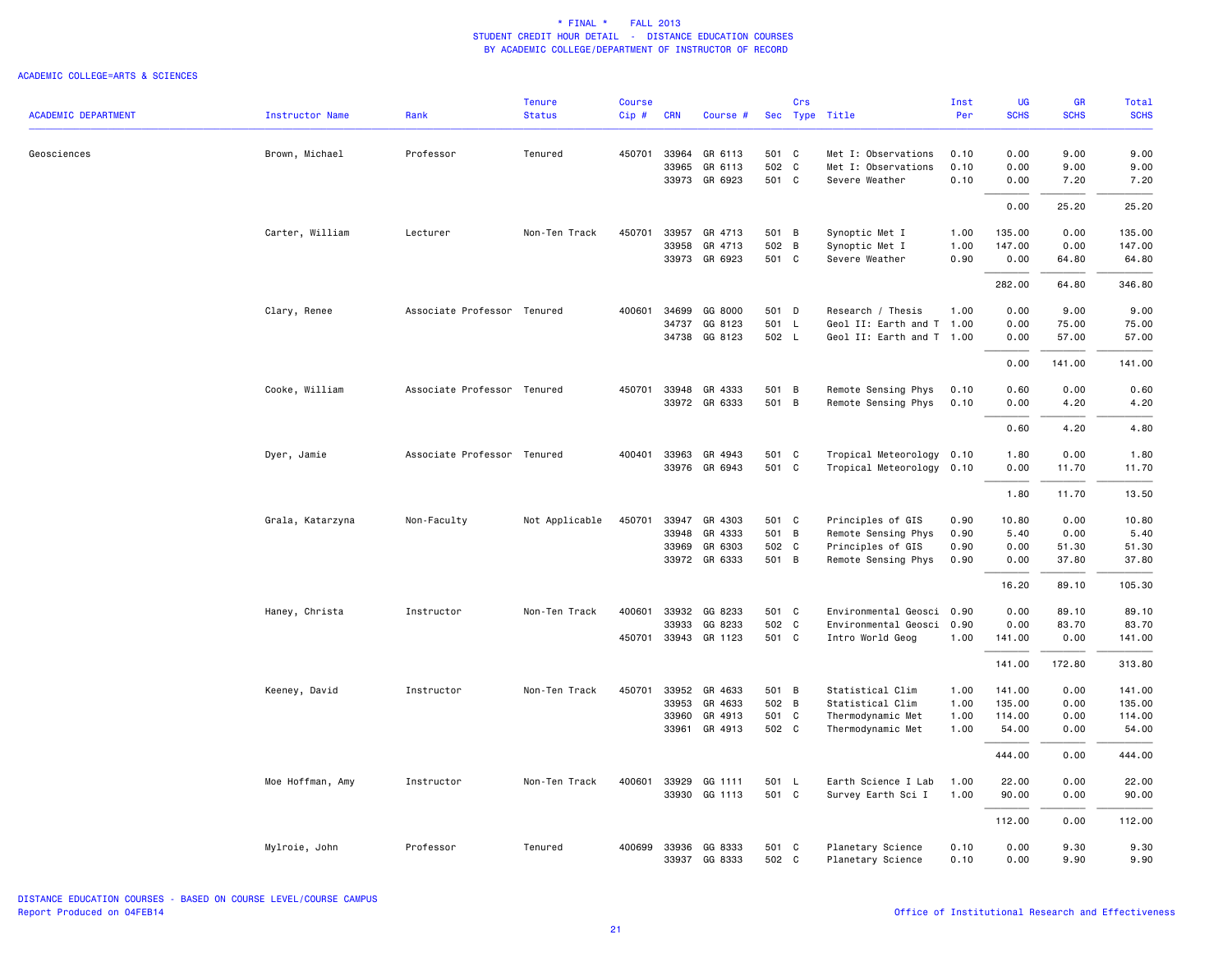|                            |                        |                             | <b>Tenure</b>  | <b>Course</b> |              |               |       | Crs |                           | Inst | <b>UG</b>   | <b>GR</b>   | Total       |
|----------------------------|------------------------|-----------------------------|----------------|---------------|--------------|---------------|-------|-----|---------------------------|------|-------------|-------------|-------------|
| <b>ACADEMIC DEPARTMENT</b> | <b>Instructor Name</b> | Rank                        | <b>Status</b>  | Cip#          | <b>CRN</b>   | Course #      |       |     | Sec Type Title            | Per  | <b>SCHS</b> | <b>SCHS</b> | <b>SCHS</b> |
| Geosciences                | Brown, Michael         | Professor                   | Tenured        |               | 450701 33964 | GR 6113       | 501 C |     | Met I: Observations       | 0.10 | 0.00        | 9.00        | 9.00        |
|                            |                        |                             |                |               | 33965        | GR 6113       | 502 C |     | Met I: Observations       | 0.10 | 0.00        | 9.00        | 9.00        |
|                            |                        |                             |                |               | 33973        | GR 6923       | 501 C |     | Severe Weather            | 0.10 | 0.00        | 7.20        | 7.20        |
|                            |                        |                             |                |               |              |               |       |     |                           |      | 0.00        | 25.20       | 25.20       |
|                            | Carter, William        | Lecturer                    | Non-Ten Track  | 450701        | 33957        | GR 4713       | 501 B |     | Synoptic Met I            | 1.00 | 135.00      | 0.00        | 135.00      |
|                            |                        |                             |                |               | 33958        | GR 4713       | 502 B |     | Synoptic Met I            | 1.00 | 147.00      | 0.00        | 147.00      |
|                            |                        |                             |                |               | 33973        | GR 6923       | 501 C |     | Severe Weather            | 0.90 | 0.00        | 64.80       | 64.80       |
|                            |                        |                             |                |               |              |               |       |     |                           |      | 282.00      | 64.80       | 346.80      |
|                            | Clary, Renee           | Associate Professor Tenured |                | 400601        | 34699        | GG 8000       | 501 D |     | Research / Thesis         | 1.00 | 0.00        | 9.00        | 9.00        |
|                            |                        |                             |                |               | 34737        | GG 8123       | 501 L |     | Geol II: Earth and T 1.00 |      | 0.00        | 75.00       | 75.00       |
|                            |                        |                             |                |               |              | 34738 GG 8123 | 502 L |     | Geol II: Earth and T 1.00 |      | 0.00        | 57.00       | 57.00       |
|                            |                        |                             |                |               |              |               |       |     |                           |      | 0.00        | 141.00      | 141.00      |
|                            | Cooke, William         | Associate Professor Tenured |                | 450701        | 33948        | GR 4333       | 501 B |     | Remote Sensing Phys       | 0.10 | 0.60        | 0.00        | 0.60        |
|                            |                        |                             |                |               |              | 33972 GR 6333 | 501 B |     | Remote Sensing Phys       | 0.10 | 0.00        | 4.20        | 4.20        |
|                            |                        |                             |                |               |              |               |       |     |                           |      | 0.60        | 4.20        | 4.80        |
|                            | Dyer, Jamie            | Associate Professor Tenured |                | 400401        | 33963        | GR 4943       | 501 C |     | Tropical Meteorology 0.10 |      | 1.80        | 0.00        | 1.80        |
|                            |                        |                             |                |               | 33976        | GR 6943       | 501 C |     | Tropical Meteorology      | 0.10 | 0.00        | 11.70       | 11.70       |
|                            |                        |                             |                |               |              |               |       |     |                           |      | 1.80        | 11.70       | 13.50       |
|                            | Grala, Katarzyna       | Non-Faculty                 | Not Applicable | 450701        | 33947        | GR 4303       | 501 C |     | Principles of GIS         | 0.90 | 10.80       | 0.00        | 10.80       |
|                            |                        |                             |                |               | 33948        | GR 4333       | 501 B |     | Remote Sensing Phys       | 0.90 | 5.40        | 0.00        | 5.40        |
|                            |                        |                             |                |               | 33969        | GR 6303       | 502 C |     | Principles of GIS         | 0.90 | 0.00        | 51.30       | 51.30       |
|                            |                        |                             |                |               | 33972        | GR 6333       | 501 B |     | Remote Sensing Phys       | 0.90 | 0.00        | 37.80       | 37.80       |
|                            |                        |                             |                |               |              |               |       |     |                           |      | 16.20       | 89.10       | 105.30      |
|                            | Haney, Christa         | Instructor                  | Non-Ten Track  | 400601        | 33932        | GG 8233       | 501 C |     | Environmental Geosci 0.90 |      | 0.00        | 89.10       | 89.10       |
|                            |                        |                             |                |               | 33933        | GG 8233       | 502 C |     | Environmental Geosci 0.90 |      | 0.00        | 83.70       | 83.70       |
|                            |                        |                             |                | 450701        |              | 33943 GR 1123 | 501 C |     | Intro World Geog          | 1.00 | 141.00      | 0.00        | 141.00      |
|                            |                        |                             |                |               |              |               |       |     |                           |      | 141.00      | 172.80      | 313.80      |
|                            | Keeney, David          | Instructor                  | Non-Ten Track  | 450701        | 33952        | GR 4633       | 501 B |     | Statistical Clim          | 1.00 | 141.00      | 0.00        | 141.00      |
|                            |                        |                             |                |               | 33953        | GR 4633       | 502 B |     | Statistical Clim          | 1.00 | 135.00      | 0.00        | 135.00      |
|                            |                        |                             |                |               | 33960        | GR 4913       | 501 C |     | Thermodynamic Met         | 1.00 | 114.00      | 0.00        | 114.00      |
|                            |                        |                             |                |               | 33961        | GR 4913       | 502 C |     | Thermodynamic Met         | 1.00 | 54.00       | 0.00        | 54.00       |
|                            |                        |                             |                |               |              |               |       |     |                           |      | 444.00      | 0.00        | 444.00      |
|                            | Moe Hoffman, Amy       | Instructor                  | Non-Ten Track  | 400601        | 33929        | GG 1111       | 501 L |     | Earth Science I Lab       | 1.00 | 22.00       | 0.00        | 22.00       |
|                            |                        |                             |                |               | 33930        | GG 1113       | 501 C |     | Survey Earth Sci I        | 1.00 | 90.00       | 0.00        | 90.00       |
|                            |                        |                             |                |               |              |               |       |     |                           |      | 112.00      | 0.00        | 112,00      |
|                            | Mylroie, John          | Professor                   | Tenured        |               | 400699 33936 | GG 8333       | 501 C |     | Planetary Science         | 0.10 | 0.00        | 9.30        | 9.30        |
|                            |                        |                             |                |               | 33937        | GG 8333       | 502 C |     | Planetary Science         | 0.10 | 0.00        | 9.90        | 9.90        |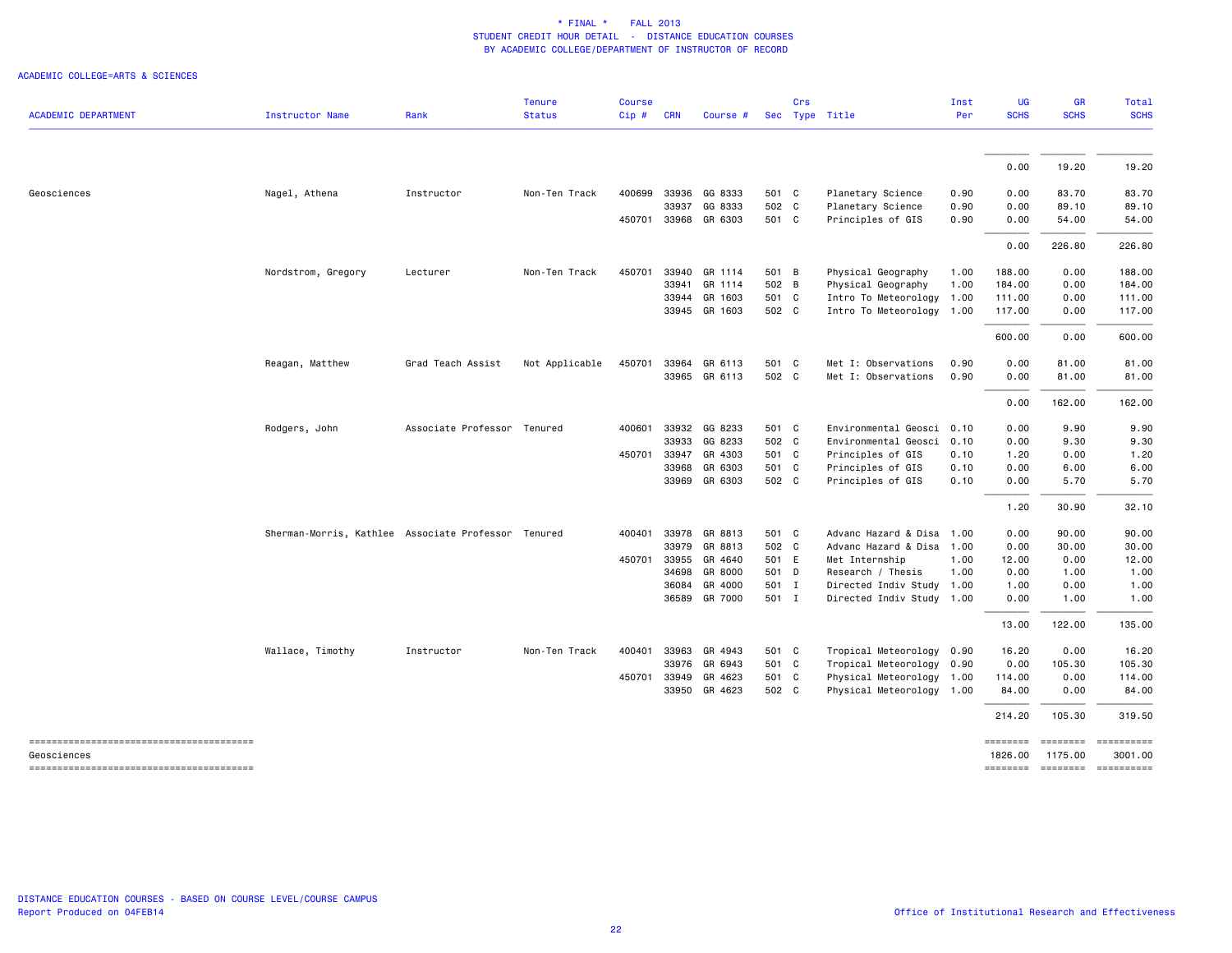| <b>ACADEMIC DEPARTMENT</b> | Instructor Name                                     | Rank                        | <b>Tenure</b><br><b>Status</b> | <b>Course</b><br>Cip# | <b>CRN</b> | Course #      |       | Crs | Sec Type Title            | Inst<br>Per | <b>UG</b><br><b>SCHS</b> | GR<br><b>SCHS</b>                      | Total<br><b>SCHS</b> |
|----------------------------|-----------------------------------------------------|-----------------------------|--------------------------------|-----------------------|------------|---------------|-------|-----|---------------------------|-------------|--------------------------|----------------------------------------|----------------------|
|                            |                                                     |                             |                                |                       |            |               |       |     |                           |             |                          |                                        |                      |
|                            |                                                     |                             |                                |                       |            |               |       |     |                           |             | 0.00                     | 19.20                                  | 19.20                |
| Geosciences                | Nagel, Athena                                       | Instructor                  | Non-Ten Track                  | 400699                |            | 33936 GG 8333 | 501 C |     | Planetary Science         | 0.90        | 0.00                     | 83.70                                  | 83.70                |
|                            |                                                     |                             |                                |                       | 33937      | GG 8333       | 502 C |     | Planetary Science         | 0.90        | 0.00                     | 89.10                                  | 89.10                |
|                            |                                                     |                             |                                | 450701                |            | 33968 GR 6303 | 501 C |     | Principles of GIS         | 0.90        | 0.00                     | 54.00                                  | 54.00                |
|                            |                                                     |                             |                                |                       |            |               |       |     |                           |             | 0.00                     | 226.80                                 | 226.80               |
|                            | Nordstrom, Gregory                                  | Lecturer                    | Non-Ten Track                  | 450701                |            | 33940 GR 1114 | 501 B |     | Physical Geography        | 1.00        | 188.00                   | 0.00                                   | 188.00               |
|                            |                                                     |                             |                                |                       | 33941      | GR 1114       | 502 B |     | Physical Geography        | 1.00        | 184.00                   | 0.00                                   | 184.00               |
|                            |                                                     |                             |                                |                       |            | 33944 GR 1603 | 501 C |     | Intro To Meteorology 1.00 |             | 111.00                   | 0.00                                   | 111.00               |
|                            |                                                     |                             |                                |                       |            | 33945 GR 1603 | 502 C |     | Intro To Meteorology      | 1.00        | 117.00                   | 0.00                                   | 117.00               |
|                            |                                                     |                             |                                |                       |            |               |       |     |                           |             | 600.00                   | 0.00                                   | 600.00               |
|                            | Reagan, Matthew                                     | Grad Teach Assist           | Not Applicable                 | 450701                |            | 33964 GR 6113 | 501 C |     | Met I: Observations       | 0.90        | 0.00                     | 81.00                                  | 81.00                |
|                            |                                                     |                             |                                |                       |            | 33965 GR 6113 | 502 C |     | Met I: Observations       | 0.90        | 0.00                     | 81.00                                  | 81.00                |
|                            |                                                     |                             |                                |                       |            |               |       |     |                           |             | 0.00                     | 162.00                                 | 162.00               |
|                            | Rodgers, John                                       | Associate Professor Tenured |                                | 400601                |            | 33932 GG 8233 | 501 C |     | Environmental Geosci 0.10 |             | 0.00                     | 9.90                                   | 9.90                 |
|                            |                                                     |                             |                                |                       | 33933      | GG 8233       | 502 C |     | Environmental Geosci      | 0.10        | 0.00                     | 9.30                                   | 9.30                 |
|                            |                                                     |                             |                                | 450701                | 33947      | GR 4303       | 501 C |     | Principles of GIS         | 0.10        | 1.20                     | 0.00                                   | 1.20                 |
|                            |                                                     |                             |                                |                       | 33968      | GR 6303       | 501 C |     | Principles of GIS         | 0.10        | 0.00                     | 6.00                                   | 6.00                 |
|                            |                                                     |                             |                                |                       |            | 33969 GR 6303 | 502 C |     | Principles of GIS         | 0.10        | 0.00                     | 5.70                                   | 5.70                 |
|                            |                                                     |                             |                                |                       |            |               |       |     |                           |             | 1.20                     | 30.90                                  | 32.10                |
|                            | Sherman-Morris, Kathlee Associate Professor Tenured |                             |                                | 400401                |            | 33978 GR 8813 | 501 C |     | Advanc Hazard & Disa      | 1.00        | 0.00                     | 90.00                                  | 90.00                |
|                            |                                                     |                             |                                |                       |            | 33979 GR 8813 | 502 C |     | Advanc Hazard & Disa 1.00 |             | 0.00                     | 30.00                                  | 30.00                |
|                            |                                                     |                             |                                | 450701                |            | 33955 GR 4640 | 501 E |     | Met Internship            | 1.00        | 12.00                    | 0.00                                   | 12.00                |
|                            |                                                     |                             |                                |                       | 34698      | GR 8000       | 501 D |     | Research / Thesis         | 1.00        | 0.00                     | 1.00                                   | 1.00                 |
|                            |                                                     |                             |                                |                       |            | 36084 GR 4000 | 501 I |     | Directed Indiv Study      | 1.00        | 1.00                     | 0.00                                   | 1.00                 |
|                            |                                                     |                             |                                |                       | 36589      | GR 7000       | 501 I |     | Directed Indiv Study 1.00 |             | 0.00                     | 1.00                                   | 1.00                 |
|                            |                                                     |                             |                                |                       |            |               |       |     |                           |             | 13.00                    | 122.00                                 | 135.00               |
|                            | Wallace, Timothy                                    | Instructor                  | Non-Ten Track                  | 400401                |            | 33963 GR 4943 | 501 C |     | Tropical Meteorology 0.90 |             | 16.20                    | 0.00                                   | 16.20                |
|                            |                                                     |                             |                                |                       |            | 33976 GR 6943 | 501 C |     | Tropical Meteorology 0.90 |             | 0.00                     | 105.30                                 | 105.30               |
|                            |                                                     |                             |                                | 450701                | 33949      | GR 4623       | 501 C |     | Physical Meteorology 1.00 |             | 114.00                   | 0.00                                   | 114.00               |
|                            |                                                     |                             |                                |                       |            | 33950 GR 4623 | 502 C |     | Physical Meteorology 1.00 |             | 84.00                    | 0.00                                   | 84.00                |
|                            |                                                     |                             |                                |                       |            |               |       |     |                           |             | 214.20                   | 105.30                                 | 319.50               |
|                            |                                                     |                             |                                |                       |            |               |       |     |                           |             | --------                 | ========                               | ==========           |
| Geosciences                |                                                     |                             |                                |                       |            |               |       |     |                           |             | 1826.00                  | 1175.00<br>======== ======== ========= | 3001.00              |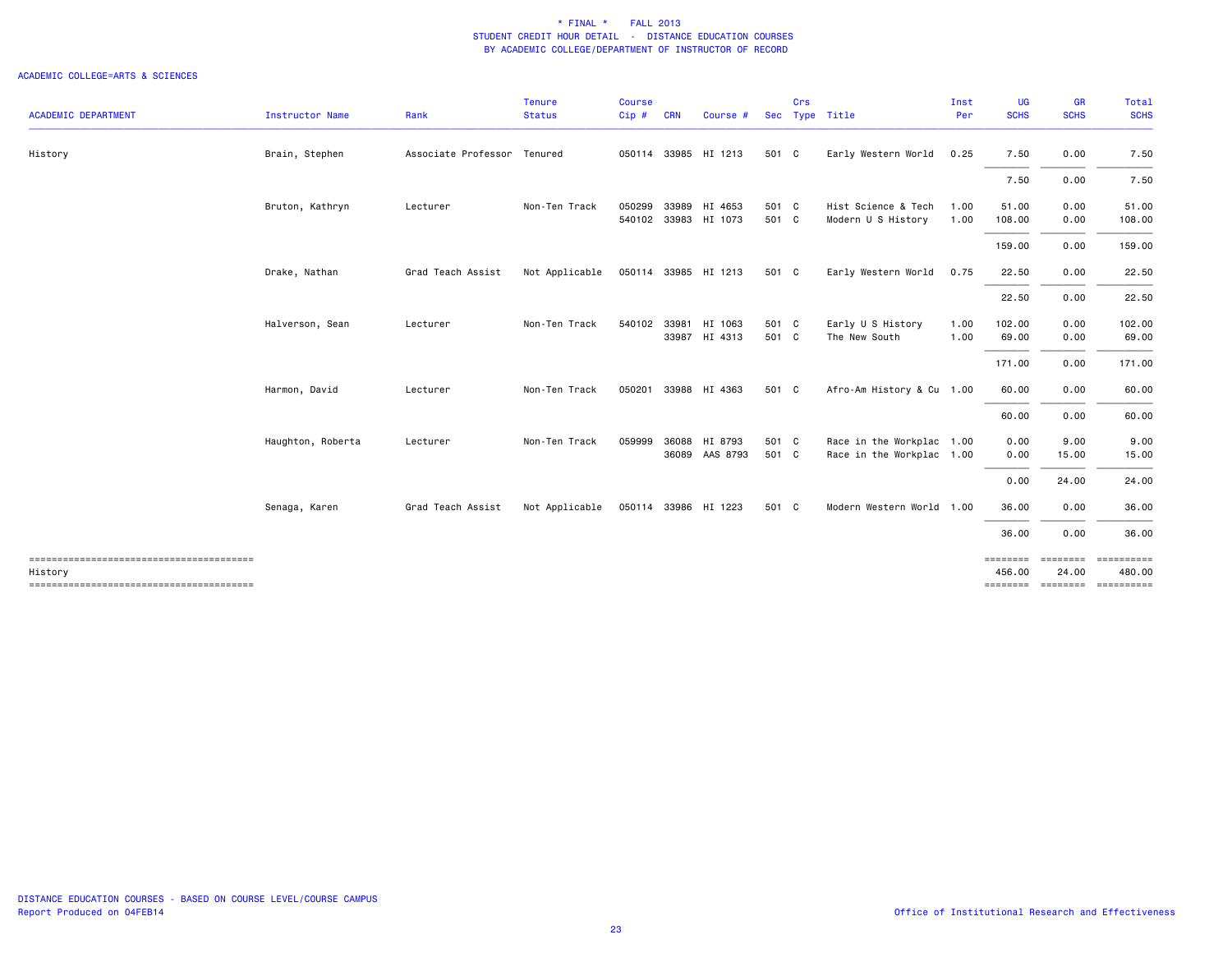|                                                   |                   |                             | <b>Tenure</b>  | <b>Course</b> |            |                                 |                | Crs |                                                        | Inst         | UG                 | GR                       | <b>Total</b>                              |
|---------------------------------------------------|-------------------|-----------------------------|----------------|---------------|------------|---------------------------------|----------------|-----|--------------------------------------------------------|--------------|--------------------|--------------------------|-------------------------------------------|
| <b>ACADEMIC DEPARTMENT</b>                        | Instructor Name   | Rank                        | <b>Status</b>  | Cip#          | <b>CRN</b> | Course #                        | Sec            |     | Type Title                                             | Per          | <b>SCHS</b>        | <b>SCHS</b>              | <b>SCHS</b>                               |
| History                                           | Brain, Stephen    | Associate Professor Tenured |                |               |            | 050114 33985 HI 1213            | 501 C          |     | Early Western World                                    | 0.25         | 7.50               | 0.00                     | 7.50                                      |
|                                                   |                   |                             |                |               |            |                                 |                |     |                                                        |              | 7.50               | 0.00                     | 7.50                                      |
|                                                   | Bruton, Kathryn   | Lecturer                    | Non-Ten Track  | 050299        | 33989      | HI 4653<br>540102 33983 HI 1073 | 501 C<br>501 C |     | Hist Science & Tech<br>Modern U S History              | 1.00<br>1.00 | 51.00<br>108.00    | 0.00<br>0.00             | 51.00<br>108.00                           |
|                                                   |                   |                             |                |               |            |                                 |                |     |                                                        |              | 159.00             | 0.00                     | 159.00                                    |
|                                                   | Drake, Nathan     | Grad Teach Assist           | Not Applicable |               |            | 050114 33985 HI 1213            | 501 C          |     | Early Western World                                    | 0.75         | 22.50              | 0.00                     | 22.50                                     |
|                                                   |                   |                             |                |               |            |                                 |                |     |                                                        |              | 22.50              | 0.00                     | 22.50                                     |
|                                                   | Halverson, Sean   | Lecturer                    | Non-Ten Track  | 540102 33981  |            | HI 1063<br>33987 HI 4313        | 501 C<br>501 C |     | Early U S History<br>The New South                     | 1.00<br>1.00 | 102.00<br>69.00    | 0.00<br>0.00             | 102.00<br>69.00                           |
|                                                   |                   |                             |                |               |            |                                 |                |     |                                                        |              | 171.00             | 0.00                     | 171.00                                    |
|                                                   | Harmon, David     | Lecturer                    | Non-Ten Track  |               |            | 050201 33988 HI 4363            | 501 C          |     | Afro-Am History & Cu 1.00                              |              | 60.00              | 0.00                     | 60.00                                     |
|                                                   |                   |                             |                |               |            |                                 |                |     |                                                        |              | 60.00              | 0.00                     | 60.00                                     |
|                                                   | Haughton, Roberta | Lecturer                    | Non-Ten Track  | 059999        | 36088      | HI 8793<br>36089 AAS 8793       | 501 C<br>501 C |     | Race in the Workplac 1.00<br>Race in the Workplac 1.00 |              | 0.00<br>0.00       | 9.00<br>15.00            | 9.00<br>15.00                             |
|                                                   |                   |                             |                |               |            |                                 |                |     |                                                        |              | 0.00               | 24.00                    | 24.00                                     |
|                                                   | Senaga, Karen     | Grad Teach Assist           | Not Applicable |               |            | 050114 33986 HI 1223            | 501 C          |     | Modern Western World 1.00                              |              | 36.00              | 0.00                     | 36.00                                     |
|                                                   |                   |                             |                |               |            |                                 |                |     |                                                        |              | 36.00              | 0.00                     | 36.00                                     |
| --------------------------------------<br>History |                   |                             |                |               |            |                                 |                |     |                                                        |              | ========<br>456.00 | <b>EEEEEEEE</b><br>24.00 | 480.00<br>=============================== |
|                                                   |                   |                             |                |               |            |                                 |                |     |                                                        |              |                    |                          |                                           |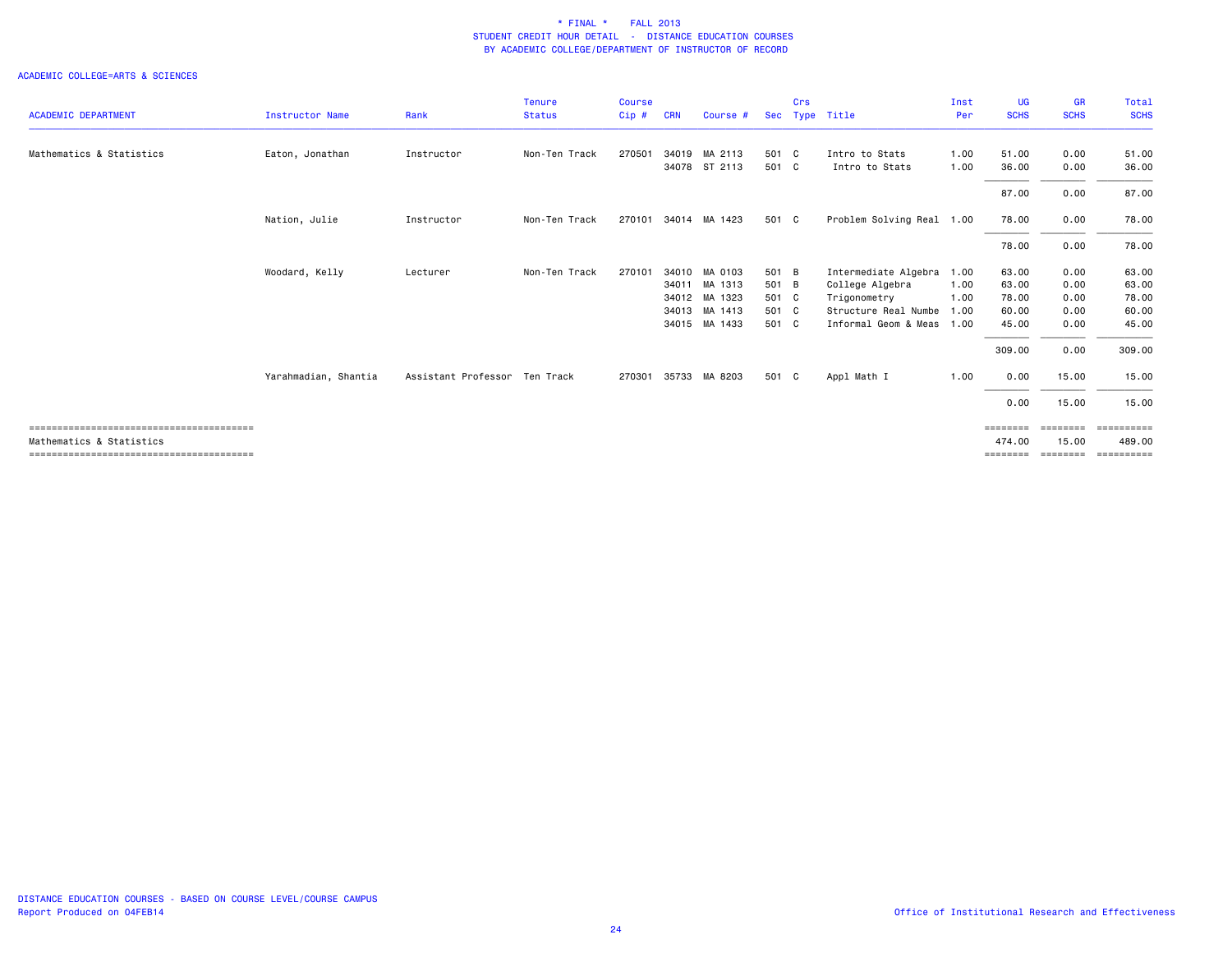|                            |                      |                               | <b>Tenure</b> | <b>Course</b> |            |               |       | Crs |                           | Inst | UG          | <b>GR</b>      | Total       |
|----------------------------|----------------------|-------------------------------|---------------|---------------|------------|---------------|-------|-----|---------------------------|------|-------------|----------------|-------------|
| <b>ACADEMIC DEPARTMENT</b> | Instructor Name      | Rank                          | <b>Status</b> | Cip#          | <b>CRN</b> | Course #      | Sec   |     | Type Title                | Per  | <b>SCHS</b> | <b>SCHS</b>    | <b>SCHS</b> |
| Mathematics & Statistics   | Eaton, Jonathan      | Instructor                    | Non-Ten Track | 270501        | 34019      | MA 2113       | 501 C |     | Intro to Stats            | 1.00 | 51.00       | 0.00           | 51.00       |
|                            |                      |                               |               |               |            | 34078 ST 2113 | 501 C |     | Intro to Stats            | 1.00 | 36.00       | 0.00           | 36.00       |
|                            |                      |                               |               |               |            |               |       |     |                           |      | 87.00       | 0.00           | 87.00       |
|                            | Nation, Julie        | Instructor                    | Non-Ten Track | 270101        |            | 34014 MA 1423 | 501 C |     | Problem Solving Real 1.00 |      | 78.00       | 0.00           | 78.00       |
|                            |                      |                               |               |               |            |               |       |     |                           |      | 78.00       | 0.00           | 78.00       |
|                            | Woodard, Kelly       | Lecturer                      | Non-Ten Track | 270101        | 34010      | MA 0103       | 501 B |     | Intermediate Algebra      | 1.00 | 63.00       | 0.00           | 63.00       |
|                            |                      |                               |               |               | 34011      | MA 1313       | 501 B |     | College Algebra           | 1.00 | 63.00       | 0.00           | 63.00       |
|                            |                      |                               |               |               |            | 34012 MA 1323 | 501 C |     | Trigonometry              | 1.00 | 78.00       | 0.00           | 78.00       |
|                            |                      |                               |               |               | 34013      | MA 1413       | 501 C |     | Structure Real Numbe      | 1.00 | 60.00       | 0.00           | 60.00       |
|                            |                      |                               |               |               |            | 34015 MA 1433 | 501 C |     | Informal Geom & Meas      | 1.00 | 45.00       | 0.00           | 45.00       |
|                            |                      |                               |               |               |            |               |       |     |                           |      | 309.00      | 0.00           | 309.00      |
|                            | Yarahmadian, Shantia | Assistant Professor Ten Track |               | 270301        |            | 35733 MA 8203 | 501 C |     | Appl Math I               | 1.00 | 0.00        | 15.00          | 15.00       |
|                            |                      |                               |               |               |            |               |       |     |                           |      | 0.00        | 15.00          | 15.00       |
|                            |                      |                               |               |               |            |               |       |     |                           |      | ========    | <b>EEEEEEE</b> | ==========  |
| Mathematics & Statistics   |                      |                               |               |               |            |               |       |     |                           |      | 474.00      | 15.00          | 489.00      |
|                            |                      |                               |               |               |            |               |       |     |                           |      | ========    | ========       | ==========  |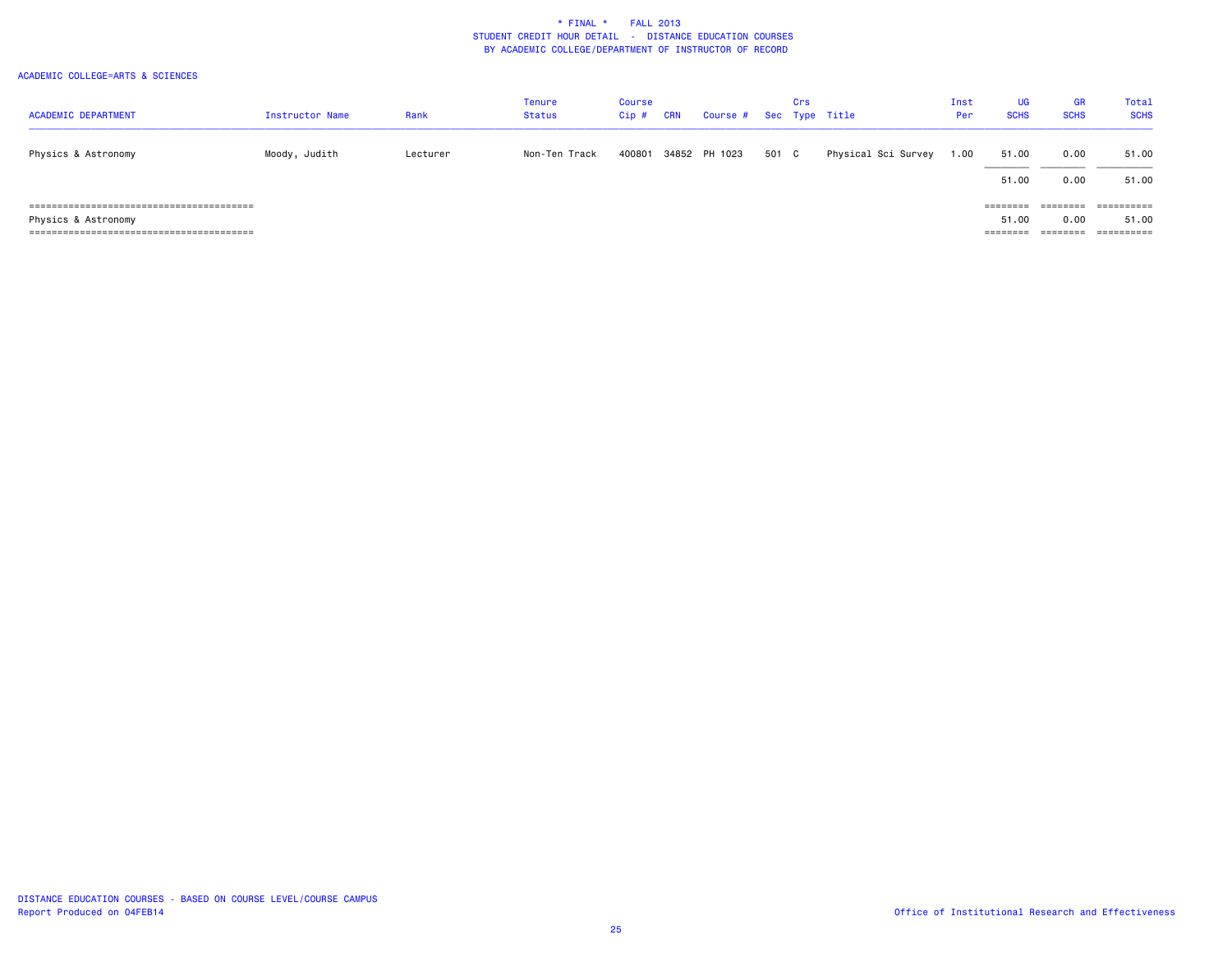| <b>ACADEMIC DEPARTMENT</b> | Instructor Name | Rank     | <b>Tenure</b><br><b>Status</b> | Course<br>$Cip$ # | <b>CRN</b> | Course # Sec Type Title |       | Crs |                     | Inst<br>Per | <b>UG</b><br><b>SCHS</b> | GR<br><b>SCHS</b>    | <b>Total</b><br><b>SCHS</b> |
|----------------------------|-----------------|----------|--------------------------------|-------------------|------------|-------------------------|-------|-----|---------------------|-------------|--------------------------|----------------------|-----------------------------|
| Physics & Astronomy        | Moody, Judith   | Lecturer | Non-Ten Track                  | 400801            |            | 34852 PH 1023           | 501 C |     | Physical Sci Survey | 1.00        | 51.00                    | 0.00                 | 51.00                       |
|                            |                 |          |                                |                   |            |                         |       |     |                     |             | 51.00                    | 0.00                 | 51.00                       |
|                            |                 |          |                                |                   |            |                         |       |     |                     |             | ========                 | ========             | ==========                  |
| Physics & Astronomy        |                 |          |                                |                   |            |                         |       |     |                     |             | 51.00                    | 0.00                 | 51.00                       |
|                            |                 |          |                                |                   |            |                         |       |     |                     |             | ========                 | --------<br>-------- | ==========                  |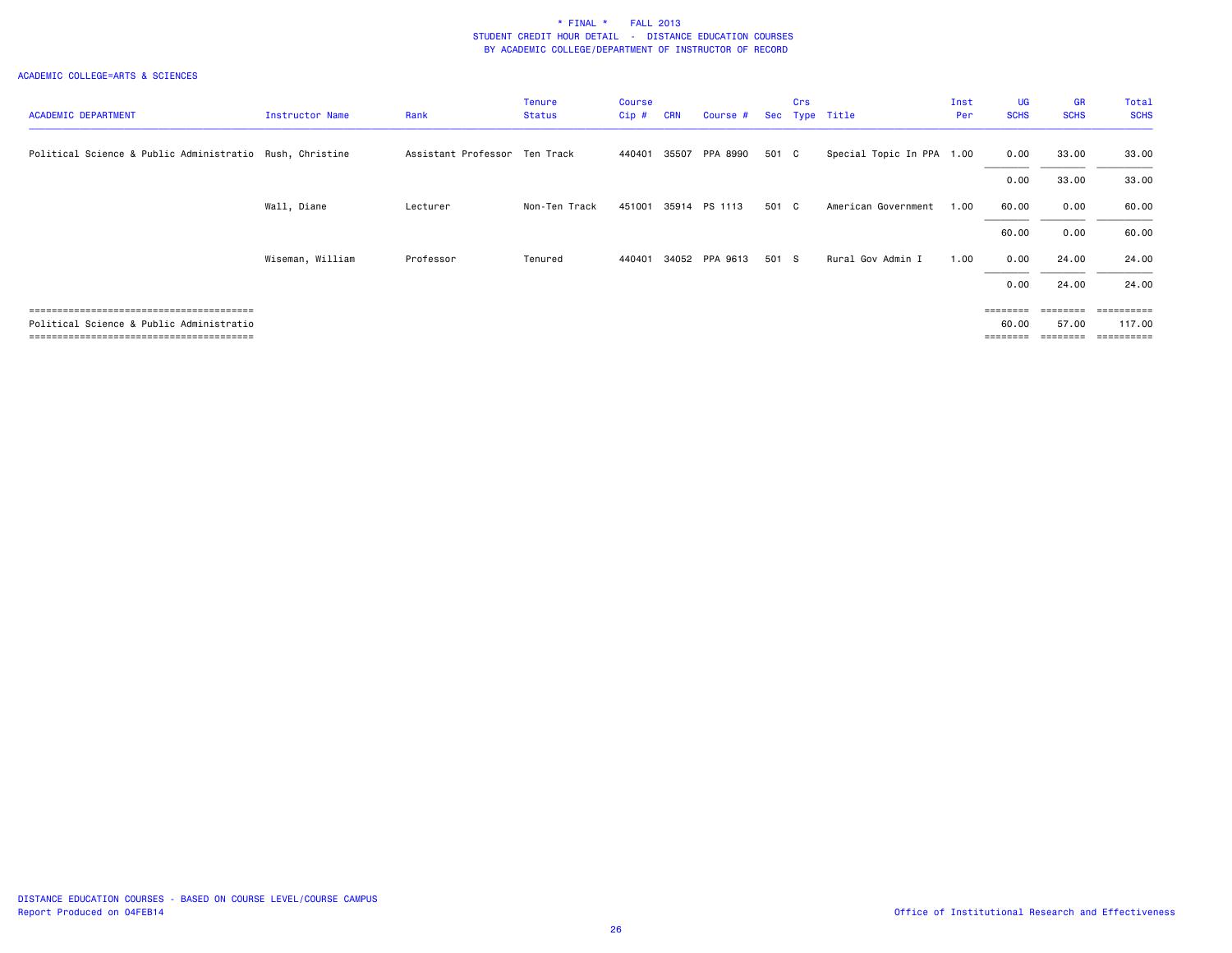| <b>ACADEMIC DEPARTMENT</b>                               | Instructor Name  | Rank                          | <b>Tenure</b><br><b>Status</b> | <b>Course</b><br>Cip# | <b>CRN</b> | Course #       |       | <b>Crs</b> | Sec Type Title            | Inst<br>Per | <b>UG</b><br><b>SCHS</b> | <b>GR</b><br><b>SCHS</b> | Total<br><b>SCHS</b>            |
|----------------------------------------------------------|------------------|-------------------------------|--------------------------------|-----------------------|------------|----------------|-------|------------|---------------------------|-------------|--------------------------|--------------------------|---------------------------------|
| Political Science & Public Administratio Rush, Christine |                  | Assistant Professor Ten Track |                                | 440401                |            | 35507 PPA 8990 | 501 C |            | Special Topic In PPA 1.00 |             | 0.00                     | 33.00                    | 33.00                           |
|                                                          |                  |                               |                                |                       |            |                |       |            |                           |             | 0.00                     | 33.00                    | 33.00                           |
|                                                          | Wall, Diane      | Lecturer                      | Non-Ten Track                  | 451001                |            | 35914 PS 1113  | 501 C |            | American Government       | 1.00        | 60.00                    | 0.00                     | 60.00                           |
|                                                          |                  |                               |                                |                       |            |                |       |            |                           |             | 60.00                    | 0.00                     | 60.00                           |
|                                                          | Wiseman, William | Professor                     | Tenured                        | 440401                |            | 34052 PPA 9613 | 501 S |            | Rural Gov Admin I         | 1.00        | 0.00                     | 24.00                    | 24.00                           |
|                                                          |                  |                               |                                |                       |            |                |       |            |                           |             | 0.00                     | 24,00                    | 24.00                           |
|                                                          |                  |                               |                                |                       |            |                |       |            |                           |             | <b>EEEEEEE</b>           | --------                 | ==========                      |
| Political Science & Public Administratio                 |                  |                               |                                |                       |            |                |       |            |                           |             | 60.00<br>======          | 57.00                    | 117.00<br>$=$ = = = = = = = = = |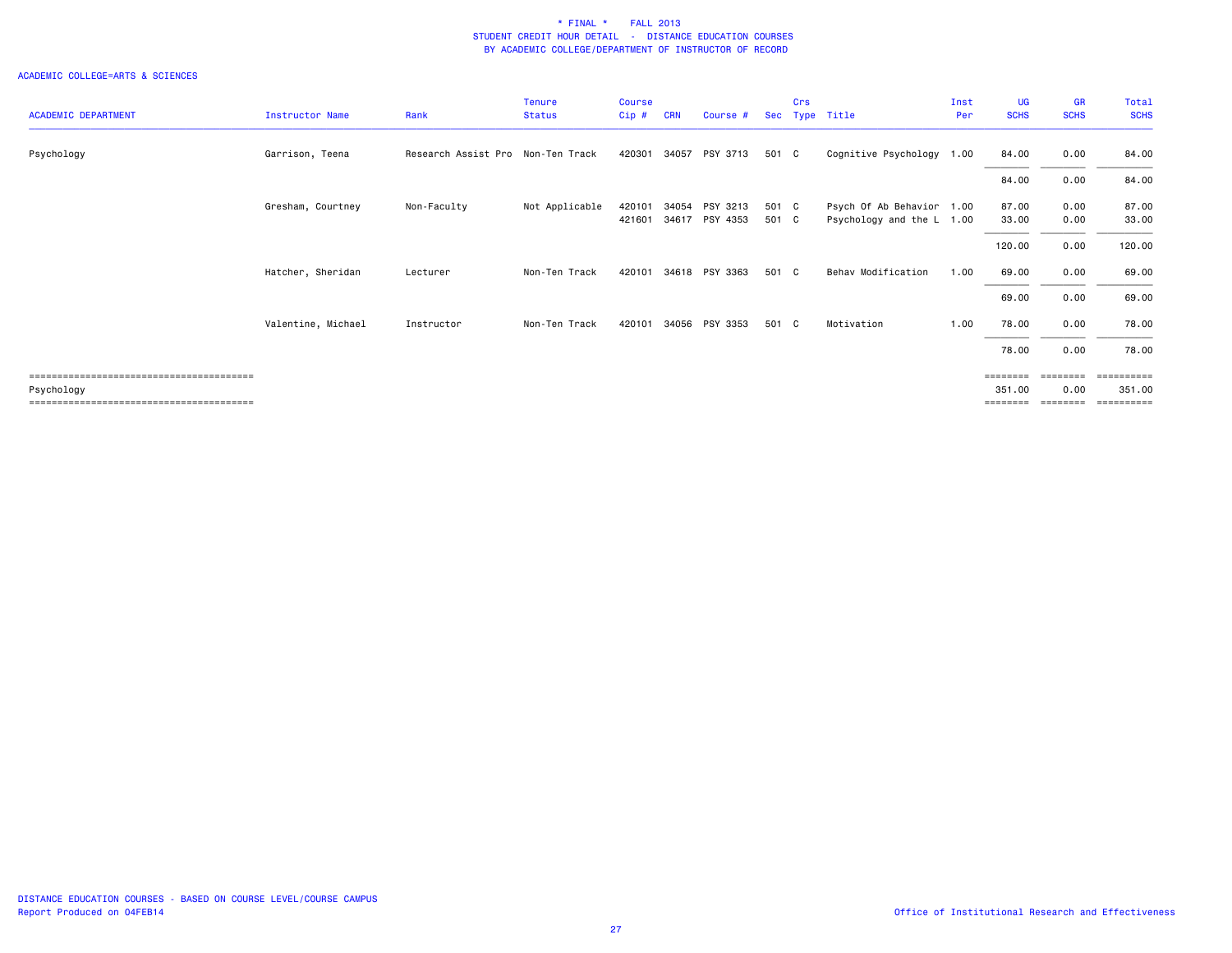|                            |                        |                                   | <b>Tenure</b>  | <b>Course</b> |            |                |            | Crs |                           | Inst | <b>UG</b>         | <b>GR</b>   | Total       |
|----------------------------|------------------------|-----------------------------------|----------------|---------------|------------|----------------|------------|-----|---------------------------|------|-------------------|-------------|-------------|
| <b>ACADEMIC DEPARTMENT</b> | <b>Instructor Name</b> | Rank                              | <b>Status</b>  | Cip#          | <b>CRN</b> | Course #       | <b>Sec</b> |     | Type Title                | Per  | <b>SCHS</b>       | <b>SCHS</b> | <b>SCHS</b> |
| Psychology                 | Garrison, Teena        | Research Assist Pro Non-Ten Track |                | 420301        | 34057      | PSY 3713       | 501 C      |     | Cognitive Psychology 1.00 |      | 84.00             | 0.00        | 84.00       |
|                            |                        |                                   |                |               |            |                |            |     |                           |      | 84.00             | 0.00        | 84.00       |
|                            | Gresham, Courtney      | Non-Faculty                       | Not Applicable | 420101        | 34054      | PSY 3213       | 501 C      |     | Psych Of Ab Behavior 1.00 |      | 87.00             | 0.00        | 87.00       |
|                            |                        |                                   |                | 421601        |            | 34617 PSY 4353 | 501 C      |     | Psychology and the L 1.00 |      | 33.00             | 0.00        | 33.00       |
|                            |                        |                                   |                |               |            |                |            |     |                           |      | 120.00            | 0.00        | 120.00      |
|                            | Hatcher, Sheridan      | Lecturer                          | Non-Ten Track  | 420101        |            | 34618 PSY 3363 | 501 C      |     | Behav Modification        | 1.00 | 69.00             | 0.00        | 69.00       |
|                            |                        |                                   |                |               |            |                |            |     |                           |      | 69.00             | 0.00        | 69.00       |
|                            | Valentine, Michael     | Instructor                        | Non-Ten Track  | 420101        |            | 34056 PSY 3353 | 501 C      |     | Motivation                | 1.00 | 78.00             | 0.00        | 78.00       |
|                            |                        |                                   |                |               |            |                |            |     |                           |      | 78.00             | 0.00        | 78.00       |
|                            |                        |                                   |                |               |            |                |            |     |                           |      | $=$ = = = = = = = |             | ========    |
| Psychology                 |                        |                                   |                |               |            |                |            |     |                           |      | 351.00            | 0.00        | 351.00      |
|                            |                        |                                   |                |               |            |                |            |     |                           |      | ========          | ========    | ==========  |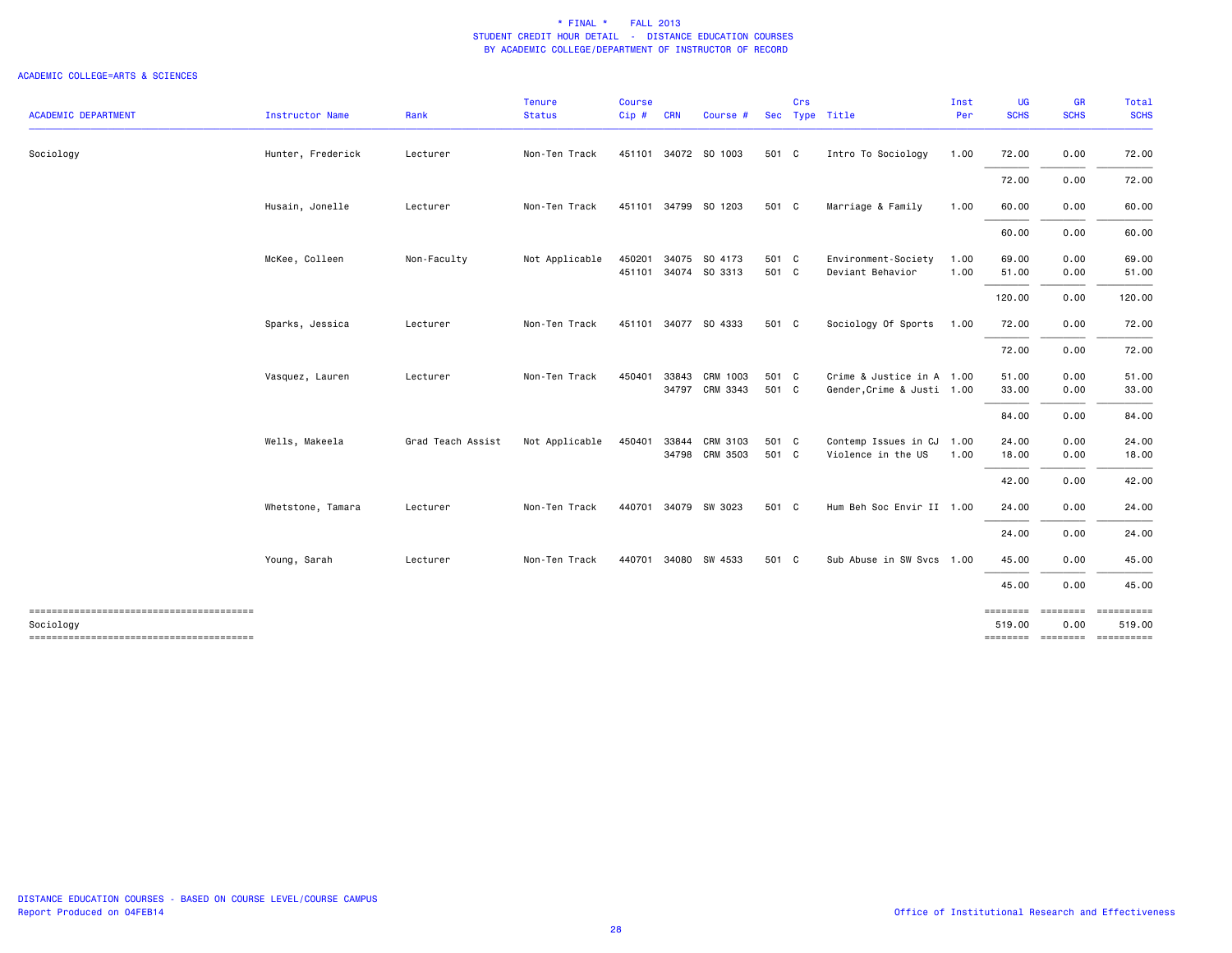|                            |                        |                   | <b>Tenure</b>  | Course |            |                                 |                | Crs |                                                         | Inst         | UG                                                | <b>GR</b>         | <b>Total</b>        |
|----------------------------|------------------------|-------------------|----------------|--------|------------|---------------------------------|----------------|-----|---------------------------------------------------------|--------------|---------------------------------------------------|-------------------|---------------------|
| <b>ACADEMIC DEPARTMENT</b> | <b>Instructor Name</b> | Rank              | <b>Status</b>  | Cip#   | <b>CRN</b> | Course #                        |                |     | Sec Type Title                                          | Per          | <b>SCHS</b>                                       | <b>SCHS</b>       | <b>SCHS</b>         |
| Sociology                  | Hunter, Frederick      | Lecturer          | Non-Ten Track  |        |            | 451101 34072 SO 1003            | 501 C          |     | Intro To Sociology                                      | 1.00         | 72.00                                             | 0.00              | 72.00               |
|                            |                        |                   |                |        |            |                                 |                |     |                                                         |              | 72.00                                             | 0.00              | 72.00               |
|                            | Husain, Jonelle        | Lecturer          | Non-Ten Track  |        |            | 451101 34799 SO 1203            | 501 C          |     | Marriage & Family                                       | 1.00         | 60.00                                             | 0.00              | 60.00               |
|                            |                        |                   |                |        |            |                                 |                |     |                                                         |              | 60.00                                             | 0.00              | 60.00               |
|                            | McKee, Colleen         | Non-Faculty       | Not Applicable | 450201 | 34075      | SO 4173<br>451101 34074 SO 3313 | 501 C<br>501 C |     | Environment-Society<br>Deviant Behavior                 | 1.00<br>1.00 | 69.00<br>51.00                                    | 0.00<br>0.00      | 69.00<br>51.00      |
|                            |                        |                   |                |        |            |                                 |                |     |                                                         |              | 120.00                                            | 0.00              | 120.00              |
|                            | Sparks, Jessica        | Lecturer          | Non-Ten Track  |        |            | 451101 34077 SO 4333            | 501 C          |     | Sociology Of Sports                                     | 1.00         | 72.00                                             | 0.00              | 72.00               |
|                            |                        |                   |                |        |            |                                 |                |     |                                                         |              | 72.00                                             | 0.00              | 72.00               |
|                            | Vasquez, Lauren        | Lecturer          | Non-Ten Track  | 450401 | 33843      | CRM 1003<br>34797 CRM 3343      | 501 C<br>501 C |     | Crime & Justice in A 1.00<br>Gender, Crime & Justi 1.00 |              | 51.00<br>33.00                                    | 0.00<br>0.00      | 51.00<br>33.00      |
|                            |                        |                   |                |        |            |                                 |                |     |                                                         |              | 84.00                                             | 0.00              | 84.00               |
|                            | Wells, Makeela         | Grad Teach Assist | Not Applicable | 450401 | 33844      | CRM 3103<br>34798 CRM 3503      | 501 C<br>501 C |     | Contemp Issues in CJ 1.00<br>Violence in the US         | 1.00         | 24.00<br>18.00                                    | 0.00<br>0.00      | 24.00<br>18.00      |
|                            |                        |                   |                |        |            |                                 |                |     |                                                         |              | 42.00                                             | 0.00              | 42.00               |
|                            | Whetstone, Tamara      | Lecturer          | Non-Ten Track  |        |            | 440701 34079 SW 3023            | 501 C          |     | Hum Beh Soc Envir II 1.00                               |              | 24.00                                             | 0.00              | 24.00               |
|                            |                        |                   |                |        |            |                                 |                |     |                                                         |              | 24.00                                             | 0.00              | 24.00               |
|                            | Young, Sarah           | Lecturer          | Non-Ten Track  | 440701 |            | 34080 SW 4533                   | 501 C          |     | Sub Abuse in SW Svcs 1.00                               |              | 45.00                                             | 0.00              | 45.00               |
|                            |                        |                   |                |        |            |                                 |                |     |                                                         |              | 45.00                                             | 0.00              | 45.00               |
| Sociology                  |                        |                   |                |        |            |                                 |                |     |                                                         |              | ========<br>519.00<br>-------- -------- --------- | ---------<br>0.00 | essessess<br>519.00 |
|                            |                        |                   |                |        |            |                                 |                |     |                                                         |              |                                                   |                   |                     |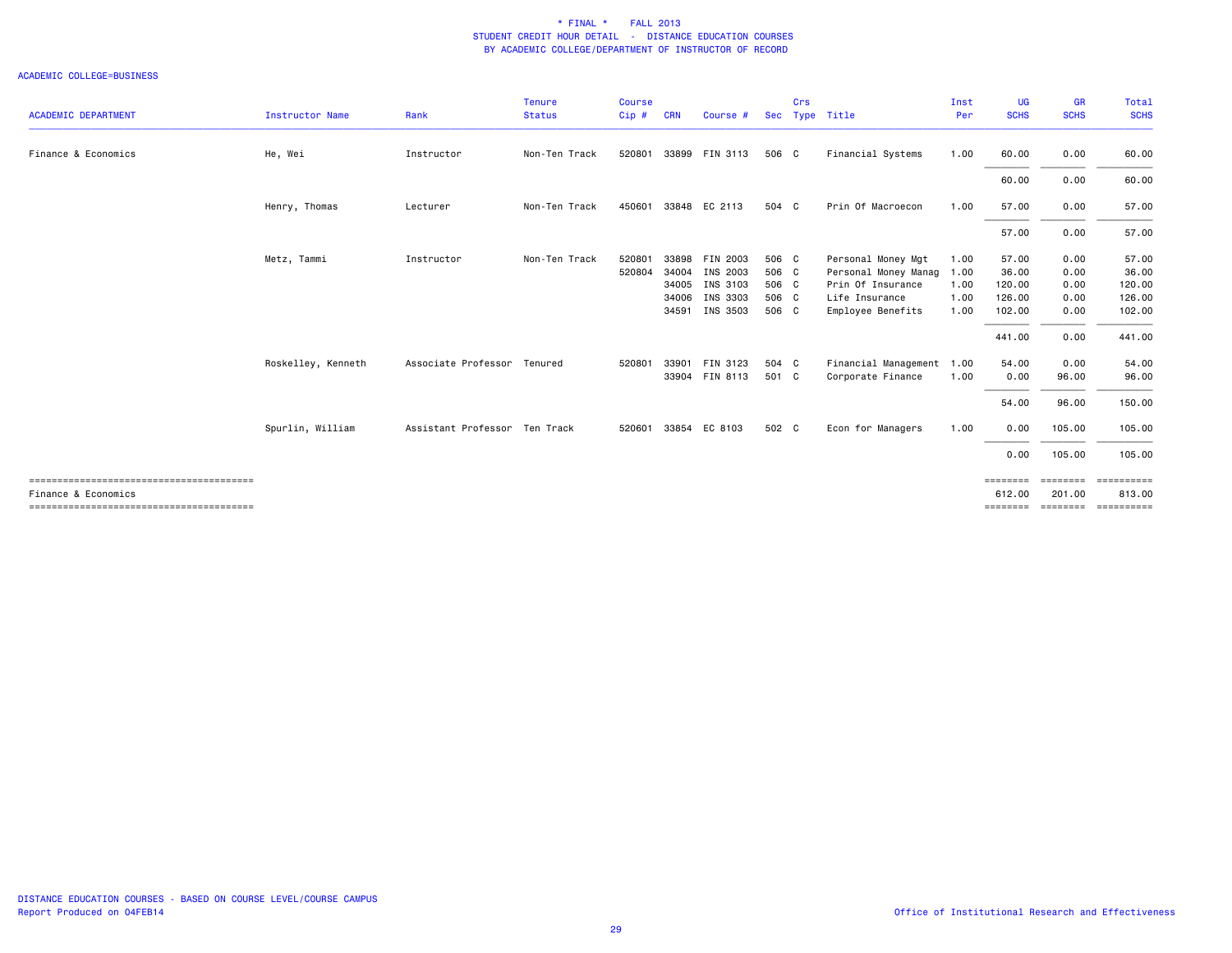|                            |                    |                               | <b>Tenure</b> | <b>Course</b> |            |                |       | Crs |                           | Inst | <b>UG</b>          | <b>GR</b>          | <b>Total</b>         |
|----------------------------|--------------------|-------------------------------|---------------|---------------|------------|----------------|-------|-----|---------------------------|------|--------------------|--------------------|----------------------|
| <b>ACADEMIC DEPARTMENT</b> | Instructor Name    | Rank                          | <b>Status</b> | Cip#          | <b>CRN</b> | Course #       |       |     | Sec Type Title            | Per  | <b>SCHS</b>        | <b>SCHS</b>        | <b>SCHS</b>          |
| Finance & Economics        | He, Wei            | Instructor                    | Non-Ten Track | 520801        |            | 33899 FIN 3113 | 506 C |     | Financial Systems         | 1.00 | 60.00              | 0.00               | 60.00                |
|                            |                    |                               |               |               |            |                |       |     |                           |      | 60.00              | 0.00               | 60.00                |
|                            | Henry, Thomas      | Lecturer                      | Non-Ten Track | 450601        | 33848      | EC 2113        | 504 C |     | Prin Of Macroecon         | 1.00 | 57.00              | 0.00               | 57.00                |
|                            |                    |                               |               |               |            |                |       |     |                           |      | 57.00              | 0.00               | 57.00                |
|                            | Metz, Tammi        | Instructor                    | Non-Ten Track | 520801        | 33898      | FIN 2003       | 506 C |     | Personal Money Mgt        | 1.00 | 57.00              | 0.00               | 57.00                |
|                            |                    |                               |               | 520804        | 34004      | INS 2003       | 506 C |     | Personal Money Manag      | 1.00 | 36.00              | 0.00               | 36.00                |
|                            |                    |                               |               |               | 34005      | INS 3103       | 506 C |     | Prin Of Insurance         | 1.00 | 120.00             | 0.00               | 120.00               |
|                            |                    |                               |               |               | 34006      | INS 3303       | 506 C |     | Life Insurance            | 1.00 | 126.00             | 0.00               | 126.00               |
|                            |                    |                               |               |               |            | 34591 INS 3503 | 506 C |     | Employee Benefits         | 1.00 | 102.00             | 0.00               | 102.00               |
|                            |                    |                               |               |               |            |                |       |     |                           |      | 441.00             | 0.00               | 441.00               |
|                            | Roskelley, Kenneth | Associate Professor Tenured   |               | 520801        | 33901      | FIN 3123       | 504 C |     | Financial Management 1.00 |      | 54.00              | 0.00               | 54.00                |
|                            |                    |                               |               |               | 33904      | FIN 8113       | 501 C |     | Corporate Finance         | 1.00 | 0.00               | 96.00              | 96.00                |
|                            |                    |                               |               |               |            |                |       |     |                           |      | 54.00              | 96.00              | 150.00               |
|                            | Spurlin, William   | Assistant Professor Ten Track |               | 520601        | 33854      | EC 8103        | 502 C |     | Econ for Managers         | 1.00 | 0.00               | 105.00             | 105.00               |
|                            |                    |                               |               |               |            |                |       |     |                           |      | 0.00               | 105.00             | 105.00               |
| Finance & Economics        |                    |                               |               |               |            |                |       |     |                           |      | ========<br>612.00 | ========<br>201.00 | ==========<br>813.00 |
|                            |                    |                               |               |               |            |                |       |     |                           |      | ========           |                    | -------------------- |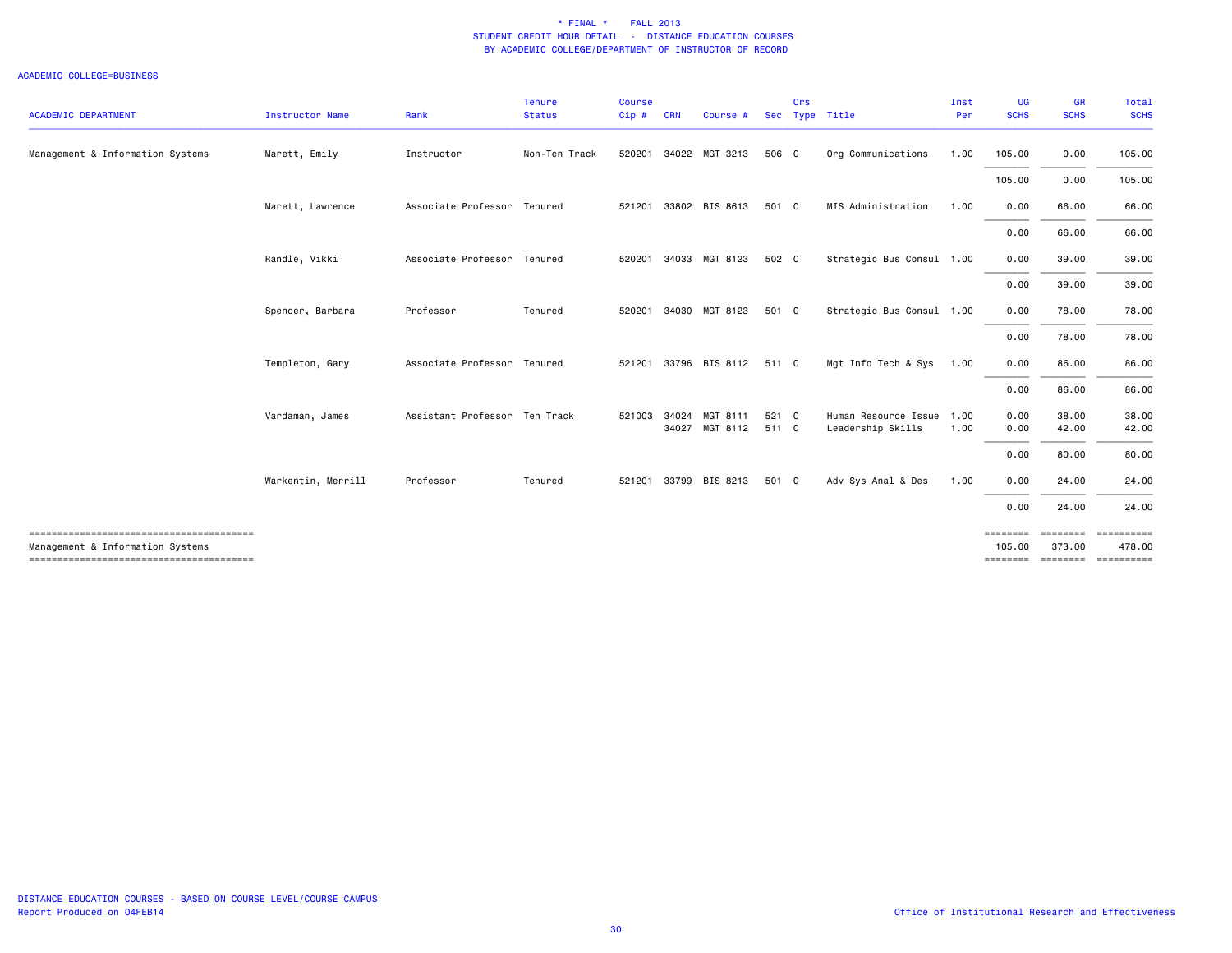| <b>ACADEMIC DEPARTMENT</b>       | <b>Instructor Name</b> | Rank                          | <b>Tenure</b><br><b>Status</b> | <b>Course</b><br>Cip# | <b>CRN</b>   | Course #                   |                | Crs | Sec Type Title                                 | Inst<br>Per | <b>UG</b><br><b>SCHS</b>                | <b>GR</b><br><b>SCHS</b> | Total<br><b>SCHS</b>                       |
|----------------------------------|------------------------|-------------------------------|--------------------------------|-----------------------|--------------|----------------------------|----------------|-----|------------------------------------------------|-------------|-----------------------------------------|--------------------------|--------------------------------------------|
| Management & Information Systems | Marett, Emily          | Instructor                    | Non-Ten Track                  | 520201                |              | 34022 MGT 3213             | 506 C          |     | Org Communications                             | 1.00        | 105.00                                  | 0.00                     | 105.00                                     |
|                                  |                        |                               |                                |                       |              |                            |                |     |                                                |             | 105.00                                  | 0.00                     | 105.00                                     |
|                                  | Marett, Lawrence       | Associate Professor Tenured   |                                | 521201                |              | 33802 BIS 8613             | 501 C          |     | MIS Administration                             | 1.00        | 0.00                                    | 66.00                    | 66.00                                      |
|                                  |                        |                               |                                |                       |              |                            |                |     |                                                |             | 0.00                                    | 66.00                    | 66.00                                      |
|                                  | Randle, Vikki          | Associate Professor Tenured   |                                | 520201                |              | 34033 MGT 8123             | 502 C          |     | Strategic Bus Consul 1.00                      |             | 0.00                                    | 39.00                    | 39.00                                      |
|                                  |                        |                               |                                |                       |              |                            |                |     |                                                |             | 0.00                                    | 39.00                    | 39.00                                      |
|                                  | Spencer, Barbara       | Professor                     | Tenured                        | 520201                |              | 34030 MGT 8123             | 501 C          |     | Strategic Bus Consul 1.00                      |             | 0.00                                    | 78.00                    | 78.00                                      |
|                                  |                        |                               |                                |                       |              |                            |                |     |                                                |             | 0.00                                    | 78.00                    | 78.00                                      |
|                                  | Templeton, Gary        | Associate Professor Tenured   |                                |                       |              | 521201 33796 BIS 8112      | 511 C          |     | Mgt Info Tech & Sys                            | 1.00        | 0.00                                    | 86.00                    | 86.00                                      |
|                                  |                        |                               |                                |                       |              |                            |                |     |                                                |             | 0.00                                    | 86.00                    | 86.00                                      |
|                                  | Vardaman, James        | Assistant Professor Ten Track |                                |                       | 521003 34024 | MGT 8111<br>34027 MGT 8112 | 521 C<br>511 C |     | Human Resource Issue 1.00<br>Leadership Skills | 1.00        | 0.00<br>0.00                            | 38.00<br>42.00           | 38.00<br>42.00                             |
|                                  |                        |                               |                                |                       |              |                            |                |     |                                                |             | 0.00                                    | 80.00                    | 80.00                                      |
|                                  | Warkentin, Merrill     | Professor                     | Tenured                        | 521201                |              | 33799 BIS 8213             | 501 C          |     | Adv Sys Anal & Des                             | 1.00        | 0.00                                    | 24.00                    | 24.00                                      |
|                                  |                        |                               |                                |                       |              |                            |                |     |                                                |             | 0.00                                    | 24.00                    | 24.00                                      |
| Management & Information Systems |                        |                               |                                |                       |              |                            |                |     |                                                |             | $=$ = = = = = = =<br>105.00<br>======== | ========<br>373.00       | essessess<br>478.00<br>=================== |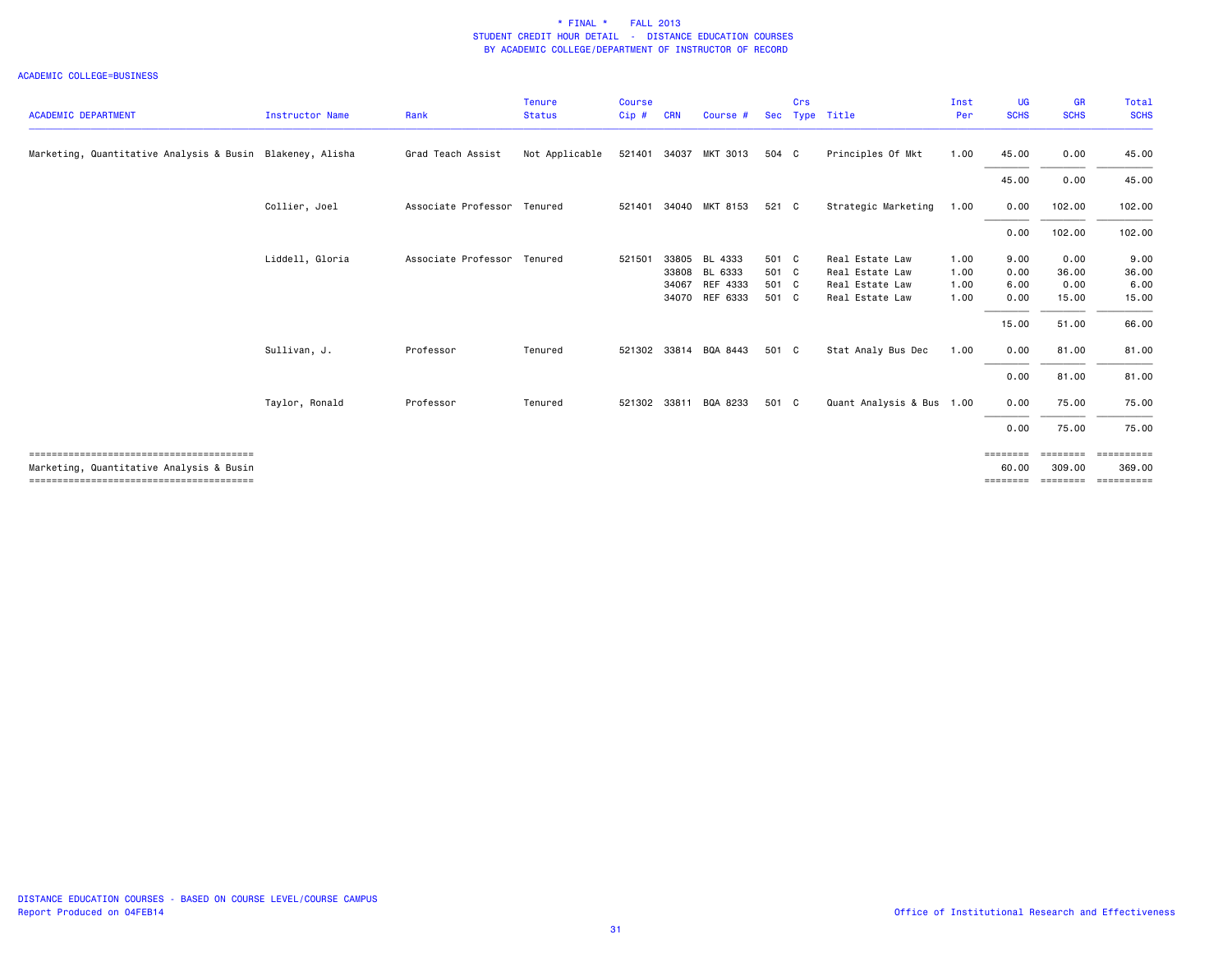| <b>ACADEMIC DEPARTMENT</b>                                | <b>Instructor Name</b> | Rank                        | <b>Tenure</b><br><b>Status</b> | <b>Course</b><br>Cip# | <b>CRN</b> | Course #       | Sec   | Crs | Type Title                | Inst<br>Per | <b>UG</b><br><b>SCHS</b> | <b>GR</b><br><b>SCHS</b> | Total<br><b>SCHS</b>  |
|-----------------------------------------------------------|------------------------|-----------------------------|--------------------------------|-----------------------|------------|----------------|-------|-----|---------------------------|-------------|--------------------------|--------------------------|-----------------------|
| Marketing, Quantitative Analysis & Busin Blakeney, Alisha |                        | Grad Teach Assist           | Not Applicable                 | 521401                | 34037      | MKT 3013       | 504 C |     | Principles Of Mkt         | 1.00        | 45.00                    | 0.00                     | 45.00                 |
|                                                           |                        |                             |                                |                       |            |                |       |     |                           |             | 45.00                    | 0.00                     | 45.00                 |
|                                                           | Collier, Joel          | Associate Professor Tenured |                                | 521401                |            | 34040 MKT 8153 | 521 C |     | Strategic Marketing       | 1.00        | 0.00                     | 102.00                   | 102.00                |
|                                                           |                        |                             |                                |                       |            |                |       |     |                           |             | 0.00                     | 102.00                   | 102.00                |
|                                                           | Liddell, Gloria        | Associate Professor         | Tenured                        | 521501                | 33805      | BL 4333        | 501 C |     | Real Estate Law           | 1.00        | 9.00                     | 0.00                     | 9.00                  |
|                                                           |                        |                             |                                |                       | 33808      | BL 6333        | 501 C |     | Real Estate Law           | 1.00        | 0.00                     | 36.00                    | 36.00                 |
|                                                           |                        |                             |                                |                       | 34067      | REF 4333       | 501 C |     | Real Estate Law           | 1.00        | 6.00                     | 0.00                     | 6.00                  |
|                                                           |                        |                             |                                |                       | 34070      | REF 6333       | 501 C |     | Real Estate Law           | 1.00        | 0.00                     | 15.00                    | 15.00                 |
|                                                           |                        |                             |                                |                       |            |                |       |     |                           |             | 15.00                    | 51.00                    | 66.00                 |
|                                                           | Sullivan, J.           | Professor                   | Tenured                        | 521302                |            | 33814 BQA 8443 | 501 C |     | Stat Analy Bus Dec        | 1.00        | 0.00                     | 81.00                    | 81.00                 |
|                                                           |                        |                             |                                |                       |            |                |       |     |                           |             | 0.00                     | 81.00                    | 81.00                 |
|                                                           | Taylor, Ronald         | Professor                   | Tenured                        | 521302                | 33811      | BQA 8233       | 501 C |     | Quant Analysis & Bus 1.00 |             | 0.00                     | 75.00                    | 75.00                 |
|                                                           |                        |                             |                                |                       |            |                |       |     |                           |             | 0.00                     | 75.00                    | 75.00                 |
|                                                           |                        |                             |                                |                       |            |                |       |     |                           |             | ========                 | ========                 | ==========            |
| Marketing, Quantitative Analysis & Busin                  |                        |                             |                                |                       |            |                |       |     |                           |             | 60.00                    | 309.00                   | 369,00<br>___________ |
|                                                           |                        |                             |                                |                       |            |                |       |     |                           |             | ---------                | ========                 |                       |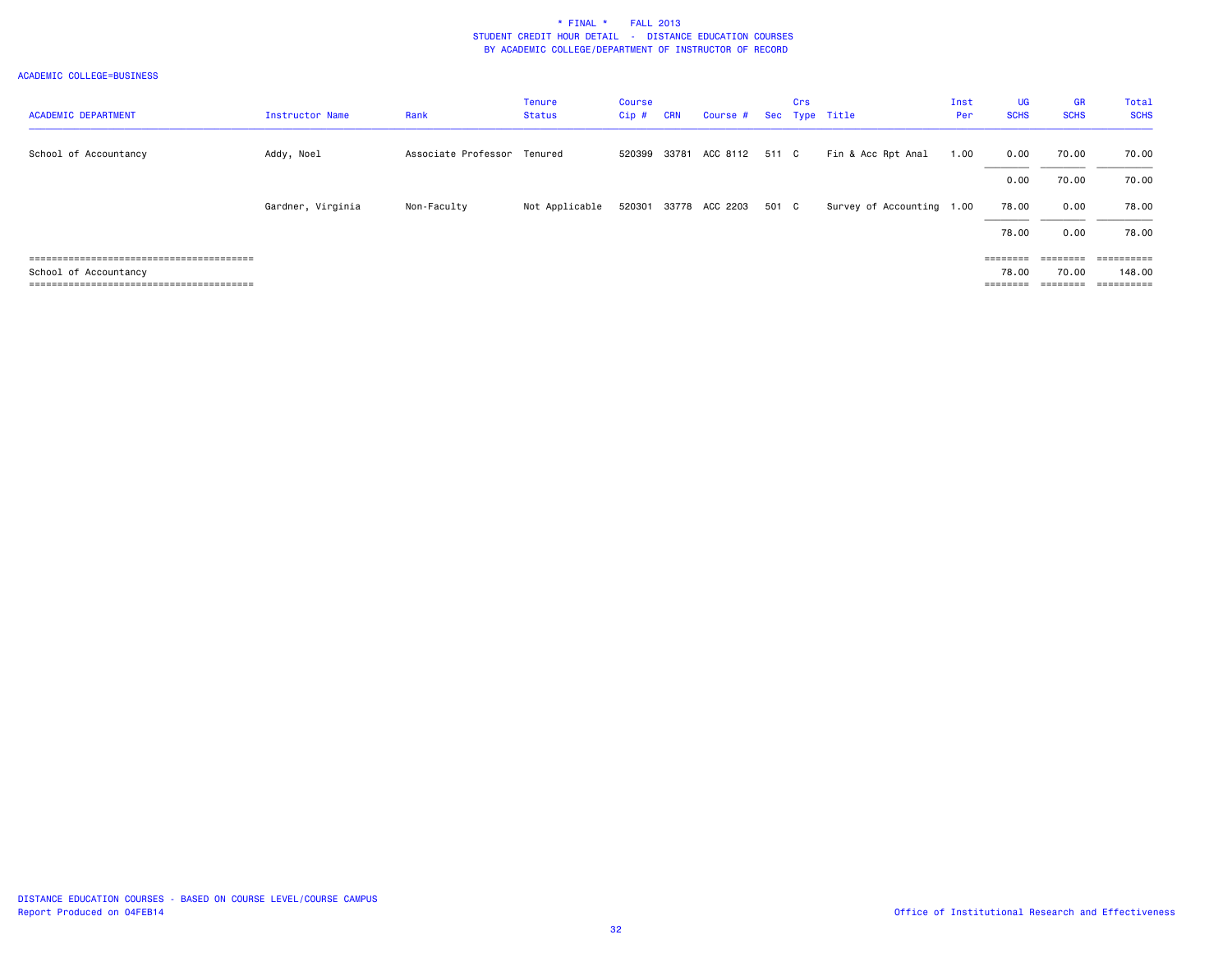|                            |                   |                             | <b>Tenure</b>  | Course  |            |                       |       | Crs |                           | Inst | <b>UG</b>                                                               | <b>GR</b>         | Total       |
|----------------------------|-------------------|-----------------------------|----------------|---------|------------|-----------------------|-------|-----|---------------------------|------|-------------------------------------------------------------------------|-------------------|-------------|
| <b>ACADEMIC DEPARTMENT</b> | Instructor Name   | Rank                        | <b>Status</b>  | $Cip$ # | <b>CRN</b> | Course #              |       |     | Sec Type Title            | Per  | <b>SCHS</b>                                                             | <b>SCHS</b>       | <b>SCHS</b> |
|                            |                   |                             |                |         |            |                       |       |     |                           |      |                                                                         |                   |             |
| School of Accountancy      | Addy, Noel        | Associate Professor Tenured |                | 520399  |            | 33781 ACC 8112        | 511 C |     | Fin & Acc Rpt Anal        | 1.00 | 0.00                                                                    | 70.00             | 70.00       |
|                            |                   |                             |                |         |            |                       |       |     |                           |      | 0.00                                                                    | 70.00             | 70.00       |
|                            | Gardner, Virginia | Non-Faculty                 | Not Applicable |         |            | 520301 33778 ACC 2203 | 501 C |     | Survey of Accounting 1.00 |      | 78.00                                                                   | 0.00              | 78.00       |
|                            |                   |                             |                |         |            |                       |       |     |                           |      | 78.00                                                                   | 0.00              | 78.00       |
|                            |                   |                             |                |         |            |                       |       |     |                           |      | $\qquad \qquad \equiv \equiv \equiv \equiv \equiv \equiv \equiv \equiv$ | $=$ = = = = = = = |             |
| School of Accountancy      |                   |                             |                |         |            |                       |       |     |                           |      | 78.00                                                                   | 70.00             | 148.00      |
|                            |                   |                             |                |         |            |                       |       |     |                           |      | $\qquad \qquad \equiv \equiv \equiv \equiv \equiv \equiv \equiv \equiv$ | $=$ = = = = = = = | ==========  |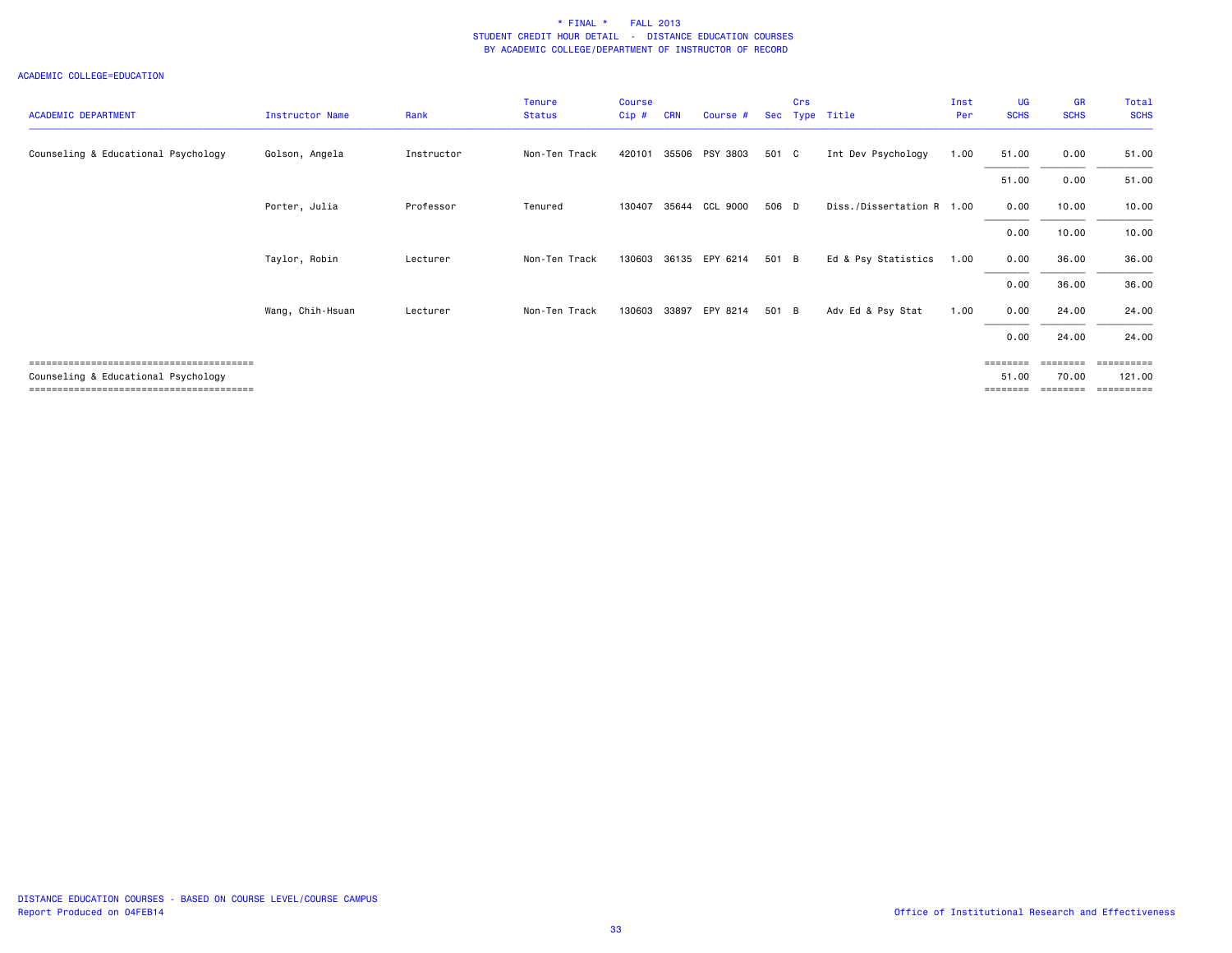| <b>ACADEMIC DEPARTMENT</b>          | Instructor Name  | Rank       | Tenure<br><b>Status</b> | <b>Course</b><br>Cip# | <b>CRN</b> | Course #       | <b>Sec</b> | Crs | Type Title                | Inst<br>Per | <b>UG</b><br><b>SCHS</b>              | <b>GR</b><br><b>SCHS</b>               | Total<br><b>SCHS</b>               |
|-------------------------------------|------------------|------------|-------------------------|-----------------------|------------|----------------|------------|-----|---------------------------|-------------|---------------------------------------|----------------------------------------|------------------------------------|
| Counseling & Educational Psychology | Golson, Angela   | Instructor | Non-Ten Track           | 420101                | 35506      | PSY 3803       | 501 C      |     | Int Dev Psychology        | 1.00        | 51.00                                 | 0.00                                   | 51.00                              |
|                                     |                  |            |                         |                       |            |                |            |     |                           |             | 51.00                                 | 0.00                                   | 51.00                              |
|                                     | Porter, Julia    | Professor  | Tenured                 | 130407                | 35644      | CCL 9000       | 506 D      |     | Diss./Dissertation R 1.00 |             | 0.00                                  | 10.00                                  | 10.00                              |
|                                     |                  |            |                         |                       |            |                |            |     |                           |             | 0.00                                  | 10.00                                  | 10.00                              |
|                                     | Taylor, Robin    | Lecturer   | Non-Ten Track           | 130603                |            | 36135 EPY 6214 | 501 B      |     | Ed & Psy Statistics       | 1.00        | 0.00                                  | 36.00                                  | 36.00                              |
|                                     |                  |            |                         |                       |            |                |            |     |                           |             | 0.00                                  | 36.00                                  | 36.00                              |
|                                     | Wang, Chih-Hsuan | Lecturer   | Non-Ten Track           | 130603                | 33897      | EPY 8214       | 501 B      |     | Adv Ed & Psy Stat         | 1.00        | 0.00                                  | 24.00                                  | 24.00                              |
|                                     |                  |            |                         |                       |            |                |            |     |                           |             | 0.00                                  | 24.00                                  | 24.00                              |
| Counseling & Educational Psychology |                  |            |                         |                       |            |                |            |     |                           |             | $=$ = = = = = = =<br>51.00<br>======= | ========<br>70.00<br>$=$ = = = = = = = | ==========<br>121.00<br>========== |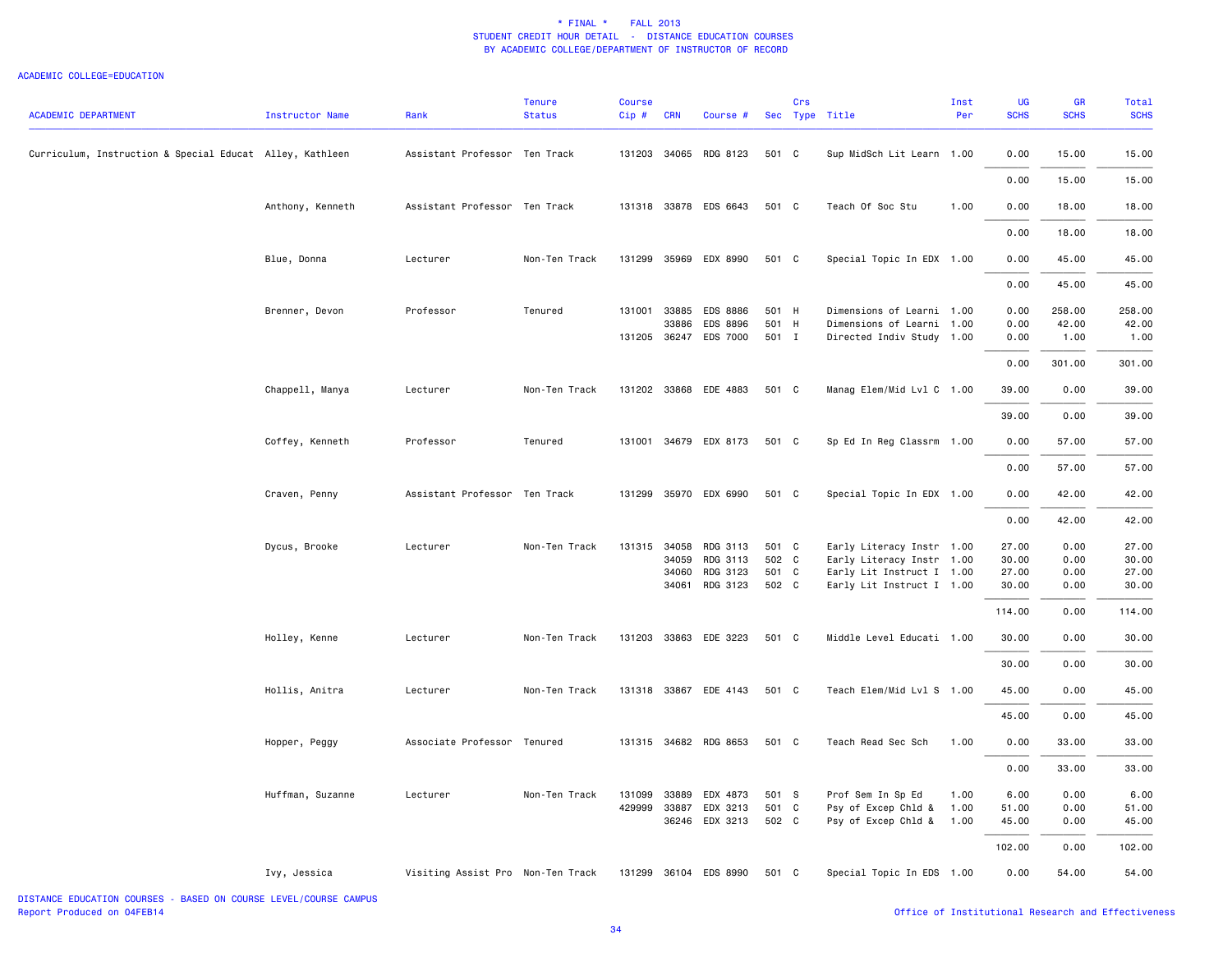#### ACADEMIC COLLEGE=EDUCATION

| Curriculum, Instruction & Special Educat Alley, Kathleen<br>Assistant Professor Ten Track<br>131203 34065 RDG 8123<br>501 C<br>Sup MidSch Lit Learn 1.00<br>0.00<br>15.00<br>0.00<br>15.00<br>Assistant Professor Ten Track<br>131318 33878 EDS 6643<br>501 C<br>Teach Of Soc Stu<br>1.00<br>0.00<br>18.00<br>Anthony, Kenneth<br>0.00<br>18.00<br>131299<br>35969 EDX 8990<br>501 C<br>Special Topic In EDX 1.00<br>0.00<br>45.00<br>Blue, Donna<br>Lecturer<br>Non-Ten Track<br>0.00<br>45.00<br>Brenner, Devon<br>Professor<br>Tenured<br>131001<br>33885<br>EDS 8886<br>501 H<br>Dimensions of Learni 1.00<br>0.00<br>258.00<br>33886<br>EDS 8896<br>501 H<br>Dimensions of Learni 1.00<br>42.00<br>0.00<br>131205 36247 EDS 7000<br>501 I<br>Directed Indiv Study 1.00<br>1.00<br>0.00<br>0.00<br>301.00<br>Chappell, Manya<br>Lecturer<br>Non-Ten Track<br>131202 33868 EDE 4883<br>501 C<br>Manag Elem/Mid Lvl C 1.00<br>39.00<br>0.00<br>0.00<br>39.00<br>Coffey, Kenneth<br>Tenured<br>131001 34679 EDX 8173<br>501 C<br>Sp Ed In Reg Classrm 1.00<br>0.00<br>57.00<br>Professor<br>0.00<br>57.00<br>Assistant Professor Ten Track<br>131299<br>35970 EDX 6990<br>501 C<br>Special Topic In EDX 1.00<br>0.00<br>42.00<br>Craven, Penny<br>0.00<br>42.00<br>Dycus, Brooke<br>Lecturer<br>Non-Ten Track<br>131315<br>34058<br>RDG 3113<br>501 C<br>Early Literacy Instr 1.00<br>27.00<br>0.00<br>502 C<br>34059<br>RDG 3113<br>Early Literacy Instr 1.00<br>30.00<br>0.00<br>34060<br>RDG 3123<br>501 C<br>Early Lit Instruct I 1.00<br>27.00<br>0.00<br>34061 RDG 3123<br>502 C<br>Early Lit Instruct I 1.00<br>30.00<br>0.00<br>114.00<br>0.00<br>33863 EDE 3223<br>Middle Level Educati 1.00<br>0.00<br>Holley, Kenne<br>Lecturer<br>Non-Ten Track<br>131203<br>501 C<br>30.00<br>0.00<br>30.00<br>Hollis, Anitra<br>Lecturer<br>Non-Ten Track<br>131318 33867 EDE 4143<br>501 C<br>Teach Elem/Mid Lvl S 1.00<br>45.00<br>0.00<br>45.00<br>0.00<br>Associate Professor Tenured<br>131315 34682 RDG 8653<br>501 C<br>Teach Read Sec Sch<br>1.00<br>0.00<br>33.00<br>Hopper, Peggy<br>0.00<br>33.00<br>Huffman, Suzanne<br>Lecturer<br>Non-Ten Track<br>131099<br>33889<br>EDX 4873<br>501 S<br>Prof Sem In Sp Ed<br>1.00<br>6.00<br>0.00<br>429999<br>501 C<br>33887 EDX 3213<br>Psy of Excep Chld &<br>1.00<br>51.00<br>0.00<br>36246 EDX 3213<br>502 C<br>Psy of Excep Chld &<br>0.00<br>1.00<br>45.00<br>102.00<br>0.00<br>Ivy, Jessica<br>Visiting Assist Pro Non-Ten Track<br>131299 36104 EDS 8990<br>501 C<br>Special Topic In EDS 1.00<br>0.00<br>54.00 | <b>ACADEMIC DEPARTMENT</b> | Instructor Name | Rank | <b>Tenure</b><br><b>Status</b> | <b>Course</b><br>Cip# | <b>CRN</b> | Course # | Crs | Sec Type Title | Inst<br>Per | UG<br><b>SCHS</b> | <b>GR</b><br><b>SCHS</b> | Total<br><b>SCHS</b> |
|--------------------------------------------------------------------------------------------------------------------------------------------------------------------------------------------------------------------------------------------------------------------------------------------------------------------------------------------------------------------------------------------------------------------------------------------------------------------------------------------------------------------------------------------------------------------------------------------------------------------------------------------------------------------------------------------------------------------------------------------------------------------------------------------------------------------------------------------------------------------------------------------------------------------------------------------------------------------------------------------------------------------------------------------------------------------------------------------------------------------------------------------------------------------------------------------------------------------------------------------------------------------------------------------------------------------------------------------------------------------------------------------------------------------------------------------------------------------------------------------------------------------------------------------------------------------------------------------------------------------------------------------------------------------------------------------------------------------------------------------------------------------------------------------------------------------------------------------------------------------------------------------------------------------------------------------------------------------------------------------------------------------------------------------------------------------------------------------------------------------------------------------------------------------------------------------------------------------------------------------------------------------------------------------------------------------------------------------------------------------------------------------------------------------------------------------------------------------------------------------------------------------------------------------------------------------------|----------------------------|-----------------|------|--------------------------------|-----------------------|------------|----------|-----|----------------|-------------|-------------------|--------------------------|----------------------|
| 15.00<br>18.00<br>18.00<br>45.00<br>45.00<br>258.00<br>42.00<br>1.00<br>301.00<br>39.00<br>39.00<br>57.00<br>57.00<br>42.00<br>42.00<br>27.00<br>30.00<br>27.00                                                                                                                                                                                                                                                                                                                                                                                                                                                                                                                                                                                                                                                                                                                                                                                                                                                                                                                                                                                                                                                                                                                                                                                                                                                                                                                                                                                                                                                                                                                                                                                                                                                                                                                                                                                                                                                                                                                                                                                                                                                                                                                                                                                                                                                                                                                                                                                                          |                            |                 |      |                                |                       |            |          |     |                |             |                   |                          | 15.00                |
|                                                                                                                                                                                                                                                                                                                                                                                                                                                                                                                                                                                                                                                                                                                                                                                                                                                                                                                                                                                                                                                                                                                                                                                                                                                                                                                                                                                                                                                                                                                                                                                                                                                                                                                                                                                                                                                                                                                                                                                                                                                                                                                                                                                                                                                                                                                                                                                                                                                                                                                                                                          |                            |                 |      |                                |                       |            |          |     |                |             |                   |                          |                      |
|                                                                                                                                                                                                                                                                                                                                                                                                                                                                                                                                                                                                                                                                                                                                                                                                                                                                                                                                                                                                                                                                                                                                                                                                                                                                                                                                                                                                                                                                                                                                                                                                                                                                                                                                                                                                                                                                                                                                                                                                                                                                                                                                                                                                                                                                                                                                                                                                                                                                                                                                                                          |                            |                 |      |                                |                       |            |          |     |                |             |                   |                          |                      |
|                                                                                                                                                                                                                                                                                                                                                                                                                                                                                                                                                                                                                                                                                                                                                                                                                                                                                                                                                                                                                                                                                                                                                                                                                                                                                                                                                                                                                                                                                                                                                                                                                                                                                                                                                                                                                                                                                                                                                                                                                                                                                                                                                                                                                                                                                                                                                                                                                                                                                                                                                                          |                            |                 |      |                                |                       |            |          |     |                |             |                   |                          |                      |
|                                                                                                                                                                                                                                                                                                                                                                                                                                                                                                                                                                                                                                                                                                                                                                                                                                                                                                                                                                                                                                                                                                                                                                                                                                                                                                                                                                                                                                                                                                                                                                                                                                                                                                                                                                                                                                                                                                                                                                                                                                                                                                                                                                                                                                                                                                                                                                                                                                                                                                                                                                          |                            |                 |      |                                |                       |            |          |     |                |             |                   |                          |                      |
|                                                                                                                                                                                                                                                                                                                                                                                                                                                                                                                                                                                                                                                                                                                                                                                                                                                                                                                                                                                                                                                                                                                                                                                                                                                                                                                                                                                                                                                                                                                                                                                                                                                                                                                                                                                                                                                                                                                                                                                                                                                                                                                                                                                                                                                                                                                                                                                                                                                                                                                                                                          |                            |                 |      |                                |                       |            |          |     |                |             |                   |                          |                      |
|                                                                                                                                                                                                                                                                                                                                                                                                                                                                                                                                                                                                                                                                                                                                                                                                                                                                                                                                                                                                                                                                                                                                                                                                                                                                                                                                                                                                                                                                                                                                                                                                                                                                                                                                                                                                                                                                                                                                                                                                                                                                                                                                                                                                                                                                                                                                                                                                                                                                                                                                                                          |                            |                 |      |                                |                       |            |          |     |                |             |                   |                          |                      |
|                                                                                                                                                                                                                                                                                                                                                                                                                                                                                                                                                                                                                                                                                                                                                                                                                                                                                                                                                                                                                                                                                                                                                                                                                                                                                                                                                                                                                                                                                                                                                                                                                                                                                                                                                                                                                                                                                                                                                                                                                                                                                                                                                                                                                                                                                                                                                                                                                                                                                                                                                                          |                            |                 |      |                                |                       |            |          |     |                |             |                   |                          |                      |
|                                                                                                                                                                                                                                                                                                                                                                                                                                                                                                                                                                                                                                                                                                                                                                                                                                                                                                                                                                                                                                                                                                                                                                                                                                                                                                                                                                                                                                                                                                                                                                                                                                                                                                                                                                                                                                                                                                                                                                                                                                                                                                                                                                                                                                                                                                                                                                                                                                                                                                                                                                          |                            |                 |      |                                |                       |            |          |     |                |             |                   |                          |                      |
|                                                                                                                                                                                                                                                                                                                                                                                                                                                                                                                                                                                                                                                                                                                                                                                                                                                                                                                                                                                                                                                                                                                                                                                                                                                                                                                                                                                                                                                                                                                                                                                                                                                                                                                                                                                                                                                                                                                                                                                                                                                                                                                                                                                                                                                                                                                                                                                                                                                                                                                                                                          |                            |                 |      |                                |                       |            |          |     |                |             |                   |                          |                      |
|                                                                                                                                                                                                                                                                                                                                                                                                                                                                                                                                                                                                                                                                                                                                                                                                                                                                                                                                                                                                                                                                                                                                                                                                                                                                                                                                                                                                                                                                                                                                                                                                                                                                                                                                                                                                                                                                                                                                                                                                                                                                                                                                                                                                                                                                                                                                                                                                                                                                                                                                                                          |                            |                 |      |                                |                       |            |          |     |                |             |                   |                          |                      |
|                                                                                                                                                                                                                                                                                                                                                                                                                                                                                                                                                                                                                                                                                                                                                                                                                                                                                                                                                                                                                                                                                                                                                                                                                                                                                                                                                                                                                                                                                                                                                                                                                                                                                                                                                                                                                                                                                                                                                                                                                                                                                                                                                                                                                                                                                                                                                                                                                                                                                                                                                                          |                            |                 |      |                                |                       |            |          |     |                |             |                   |                          |                      |
|                                                                                                                                                                                                                                                                                                                                                                                                                                                                                                                                                                                                                                                                                                                                                                                                                                                                                                                                                                                                                                                                                                                                                                                                                                                                                                                                                                                                                                                                                                                                                                                                                                                                                                                                                                                                                                                                                                                                                                                                                                                                                                                                                                                                                                                                                                                                                                                                                                                                                                                                                                          |                            |                 |      |                                |                       |            |          |     |                |             |                   |                          |                      |
|                                                                                                                                                                                                                                                                                                                                                                                                                                                                                                                                                                                                                                                                                                                                                                                                                                                                                                                                                                                                                                                                                                                                                                                                                                                                                                                                                                                                                                                                                                                                                                                                                                                                                                                                                                                                                                                                                                                                                                                                                                                                                                                                                                                                                                                                                                                                                                                                                                                                                                                                                                          |                            |                 |      |                                |                       |            |          |     |                |             |                   |                          |                      |
|                                                                                                                                                                                                                                                                                                                                                                                                                                                                                                                                                                                                                                                                                                                                                                                                                                                                                                                                                                                                                                                                                                                                                                                                                                                                                                                                                                                                                                                                                                                                                                                                                                                                                                                                                                                                                                                                                                                                                                                                                                                                                                                                                                                                                                                                                                                                                                                                                                                                                                                                                                          |                            |                 |      |                                |                       |            |          |     |                |             |                   |                          |                      |
|                                                                                                                                                                                                                                                                                                                                                                                                                                                                                                                                                                                                                                                                                                                                                                                                                                                                                                                                                                                                                                                                                                                                                                                                                                                                                                                                                                                                                                                                                                                                                                                                                                                                                                                                                                                                                                                                                                                                                                                                                                                                                                                                                                                                                                                                                                                                                                                                                                                                                                                                                                          |                            |                 |      |                                |                       |            |          |     |                |             |                   |                          |                      |
| 30.00<br>114.00<br>30.00<br>30.00<br>45.00<br>45.00<br>33.00<br>33.00<br>6.00<br>51.00<br>45.00<br>102.00<br>54.00                                                                                                                                                                                                                                                                                                                                                                                                                                                                                                                                                                                                                                                                                                                                                                                                                                                                                                                                                                                                                                                                                                                                                                                                                                                                                                                                                                                                                                                                                                                                                                                                                                                                                                                                                                                                                                                                                                                                                                                                                                                                                                                                                                                                                                                                                                                                                                                                                                                       |                            |                 |      |                                |                       |            |          |     |                |             |                   |                          |                      |
|                                                                                                                                                                                                                                                                                                                                                                                                                                                                                                                                                                                                                                                                                                                                                                                                                                                                                                                                                                                                                                                                                                                                                                                                                                                                                                                                                                                                                                                                                                                                                                                                                                                                                                                                                                                                                                                                                                                                                                                                                                                                                                                                                                                                                                                                                                                                                                                                                                                                                                                                                                          |                            |                 |      |                                |                       |            |          |     |                |             |                   |                          |                      |
|                                                                                                                                                                                                                                                                                                                                                                                                                                                                                                                                                                                                                                                                                                                                                                                                                                                                                                                                                                                                                                                                                                                                                                                                                                                                                                                                                                                                                                                                                                                                                                                                                                                                                                                                                                                                                                                                                                                                                                                                                                                                                                                                                                                                                                                                                                                                                                                                                                                                                                                                                                          |                            |                 |      |                                |                       |            |          |     |                |             |                   |                          |                      |
|                                                                                                                                                                                                                                                                                                                                                                                                                                                                                                                                                                                                                                                                                                                                                                                                                                                                                                                                                                                                                                                                                                                                                                                                                                                                                                                                                                                                                                                                                                                                                                                                                                                                                                                                                                                                                                                                                                                                                                                                                                                                                                                                                                                                                                                                                                                                                                                                                                                                                                                                                                          |                            |                 |      |                                |                       |            |          |     |                |             |                   |                          |                      |
|                                                                                                                                                                                                                                                                                                                                                                                                                                                                                                                                                                                                                                                                                                                                                                                                                                                                                                                                                                                                                                                                                                                                                                                                                                                                                                                                                                                                                                                                                                                                                                                                                                                                                                                                                                                                                                                                                                                                                                                                                                                                                                                                                                                                                                                                                                                                                                                                                                                                                                                                                                          |                            |                 |      |                                |                       |            |          |     |                |             |                   |                          |                      |
|                                                                                                                                                                                                                                                                                                                                                                                                                                                                                                                                                                                                                                                                                                                                                                                                                                                                                                                                                                                                                                                                                                                                                                                                                                                                                                                                                                                                                                                                                                                                                                                                                                                                                                                                                                                                                                                                                                                                                                                                                                                                                                                                                                                                                                                                                                                                                                                                                                                                                                                                                                          |                            |                 |      |                                |                       |            |          |     |                |             |                   |                          |                      |
|                                                                                                                                                                                                                                                                                                                                                                                                                                                                                                                                                                                                                                                                                                                                                                                                                                                                                                                                                                                                                                                                                                                                                                                                                                                                                                                                                                                                                                                                                                                                                                                                                                                                                                                                                                                                                                                                                                                                                                                                                                                                                                                                                                                                                                                                                                                                                                                                                                                                                                                                                                          |                            |                 |      |                                |                       |            |          |     |                |             |                   |                          |                      |
|                                                                                                                                                                                                                                                                                                                                                                                                                                                                                                                                                                                                                                                                                                                                                                                                                                                                                                                                                                                                                                                                                                                                                                                                                                                                                                                                                                                                                                                                                                                                                                                                                                                                                                                                                                                                                                                                                                                                                                                                                                                                                                                                                                                                                                                                                                                                                                                                                                                                                                                                                                          |                            |                 |      |                                |                       |            |          |     |                |             |                   |                          |                      |
|                                                                                                                                                                                                                                                                                                                                                                                                                                                                                                                                                                                                                                                                                                                                                                                                                                                                                                                                                                                                                                                                                                                                                                                                                                                                                                                                                                                                                                                                                                                                                                                                                                                                                                                                                                                                                                                                                                                                                                                                                                                                                                                                                                                                                                                                                                                                                                                                                                                                                                                                                                          |                            |                 |      |                                |                       |            |          |     |                |             |                   |                          |                      |
|                                                                                                                                                                                                                                                                                                                                                                                                                                                                                                                                                                                                                                                                                                                                                                                                                                                                                                                                                                                                                                                                                                                                                                                                                                                                                                                                                                                                                                                                                                                                                                                                                                                                                                                                                                                                                                                                                                                                                                                                                                                                                                                                                                                                                                                                                                                                                                                                                                                                                                                                                                          |                            |                 |      |                                |                       |            |          |     |                |             |                   |                          |                      |
|                                                                                                                                                                                                                                                                                                                                                                                                                                                                                                                                                                                                                                                                                                                                                                                                                                                                                                                                                                                                                                                                                                                                                                                                                                                                                                                                                                                                                                                                                                                                                                                                                                                                                                                                                                                                                                                                                                                                                                                                                                                                                                                                                                                                                                                                                                                                                                                                                                                                                                                                                                          |                            |                 |      |                                |                       |            |          |     |                |             |                   |                          |                      |
|                                                                                                                                                                                                                                                                                                                                                                                                                                                                                                                                                                                                                                                                                                                                                                                                                                                                                                                                                                                                                                                                                                                                                                                                                                                                                                                                                                                                                                                                                                                                                                                                                                                                                                                                                                                                                                                                                                                                                                                                                                                                                                                                                                                                                                                                                                                                                                                                                                                                                                                                                                          |                            |                 |      |                                |                       |            |          |     |                |             |                   |                          |                      |
|                                                                                                                                                                                                                                                                                                                                                                                                                                                                                                                                                                                                                                                                                                                                                                                                                                                                                                                                                                                                                                                                                                                                                                                                                                                                                                                                                                                                                                                                                                                                                                                                                                                                                                                                                                                                                                                                                                                                                                                                                                                                                                                                                                                                                                                                                                                                                                                                                                                                                                                                                                          |                            |                 |      |                                |                       |            |          |     |                |             |                   |                          |                      |
| DISTANCE EDUCATION COURSES - BASED ON COURSE LEVEL/COURSE CAMPUS                                                                                                                                                                                                                                                                                                                                                                                                                                                                                                                                                                                                                                                                                                                                                                                                                                                                                                                                                                                                                                                                                                                                                                                                                                                                                                                                                                                                                                                                                                                                                                                                                                                                                                                                                                                                                                                                                                                                                                                                                                                                                                                                                                                                                                                                                                                                                                                                                                                                                                         |                            |                 |      |                                |                       |            |          |     |                |             |                   |                          |                      |

34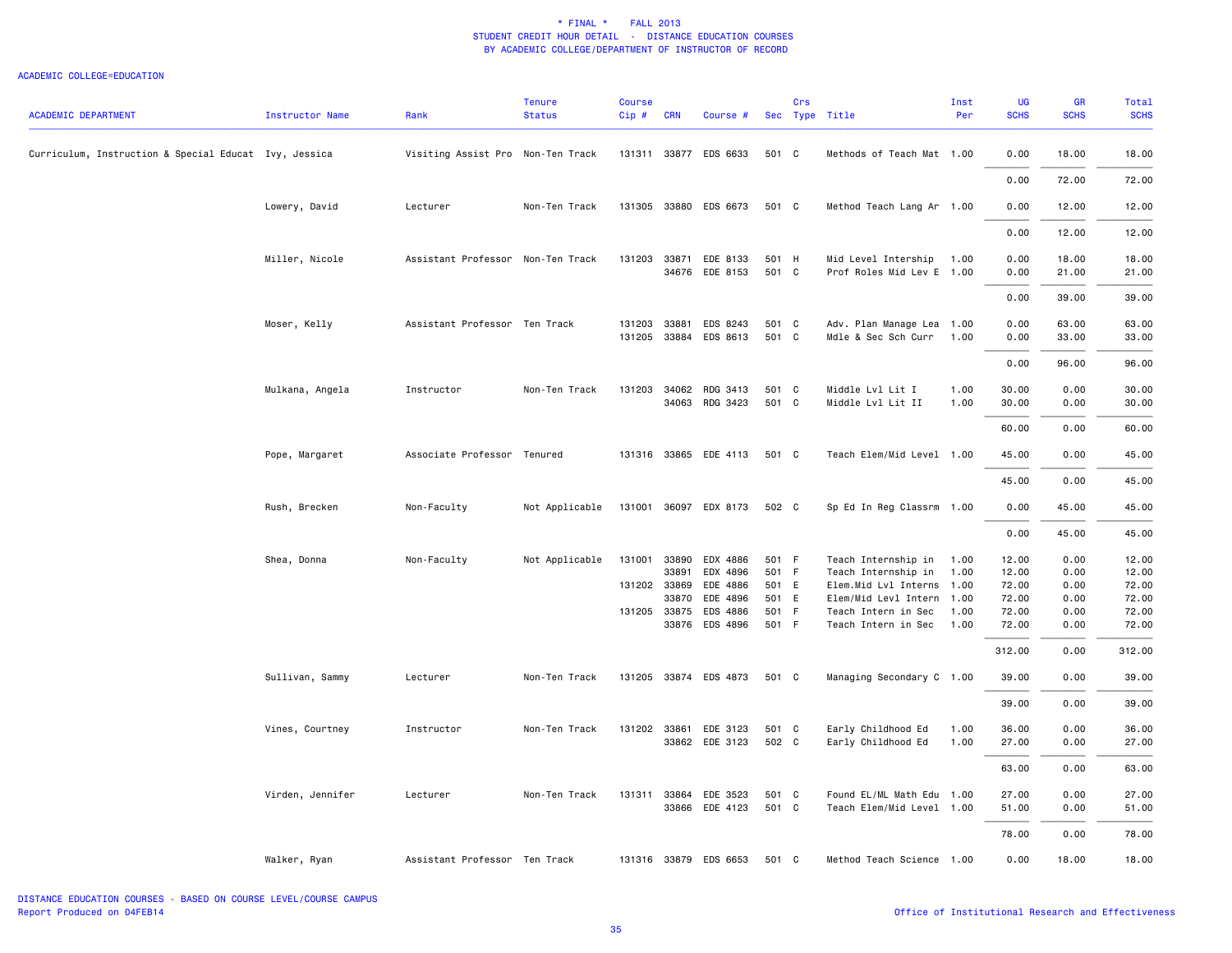| <b>ACADEMIC DEPARTMENT</b>                            | Instructor Name  | Rank                              | <b>Tenure</b><br><b>Status</b> | <b>Course</b><br>Cip# | <b>CRN</b>     | Course #                   |                | Crs  | Sec Type Title                                        | Inst<br>Per  | UG<br><b>SCHS</b> | GR<br><b>SCHS</b> | <b>Total</b><br><b>SCHS</b> |
|-------------------------------------------------------|------------------|-----------------------------------|--------------------------------|-----------------------|----------------|----------------------------|----------------|------|-------------------------------------------------------|--------------|-------------------|-------------------|-----------------------------|
| Curriculum, Instruction & Special Educat Ivy, Jessica |                  | Visiting Assist Pro Non-Ten Track |                                |                       |                | 131311 33877 EDS 6633      | 501 C          |      | Methods of Teach Mat 1.00                             |              | 0.00              | 18.00             | 18.00                       |
|                                                       |                  |                                   |                                |                       |                |                            |                |      |                                                       |              | 0.00              | 72.00             | 72.00                       |
|                                                       | Lowery, David    | Lecturer                          | Non-Ten Track                  | 131305                |                | 33880 EDS 6673             | 501 C          |      | Method Teach Lang Ar 1.00                             |              | 0.00              | 12.00             | 12.00                       |
|                                                       |                  |                                   |                                |                       |                |                            |                |      |                                                       |              | 0.00              | 12.00             | 12.00                       |
|                                                       | Miller, Nicole   | Assistant Professor Non-Ten Track |                                | 131203                | 33871          | EDE 8133<br>34676 EDE 8153 | 501 H<br>501 C |      | Mid Level Intership 1.00<br>Prof Roles Mid Lev E 1.00 |              | 0.00<br>0.00      | 18.00<br>21.00    | 18.00<br>21.00              |
|                                                       |                  |                                   |                                |                       |                |                            |                |      |                                                       |              | 0.00              | 39.00             | 39.00                       |
|                                                       | Moser, Kelly     | Assistant Professor Ten Track     |                                | 131203                | 33881          | EDS 8243                   | 501 C          |      | Adv. Plan Manage Lea 1.00                             |              | 0.00              | 63.00             | 63.00                       |
|                                                       |                  |                                   |                                | 131205                |                | 33884 EDS 8613             | 501 C          |      | Mdle & Sec Sch Curr                                   | 1.00         | 0.00              | 33.00             | 33.00                       |
|                                                       |                  |                                   |                                |                       |                |                            |                |      |                                                       |              | 0.00              | 96.00             | 96.00                       |
|                                                       | Mulkana, Angela  | Instructor                        | Non-Ten Track                  | 131203                | 34062<br>34063 | RDG 3413<br>RDG 3423       | 501 C<br>501 C |      | Middle Lvl Lit I<br>Middle Lvl Lit II                 | 1.00<br>1.00 | 30.00<br>30.00    | 0.00<br>0.00      | 30.00<br>30.00              |
|                                                       |                  |                                   |                                |                       |                |                            |                |      |                                                       |              | 60.00             | 0.00              | 60.00                       |
|                                                       | Pope, Margaret   | Associate Professor Tenured       |                                |                       |                | 131316 33865 EDE 4113      | 501 C          |      | Teach Elem/Mid Level 1.00                             |              | 45.00             | 0.00              | 45.00                       |
|                                                       |                  |                                   |                                |                       |                |                            |                |      |                                                       |              | 45.00             | 0.00              | 45.00                       |
|                                                       | Rush, Brecken    | Non-Faculty                       | Not Applicable                 | 131001                |                | 36097 EDX 8173             | 502 C          |      | Sp Ed In Reg Classrm 1.00                             |              | 0.00              | 45.00             | 45.00                       |
|                                                       |                  |                                   |                                |                       |                |                            |                |      |                                                       |              | 0.00              | 45.00             | 45.00                       |
|                                                       | Shea, Donna      | Non-Faculty                       | Not Applicable                 | 131001                | 33890          | EDX 4886                   | 501 F          |      | Teach Internship in                                   | 1.00         | 12.00             | 0.00              | 12.00                       |
|                                                       |                  |                                   |                                |                       | 33891          | EDX 4896                   | 501 F          |      | Teach Internship in                                   | 1.00         | 12.00             | 0.00              | 12.00                       |
|                                                       |                  |                                   |                                |                       | 131202 33869   | EDE 4886                   | 501 E          |      | Elem.Mid Lvl Interns 1.00                             |              | 72.00             | 0.00              | 72.00                       |
|                                                       |                  |                                   |                                |                       | 33870          | EDE 4896                   | 501 E          |      | Elem/Mid Levl Intern 1.00                             |              | 72.00             | 0.00              | 72.00                       |
|                                                       |                  |                                   |                                |                       | 131205 33875   | EDS 4886                   | 501            | $-F$ | Teach Intern in Sec                                   | 1.00         | 72.00             | 0.00              | 72.00                       |
|                                                       |                  |                                   |                                |                       |                | 33876 EDS 4896             | 501 F          |      | Teach Intern in Sec                                   | 1.00         | 72.00             | 0.00              | 72.00                       |
|                                                       |                  |                                   |                                |                       |                |                            |                |      |                                                       |              | 312.00            | 0.00              | 312.00                      |
|                                                       | Sullivan, Sammy  | Lecturer                          | Non-Ten Track                  |                       |                | 131205 33874 EDS 4873      | 501 C          |      | Managing Secondary C 1.00                             |              | 39.00             | 0.00              | 39.00                       |
|                                                       |                  |                                   |                                |                       |                |                            |                |      |                                                       |              | 39.00             | 0.00              | 39.00                       |
|                                                       | Vines, Courtney  | Instructor                        | Non-Ten Track                  |                       |                | 131202 33861 EDE 3123      | 501 C          |      | Early Childhood Ed                                    | 1.00         | 36.00             | 0.00              | 36.00                       |
|                                                       |                  |                                   |                                |                       |                | 33862 EDE 3123             | 502 C          |      | Early Childhood Ed                                    | 1.00         | 27.00             | 0.00              | 27.00                       |
|                                                       |                  |                                   |                                |                       |                |                            |                |      |                                                       |              | 63.00             | 0.00              | 63.00                       |
|                                                       | Virden, Jennifer | Lecturer                          | Non-Ten Track                  | 131311                |                | 33864 EDE 3523             | 501 C          |      | Found EL/ML Math Edu 1.00                             |              | 27.00             | 0.00              | 27.00                       |
|                                                       |                  |                                   |                                |                       |                | 33866 EDE 4123             | 501 C          |      | Teach Elem/Mid Level 1.00                             |              | 51.00             | 0.00              | 51.00                       |
|                                                       |                  |                                   |                                |                       |                |                            |                |      |                                                       |              | 78.00             | 0.00              | 78.00                       |
|                                                       | Walker, Ryan     | Assistant Professor Ten Track     |                                |                       |                | 131316 33879 EDS 6653      | 501 C          |      | Method Teach Science 1.00                             |              | 0.00              | 18.00             | 18.00                       |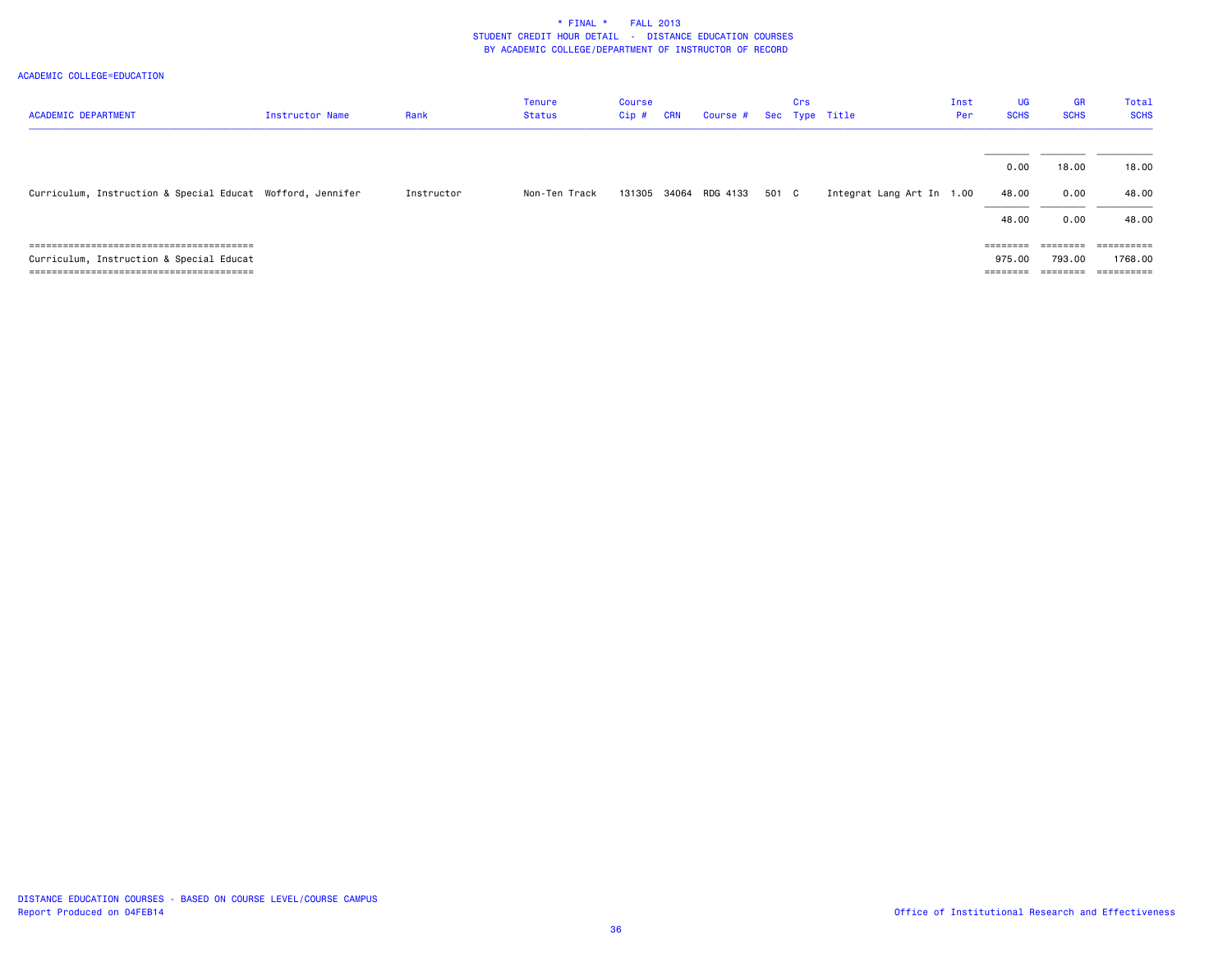|                                                            |                 |            | <b>Tenure</b> | Course |            |                         |       | Crs |                           | Inst | <b>UG</b>   | <b>GR</b>         | Total       |
|------------------------------------------------------------|-----------------|------------|---------------|--------|------------|-------------------------|-------|-----|---------------------------|------|-------------|-------------------|-------------|
| <b>ACADEMIC DEPARTMENT</b>                                 | Instructor Name | Rank       | Status        | Cip #  | <b>CRN</b> | Course # Sec Type Title |       |     |                           | Per  | <b>SCHS</b> | <b>SCHS</b>       | <b>SCHS</b> |
|                                                            |                 |            |               |        |            |                         |       |     |                           |      |             |                   |             |
|                                                            |                 |            |               |        |            |                         |       |     |                           |      | 0.00        | 18.00             | 18.00       |
|                                                            |                 |            |               |        |            |                         |       |     |                           |      |             |                   |             |
| Curriculum, Instruction & Special Educat Wofford, Jennifer |                 | Instructor | Non-Ten Track | 131305 |            | 34064 RDG 4133          | 501 C |     | Integrat Lang Art In 1.00 |      | 48.00       | 0.00              | 48.00       |
|                                                            |                 |            |               |        |            |                         |       |     |                           |      | 48.00       | 0.00              | 48.00       |
|                                                            |                 |            |               |        |            |                         |       |     |                           |      |             |                   |             |
|                                                            |                 |            |               |        |            |                         |       |     |                           |      | ========    | $=$ = = = = = = = | ==========  |
| Curriculum, Instruction & Special Educat                   |                 |            |               |        |            |                         |       |     |                           |      | 975.00      | 793.00            | 1768.00     |
|                                                            |                 |            |               |        |            |                         |       |     |                           |      | --------    | $=$ = = = = = = = | ==========  |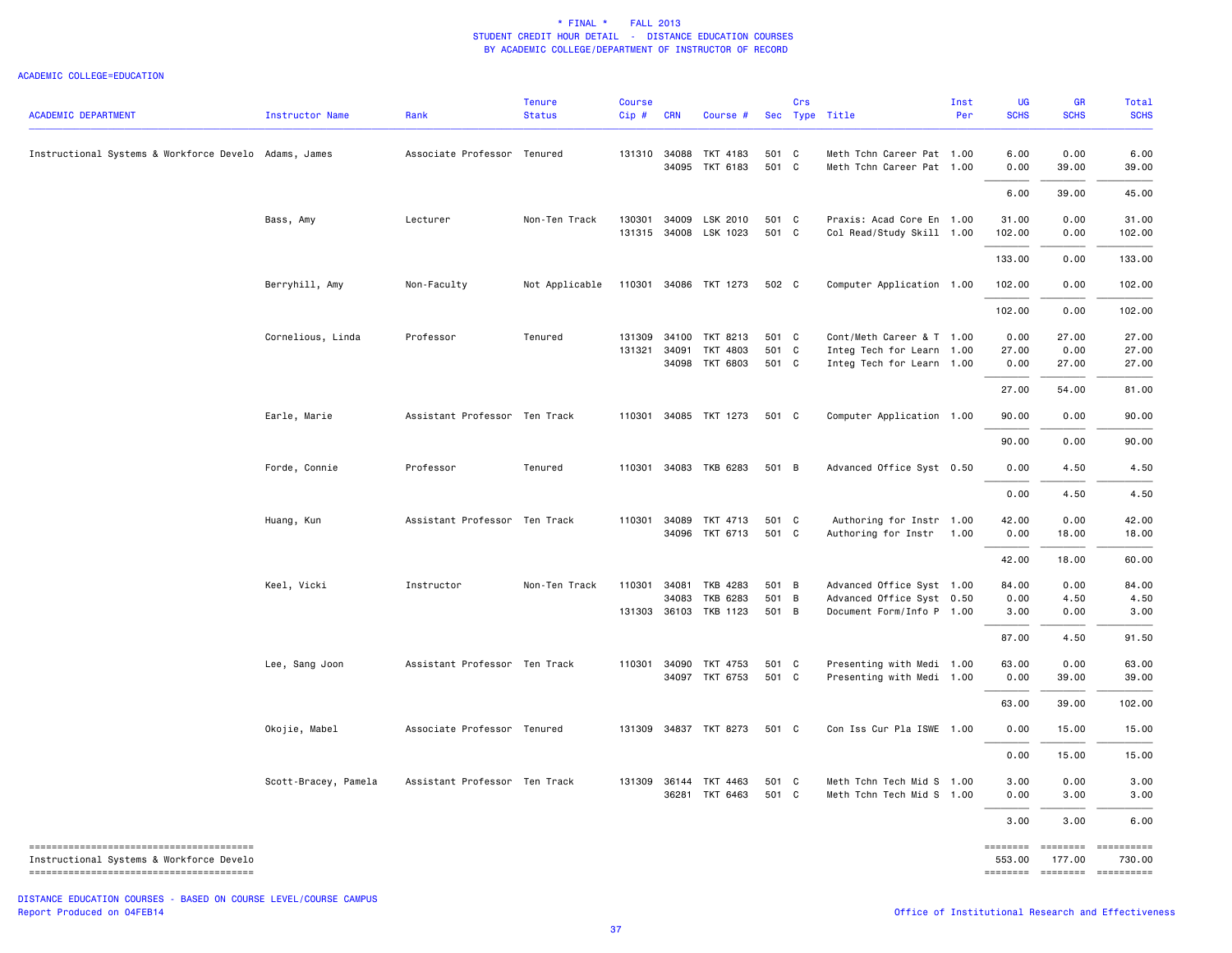| <b>ACADEMIC DEPARTMENT</b>                            | <b>Instructor Name</b> | Rank                          | <b>Tenure</b><br><b>Status</b> | Course<br>Cip#   | <b>CRN</b> | Course #                                     |                         | Crs | Sec Type Title                                                                      | Inst<br>Per | UG<br><b>SCHS</b>     | <b>GR</b><br><b>SCHS</b> | Total<br><b>SCHS</b>                                         |
|-------------------------------------------------------|------------------------|-------------------------------|--------------------------------|------------------|------------|----------------------------------------------|-------------------------|-----|-------------------------------------------------------------------------------------|-------------|-----------------------|--------------------------|--------------------------------------------------------------|
| Instructional Systems & Workforce Develo Adams, James |                        | Associate Professor Tenured   |                                |                  |            | 131310 34088 TKT 4183<br>34095 TKT 6183      | 501 C<br>501 C          |     | Meth Tchn Career Pat 1.00<br>Meth Tchn Career Pat 1.00                              |             | 6.00<br>0.00          | 0.00<br>39.00            | 6.00<br>39.00                                                |
|                                                       |                        |                               |                                |                  |            |                                              |                         |     |                                                                                     |             | 6.00                  | 39.00                    | 45.00                                                        |
|                                                       | Bass, Amy              | Lecturer                      | Non-Ten Track                  | 130301           | 34009      | LSK 2010<br>131315 34008 LSK 1023            | 501 C<br>501 C          |     | Praxis: Acad Core En 1.00<br>Col Read/Study Skill 1.00                              |             | 31.00<br>102.00       | 0.00<br>0.00             | 31.00<br>102.00                                              |
|                                                       |                        |                               |                                |                  |            |                                              |                         |     |                                                                                     |             | 133.00                | 0.00                     | 133.00                                                       |
|                                                       | Berryhill, Amy         | Non-Faculty                   | Not Applicable                 |                  |            | 110301 34086 TKT 1273                        | 502 C                   |     | Computer Application 1.00                                                           |             | 102.00                | 0.00                     | 102.00                                                       |
|                                                       |                        |                               |                                |                  |            |                                              |                         |     |                                                                                     |             | 102.00                | 0.00                     | 102.00                                                       |
|                                                       | Cornelious, Linda      | Professor                     | Tenured                        | 131309<br>131321 | 34091      | 34100 TKT 8213<br>TKT 4803<br>34098 TKT 6803 | 501 C<br>501 C<br>501 C |     | Cont/Meth Career & T 1.00<br>Integ Tech for Learn 1.00<br>Integ Tech for Learn 1.00 |             | 0.00<br>27.00<br>0.00 | 27.00<br>0.00<br>27.00   | 27.00<br>27.00<br>27.00                                      |
|                                                       |                        |                               |                                |                  |            |                                              |                         |     |                                                                                     |             | 27.00                 | 54.00                    | 81.00                                                        |
|                                                       | Earle, Marie           | Assistant Professor Ten Track |                                |                  |            | 110301 34085 TKT 1273                        | 501 C                   |     | Computer Application 1.00                                                           |             | 90.00                 | 0.00                     | 90.00                                                        |
|                                                       |                        |                               |                                |                  |            |                                              |                         |     |                                                                                     |             | 90.00                 | 0.00                     | 90.00                                                        |
|                                                       | Forde, Connie          | Professor                     | Tenured                        |                  |            | 110301 34083 TKB 6283                        | 501 B                   |     | Advanced Office Syst 0.50                                                           |             | 0.00                  | 4.50                     | 4.50                                                         |
|                                                       |                        |                               |                                |                  |            |                                              |                         |     |                                                                                     |             | 0.00                  | 4.50                     | 4.50                                                         |
|                                                       | Huang, Kun             | Assistant Professor Ten Track |                                | 110301           |            | 34089 TKT 4713<br>34096 TKT 6713             | 501 C<br>501 C          |     | Authoring for Instr 1.00<br>Authoring for Instr                                     | 1.00        | 42.00<br>0.00         | 0.00<br>18.00            | 42.00<br>18.00                                               |
|                                                       |                        |                               |                                |                  |            |                                              |                         |     |                                                                                     |             | 42.00                 | 18.00                    | 60.00                                                        |
|                                                       | Keel, Vicki            | Instructor                    | Non-Ten Track                  | 110301           | 34081      | TKB 4283                                     | 501 B                   |     | Advanced Office Syst 1.00                                                           |             | 84.00                 | 0.00                     | 84.00                                                        |
|                                                       |                        |                               |                                |                  |            | 34083 TKB 6283<br>131303 36103 TKB 1123      | 501 B<br>501 B          |     | Advanced Office Syst 0.50<br>Document Form/Info P 1.00                              |             | 0.00<br>3.00          | 4.50<br>0.00             | 4.50<br>3.00                                                 |
|                                                       |                        |                               |                                |                  |            |                                              |                         |     |                                                                                     |             | 87.00                 | 4.50                     | 91.50                                                        |
|                                                       | Lee, Sang Joon         | Assistant Professor Ten Track |                                |                  |            | 110301 34090 TKT 4753<br>34097 TKT 6753      | 501 C<br>501 C          |     | Presenting with Medi 1.00<br>Presenting with Medi 1.00                              |             | 63.00<br>0.00         | 0.00<br>39.00            | 63.00<br>39.00                                               |
|                                                       |                        |                               |                                |                  |            |                                              |                         |     |                                                                                     |             | 63.00                 | 39.00                    | 102.00                                                       |
|                                                       | Okojie, Mabel          | Associate Professor Tenured   |                                | 131309           |            | 34837 TKT 8273                               | 501 C                   |     | Con Iss Cur Pla ISWE 1.00                                                           |             | 0.00                  | 15.00                    | 15.00                                                        |
|                                                       |                        |                               |                                |                  |            |                                              |                         |     |                                                                                     |             | 0.00                  | 15.00                    | 15.00                                                        |
|                                                       | Scott-Bracey, Pamela   | Assistant Professor Ten Track |                                |                  |            | 131309 36144 TKT 4463<br>36281 TKT 6463      | 501 C<br>501 C          |     | Meth Tchn Tech Mid S 1.00<br>Meth Tchn Tech Mid S 1.00                              |             | 3.00<br>0.00          | 0.00<br>3.00             | 3.00<br>3.00                                                 |
|                                                       |                        |                               |                                |                  |            |                                              |                         |     |                                                                                     |             | 3.00                  | 3.00                     | 6.00                                                         |
| Instructional Systems & Workforce Develo              |                        |                               |                                |                  |            |                                              |                         |     |                                                                                     |             | ========<br>553.00    | 177.00                   | --------- ----------<br>730.00<br>-------- ------- --------- |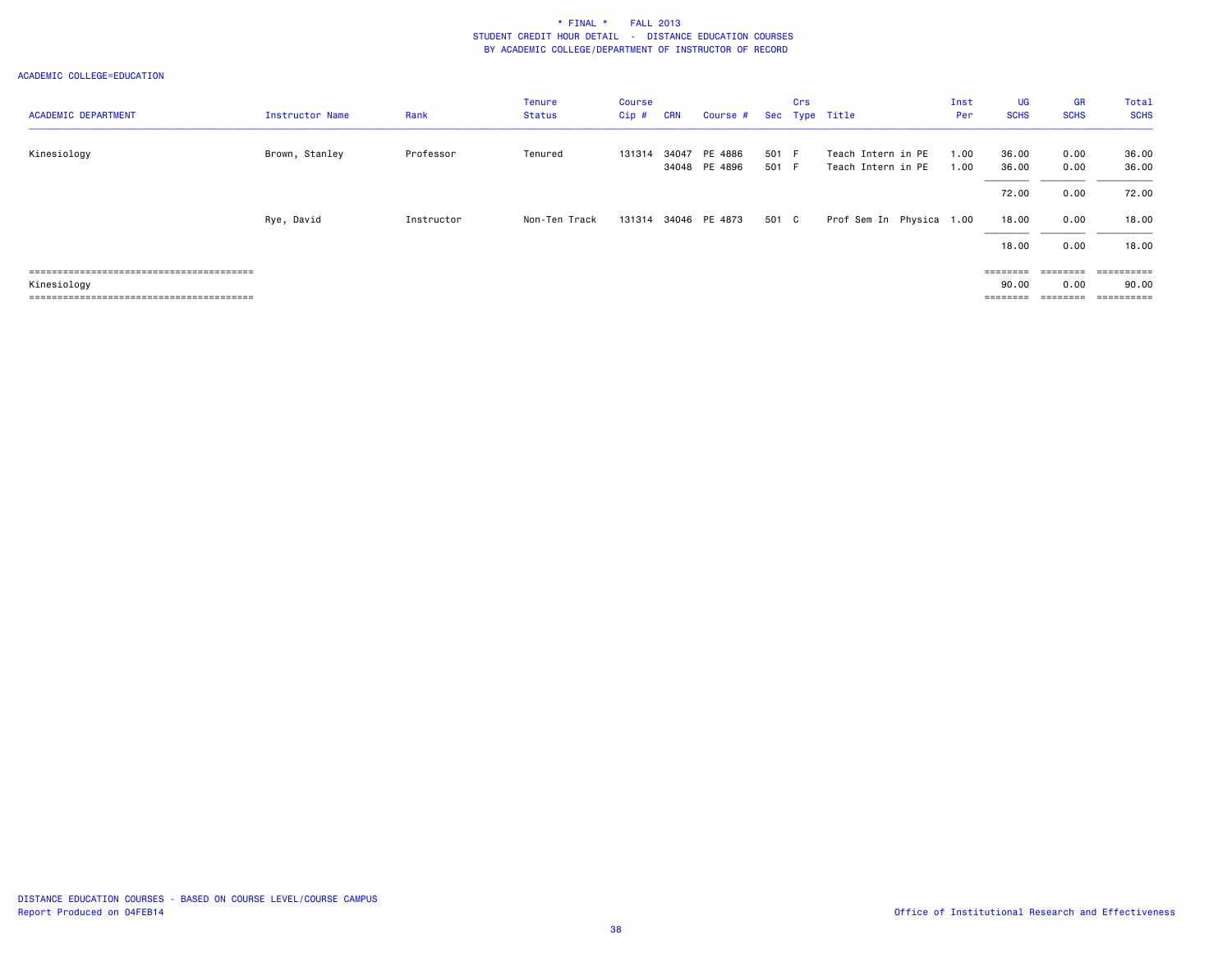| <b>ACADEMIC DEPARTMENT</b> | Instructor Name | Rank       | <b>Tenure</b><br>Status | <b>Course</b><br>Cip# | <b>CRN</b> | Course #                 |                | Crs | Sec Type Title                           | Inst<br>Per  | <b>UG</b><br><b>SCHS</b> | <b>GR</b><br><b>SCHS</b> | Total<br><b>SCHS</b> |
|----------------------------|-----------------|------------|-------------------------|-----------------------|------------|--------------------------|----------------|-----|------------------------------------------|--------------|--------------------------|--------------------------|----------------------|
| Kinesiology                | Brown, Stanley  | Professor  | Tenured                 | 131314                | 34047      | PE 4886<br>34048 PE 4896 | 501 F<br>501 F |     | Teach Intern in PE<br>Teach Intern in PE | 1.00<br>1.00 | 36.00<br>36.00           | 0.00<br>0.00             | 36.00<br>36.00       |
|                            |                 |            |                         |                       |            |                          |                |     |                                          |              | 72.00                    | 0.00                     | 72.00                |
|                            | Rye, David      | Instructor | Non-Ten Track           | 131314                |            | 34046 PE 4873            | 501 C          |     | Prof Sem In Physica 1.00                 |              | 18.00                    | 0.00                     | 18.00                |
|                            |                 |            |                         |                       |            |                          |                |     |                                          |              | 18.00                    | 0.00                     | 18.00                |
|                            |                 |            |                         |                       |            |                          |                |     |                                          |              |                          | $=$ = = = = = = =        | ==========           |
| Kinesiology                |                 |            |                         |                       |            |                          |                |     |                                          |              | 90.00                    | 0.00                     | 90.00                |
|                            |                 |            |                         |                       |            |                          |                |     |                                          |              | ========                 | ========                 | ==========           |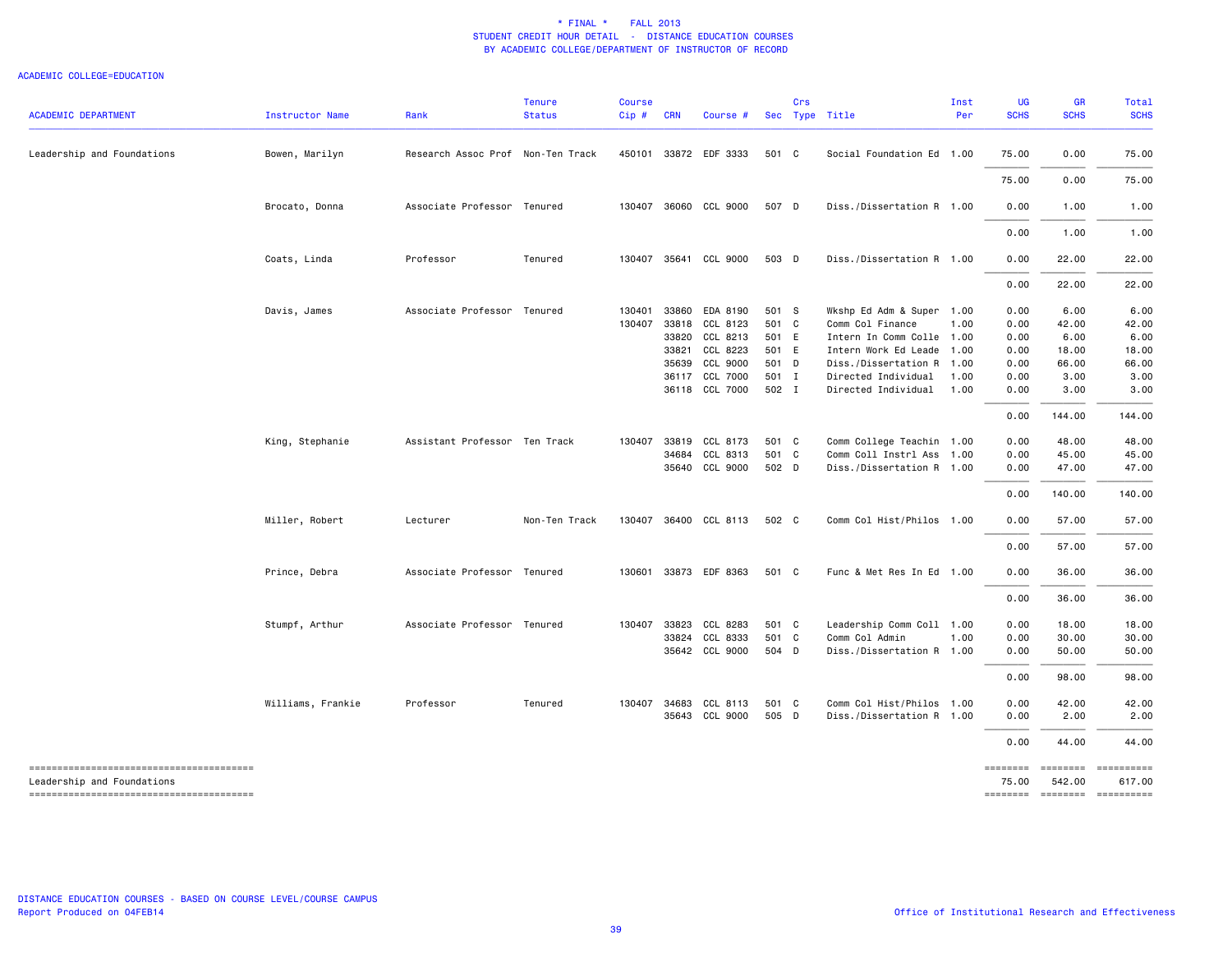| <b>ACADEMIC DEPARTMENT</b> | Instructor Name   | Rank                              | <b>Tenure</b><br><b>Status</b> | <b>Course</b><br>Cip# | <b>CRN</b> | Course #              |       | Crs | Sec Type Title            | Inst<br>Per | <b>UG</b><br><b>SCHS</b> | <b>GR</b><br><b>SCHS</b>  | Total<br><b>SCHS</b>     |
|----------------------------|-------------------|-----------------------------------|--------------------------------|-----------------------|------------|-----------------------|-------|-----|---------------------------|-------------|--------------------------|---------------------------|--------------------------|
| Leadership and Foundations | Bowen, Marilyn    | Research Assoc Prof Non-Ten Track |                                |                       |            | 450101 33872 EDF 3333 | 501 C |     | Social Foundation Ed 1.00 |             | 75.00                    | 0.00                      | 75.00                    |
|                            |                   |                                   |                                |                       |            |                       |       |     |                           |             | 75.00                    | 0.00                      | 75.00                    |
|                            | Brocato, Donna    | Associate Professor Tenured       |                                | 130407                |            | 36060 CCL 9000        | 507 D |     | Diss./Dissertation R 1.00 |             | 0.00                     | 1.00                      | 1.00                     |
|                            |                   |                                   |                                |                       |            |                       |       |     |                           |             | 0.00                     | 1.00                      | 1.00                     |
|                            | Coats, Linda      | Professor                         | Tenured                        | 130407                |            | 35641 CCL 9000        | 503 D |     | Diss./Dissertation R 1.00 |             | 0.00                     | 22.00                     | 22.00                    |
|                            |                   |                                   |                                |                       |            |                       |       |     |                           |             | 0.00                     | 22.00                     | 22.00                    |
|                            | Davis, James      | Associate Professor Tenured       |                                | 130401                |            | 33860 EDA 8190        | 501 S |     | Wkshp Ed Adm & Super 1.00 |             | 0.00                     | 6.00                      | 6.00                     |
|                            |                   |                                   |                                | 130407                |            | 33818 CCL 8123        | 501 C |     | Comm Col Finance          | 1.00        | 0.00                     | 42.00                     | 42.00                    |
|                            |                   |                                   |                                |                       |            | 33820 CCL 8213        | 501 E |     | Intern In Comm Colle 1.00 |             | 0.00                     | 6.00                      | 6.00                     |
|                            |                   |                                   |                                |                       | 33821      | CCL 8223              | 501 E |     | Intern Work Ed Leade 1.00 |             | 0.00                     | 18.00                     | 18.00                    |
|                            |                   |                                   |                                |                       |            | 35639 CCL 9000        | 501 D |     | Diss./Dissertation R 1.00 |             | 0.00                     | 66.00                     | 66.00                    |
|                            |                   |                                   |                                |                       |            | 36117 CCL 7000        | 501 I |     | Directed Individual       | 1.00        | 0.00                     | 3.00                      | 3.00                     |
|                            |                   |                                   |                                |                       |            | 36118 CCL 7000        | 502 I |     | Directed Individual       | 1.00        | 0.00                     | 3.00                      | 3.00                     |
|                            |                   |                                   |                                |                       |            |                       |       |     |                           |             | 0.00                     | 144.00                    | 144.00                   |
|                            | King, Stephanie   | Assistant Professor Ten Track     |                                | 130407                |            | 33819 CCL 8173        | 501 C |     | Comm College Teachin 1.00 |             | 0.00                     | 48.00                     | 48.00                    |
|                            |                   |                                   |                                |                       |            | 34684 CCL 8313        | 501 C |     | Comm Coll Instrl Ass 1.00 |             | 0.00                     | 45.00                     | 45.00                    |
|                            |                   |                                   |                                |                       |            | 35640 CCL 9000        | 502 D |     | Diss./Dissertation R 1.00 |             | 0.00                     | 47.00                     | 47.00                    |
|                            |                   |                                   |                                |                       |            |                       |       |     |                           |             | 0.00                     | 140.00                    | 140.00                   |
|                            | Miller, Robert    | Lecturer                          | Non-Ten Track                  | 130407                |            | 36400 CCL 8113        | 502 C |     | Comm Col Hist/Philos 1.00 |             | 0.00                     | 57.00                     | 57.00                    |
|                            |                   |                                   |                                |                       |            |                       |       |     |                           |             | 0.00                     | 57.00                     | 57.00                    |
|                            | Prince, Debra     | Associate Professor Tenured       |                                | 130601                |            | 33873 EDF 8363        | 501 C |     | Func & Met Res In Ed 1.00 |             | 0.00                     | 36.00                     | 36.00                    |
|                            |                   |                                   |                                |                       |            |                       |       |     |                           |             | 0.00                     | 36.00                     | 36.00                    |
|                            | Stumpf, Arthur    | Associate Professor Tenured       |                                | 130407                |            | 33823 CCL 8283        | 501 C |     | Leadership Comm Coll 1.00 |             | 0.00                     | 18.00                     | 18.00                    |
|                            |                   |                                   |                                |                       |            | 33824 CCL 8333        | 501 C |     | Comm Col Admin            | 1.00        | 0.00                     | 30.00                     | 30.00                    |
|                            |                   |                                   |                                |                       |            | 35642 CCL 9000        | 504 D |     | Diss./Dissertation R 1.00 |             | 0.00                     | 50.00                     | 50.00                    |
|                            |                   |                                   |                                |                       |            |                       |       |     |                           |             |                          |                           |                          |
|                            |                   |                                   |                                |                       |            |                       |       |     |                           |             | 0.00                     | 98.00                     | 98.00                    |
|                            | Williams, Frankie | Professor                         | Tenured                        | 130407                |            | 34683 CCL 8113        | 501 C |     | Comm Col Hist/Philos 1.00 |             | 0.00                     | 42.00                     | 42.00                    |
|                            |                   |                                   |                                |                       |            | 35643 CCL 9000        | 505 D |     | Diss./Dissertation R 1.00 |             | 0.00                     | 2.00                      | 2.00                     |
|                            |                   |                                   |                                |                       |            |                       |       |     |                           |             | 0.00                     | 44.00                     | 44.00                    |
| Leadership and Foundations |                   |                                   |                                |                       |            |                       |       |     |                           |             | <b>EDESSER</b><br>75.00  | <b>SEESSEES</b><br>542.00 | $-$ ==========<br>617.00 |
|                            |                   |                                   |                                |                       |            |                       |       |     |                           |             | ========                 | --------- ----------      |                          |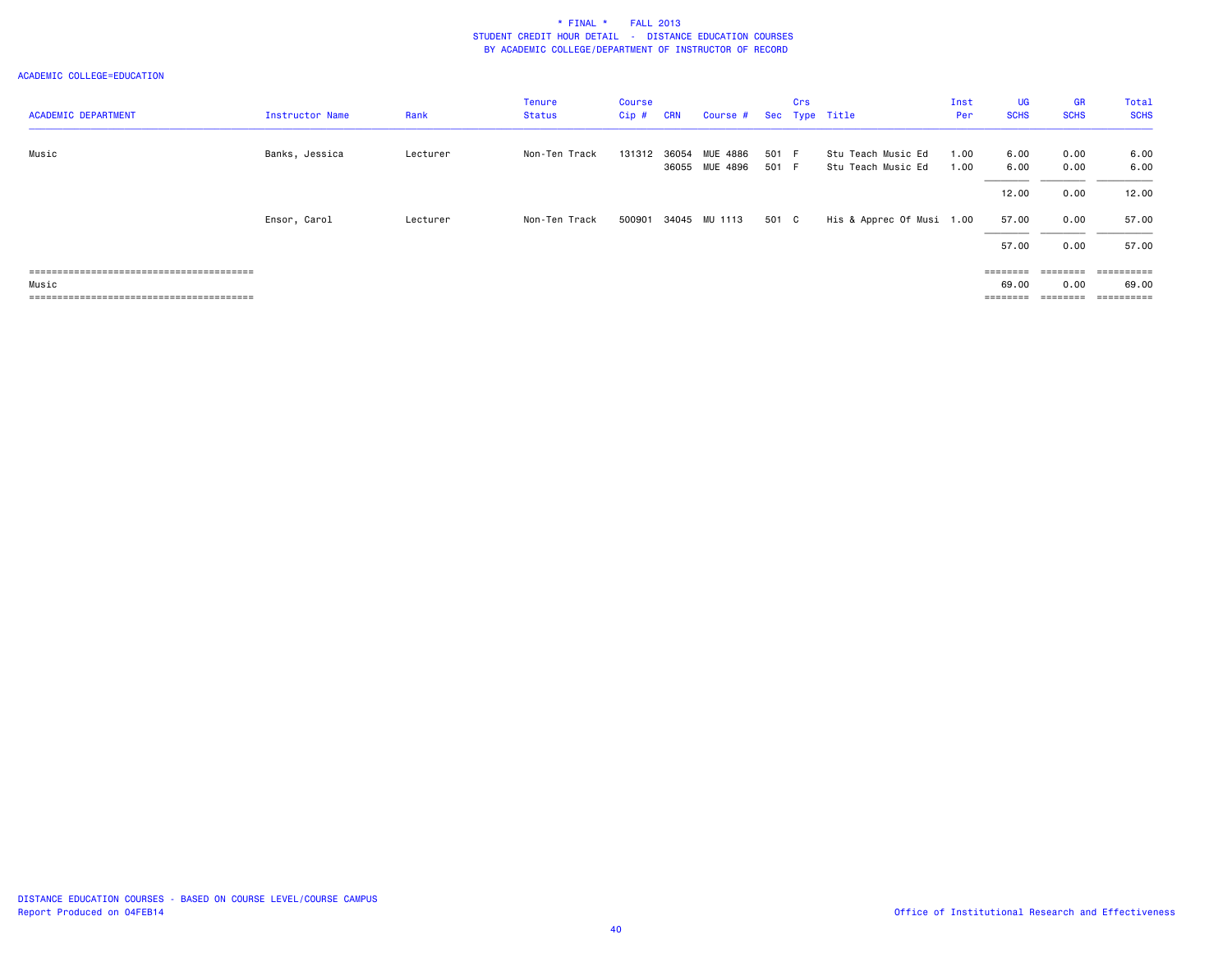| <b>ACADEMIC DEPARTMENT</b> | Instructor Name | Rank     | <b>Tenure</b><br>Status | <b>Course</b><br>Cip # | <b>CRN</b>     | Course #             |                | Crs | Sec Type Title                           | Inst<br>Per  | <b>UG</b><br><b>SCHS</b> | <b>GR</b><br><b>SCHS</b> | Total<br><b>SCHS</b> |
|----------------------------|-----------------|----------|-------------------------|------------------------|----------------|----------------------|----------------|-----|------------------------------------------|--------------|--------------------------|--------------------------|----------------------|
|                            |                 |          |                         |                        |                |                      |                |     |                                          |              |                          |                          |                      |
| Music                      | Banks, Jessica  | Lecturer | Non-Ten Track           | 131312                 | 36054<br>36055 | MUE 4886<br>MUE 4896 | 501 F<br>501 F |     | Stu Teach Music Ed<br>Stu Teach Music Ed | 1.00<br>1.00 | 6.00<br>6.00             | 0.00<br>0.00             | 6.00<br>6.00         |
|                            |                 |          |                         |                        |                |                      |                |     |                                          |              | 12.00                    | 0.00                     | 12.00                |
|                            | Ensor, Carol    | Lecturer | Non-Ten Track           | 500901                 |                | 34045 MU 1113        | 501 C          |     | His & Apprec Of Musi 1.00                |              | 57.00                    | 0.00                     | 57.00                |
|                            |                 |          |                         |                        |                |                      |                |     |                                          |              | 57.00                    | 0.00                     | 57.00                |
|                            |                 |          |                         |                        |                |                      |                |     |                                          |              | $=$ = = = = = = =        | $=$ = = = = = = =        | ==========           |
| Music                      |                 |          |                         |                        |                |                      |                |     |                                          |              | 69.00                    | 0.00                     | 69.00                |
|                            |                 |          |                         |                        |                |                      |                |     |                                          |              | ========                 |                          | ==========           |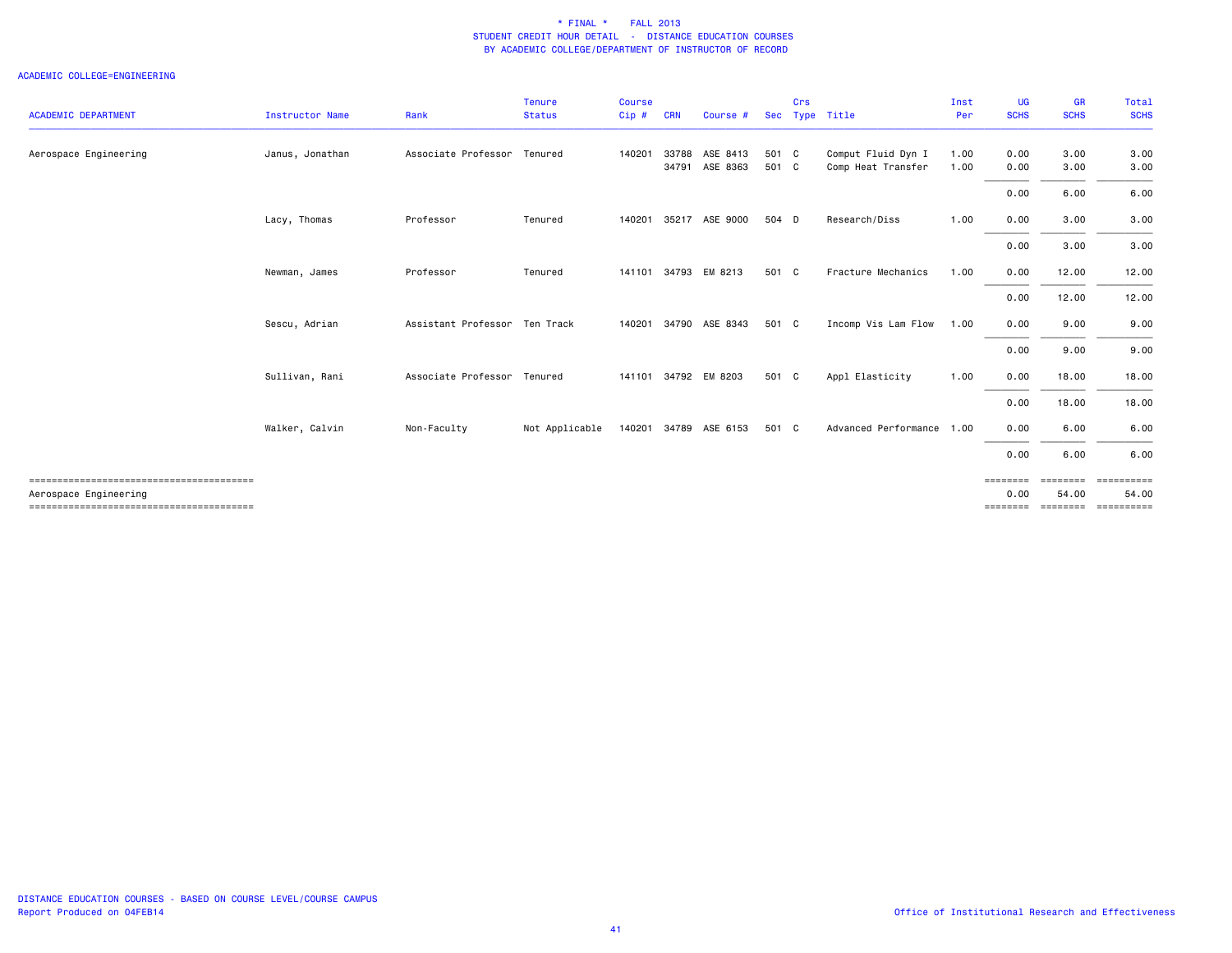|                            |                 |                               | <b>Tenure</b>  | <b>Course</b> |            |                       |       | Crs |                           | Inst | UG               | GR                | Total                |
|----------------------------|-----------------|-------------------------------|----------------|---------------|------------|-----------------------|-------|-----|---------------------------|------|------------------|-------------------|----------------------|
| <b>ACADEMIC DEPARTMENT</b> | Instructor Name | Rank                          | <b>Status</b>  | Cip#          | <b>CRN</b> | Course #              |       |     | Sec Type Title            | Per  | <b>SCHS</b>      | <b>SCHS</b>       | <b>SCHS</b>          |
| Aerospace Engineering      | Janus, Jonathan | Associate Professor Tenured   |                | 140201        | 33788      | ASE 8413              | 501 C |     | Comput Fluid Dyn I        | 1.00 | 0.00             | 3.00              | 3.00                 |
|                            |                 |                               |                |               | 34791      | ASE 8363              | 501 C |     | Comp Heat Transfer        | 1.00 | 0.00             | 3.00              | 3.00                 |
|                            |                 |                               |                |               |            |                       |       |     |                           |      | 0.00             | 6.00              | 6.00                 |
|                            | Lacy, Thomas    | Professor                     | Tenured        | 140201        |            | 35217 ASE 9000        | 504 D |     | Research/Diss             | 1.00 | 0.00             | 3.00              | 3.00                 |
|                            |                 |                               |                |               |            |                       |       |     |                           |      | 0.00             | 3.00              | 3.00                 |
|                            | Newman, James   | Professor                     | Tenured        |               |            | 141101 34793 EM 8213  | 501 C |     | Fracture Mechanics        | 1.00 | 0.00             | 12.00             | 12.00                |
|                            |                 |                               |                |               |            |                       |       |     |                           |      | 0.00             | 12.00             | 12.00                |
|                            | Sescu, Adrian   | Assistant Professor Ten Track |                |               |            | 140201 34790 ASE 8343 | 501 C |     | Incomp Vis Lam Flow       | 1.00 | 0.00             | 9.00              | 9.00                 |
|                            |                 |                               |                |               |            |                       |       |     |                           |      | 0.00             | 9.00              | 9.00                 |
|                            | Sullivan, Rani  | Associate Professor Tenured   |                |               |            | 141101 34792 EM 8203  | 501 C |     | Appl Elasticity           | 1.00 | 0.00             | 18.00             | 18.00                |
|                            |                 |                               |                |               |            |                       |       |     |                           |      | 0.00             | 18.00             | 18.00                |
|                            | Walker, Calvin  | Non-Faculty                   | Not Applicable |               |            | 140201 34789 ASE 6153 | 501 C |     | Advanced Performance 1.00 |      | 0.00             | 6.00              | 6.00                 |
|                            |                 |                               |                |               |            |                       |       |     |                           |      | 0.00             | 6.00              | 6.00                 |
| Aerospace Engineering      |                 |                               |                |               |            |                       |       |     |                           |      | ========<br>0.00 | ========<br>54.00 | ==========<br>54.00  |
|                            |                 |                               |                |               |            |                       |       |     |                           |      | ========         |                   | ========= ========== |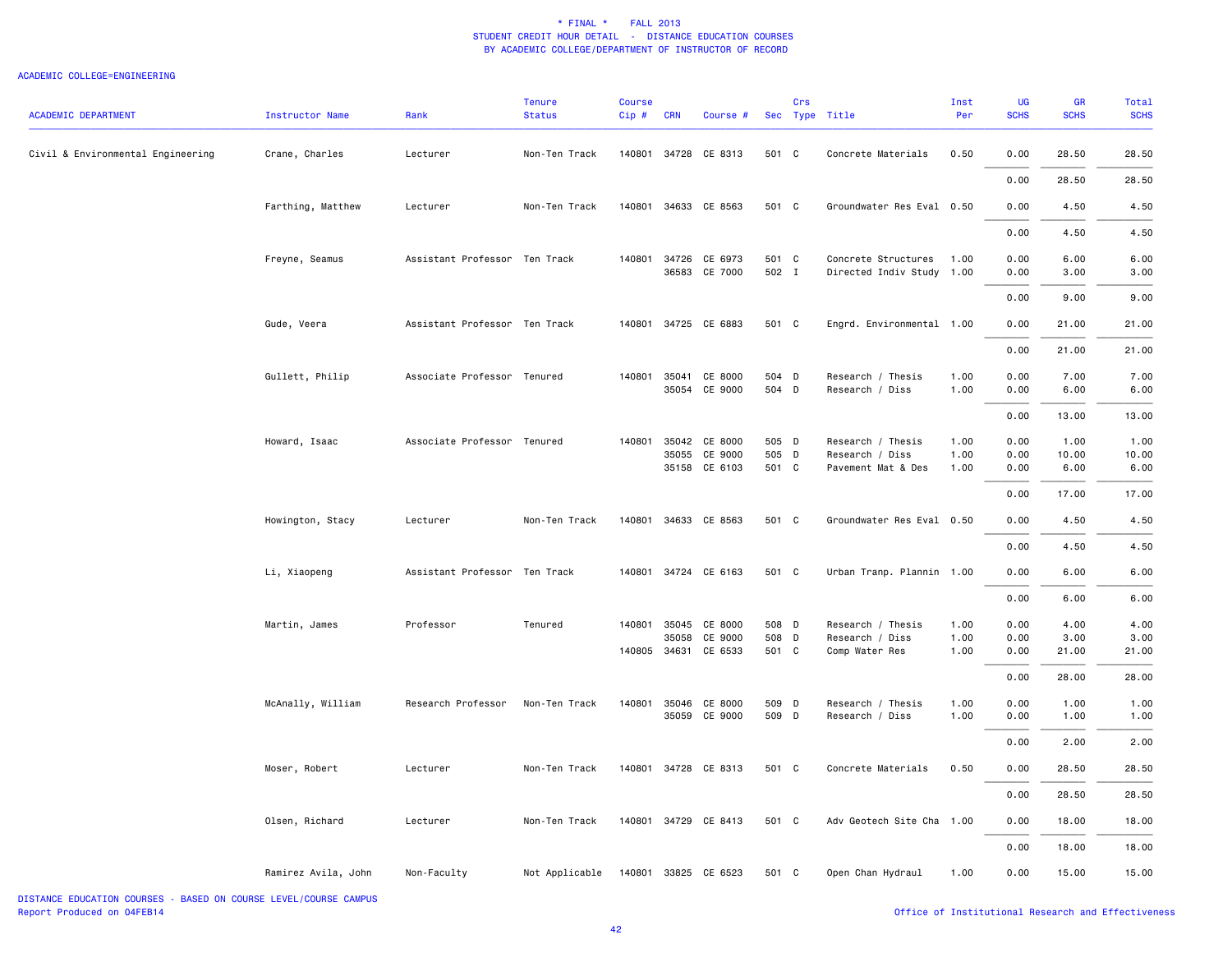#### ACADEMIC COLLEGE=ENGINEERING

| <b>ACADEMIC DEPARTMENT</b>        | <b>Instructor Name</b> | Rank                          | <b>Tenure</b><br><b>Status</b> | Course<br>Cip# | <b>CRN</b> | Course #                              |                | Crs | Sec Type Title                              | Inst<br>Per  | <b>UG</b><br><b>SCHS</b> | GR<br><b>SCHS</b> | Total<br><b>SCHS</b> |
|-----------------------------------|------------------------|-------------------------------|--------------------------------|----------------|------------|---------------------------------------|----------------|-----|---------------------------------------------|--------------|--------------------------|-------------------|----------------------|
| Civil & Environmental Engineering | Crane, Charles         | Lecturer                      | Non-Ten Track                  | 140801         |            | 34728 CE 8313                         | 501 C          |     | Concrete Materials                          | 0.50         | 0.00                     | 28.50             | 28.50                |
|                                   |                        |                               |                                |                |            |                                       |                |     |                                             |              | 0.00                     | 28.50             | 28.50                |
|                                   | Farthing, Matthew      | Lecturer                      | Non-Ten Track                  | 140801         |            | 34633 CE 8563                         | 501 C          |     | Groundwater Res Eval 0.50                   |              | 0.00                     | 4.50              | 4.50                 |
|                                   |                        |                               |                                |                |            |                                       |                |     |                                             |              | 0.00                     | 4.50              | 4.50                 |
|                                   | Freyne, Seamus         | Assistant Professor Ten Track |                                |                |            | 140801 34726 CE 6973<br>36583 CE 7000 | 501 C<br>502 I |     | Concrete Structures<br>Directed Indiv Study | 1.00<br>1.00 | 0.00<br>0.00             | 6.00<br>3.00      | 6.00<br>3.00         |
|                                   |                        |                               |                                |                |            |                                       |                |     |                                             |              | 0.00                     | 9.00              | 9.00                 |
|                                   | Gude, Veera            | Assistant Professor Ten Track |                                | 140801         |            | 34725 CE 6883                         | 501 C          |     | Engrd. Environmental 1.00                   |              | 0.00                     | 21.00             | 21.00                |
|                                   |                        |                               |                                |                |            |                                       |                |     |                                             |              | 0.00                     | 21.00             | 21.00                |
|                                   | Gullett, Philip        | Associate Professor Tenured   |                                | 140801         | 35041      | CE 8000                               | 504 D          |     | Research / Thesis                           | 1.00         | 0.00                     | 7.00              | 7.00                 |
|                                   |                        |                               |                                |                | 35054      | CE 9000                               | 504 D          |     | Research / Diss                             | 1.00         | 0.00                     | 6.00              | 6.00                 |
|                                   |                        |                               |                                |                |            |                                       |                |     |                                             |              | 0.00                     | 13.00             | 13.00                |
|                                   | Howard, Isaac          | Associate Professor Tenured   |                                | 140801         | 35042      | CE 8000                               | 505 D          |     | Research / Thesis                           | 1.00         | 0.00                     | 1.00              | 1.00                 |
|                                   |                        |                               |                                |                | 35055      | CE 9000<br>35158 CE 6103              | 505<br>501 C   | D   | Research / Diss<br>Pavement Mat & Des       | 1.00<br>1.00 | 0.00<br>0.00             | 10.00<br>6.00     | 10.00<br>6.00        |
|                                   |                        |                               |                                |                |            |                                       |                |     |                                             |              |                          |                   |                      |
|                                   |                        |                               |                                |                |            |                                       |                |     |                                             |              | 0.00                     | 17.00             | 17.00                |
|                                   | Howington, Stacy       | Lecturer                      | Non-Ten Track                  | 140801         |            | 34633 CE 8563                         | 501 C          |     | Groundwater Res Eval 0.50                   |              | 0.00                     | 4.50              | 4.50                 |
|                                   |                        |                               |                                |                |            |                                       |                |     |                                             |              | 0.00                     | 4.50              | 4.50                 |
|                                   | Li, Xiaopeng           | Assistant Professor Ten Track |                                |                |            | 140801 34724 CE 6163                  | 501 C          |     | Urban Tranp. Plannin 1.00                   |              | 0.00                     | 6.00              | 6.00                 |
|                                   |                        |                               |                                |                |            |                                       |                |     |                                             |              | 0.00                     | 6.00              | 6.00                 |
|                                   | Martin, James          | Professor                     | Tenured                        | 140801         | 35045      | CE 8000                               | 508 D          |     | Research / Thesis                           | 1.00         | 0.00                     | 4.00              | 4.00                 |
|                                   |                        |                               |                                |                | 35058      | CE 9000                               | 508            | D   | Research / Diss                             | 1.00         | 0.00                     | 3.00              | 3.00                 |
|                                   |                        |                               |                                |                |            | 140805 34631 CE 6533                  | 501 C          |     | Comp Water Res                              | 1.00         | 0.00                     | 21.00             | 21.00                |
|                                   |                        |                               |                                |                |            |                                       |                |     |                                             |              | 0.00                     | 28.00             | 28.00                |
|                                   | McAnally, William      | Research Professor            | Non-Ten Track                  | 140801         |            | 35046 CE 8000<br>35059 CE 9000        | 509 D<br>509 D |     | Research / Thesis<br>Research / Diss        | 1.00<br>1.00 | 0.00<br>0.00             | 1.00<br>1.00      | 1.00<br>1.00         |
|                                   |                        |                               |                                |                |            |                                       |                |     |                                             |              | 0.00                     | 2.00              | 2.00                 |
|                                   | Moser, Robert          | Lecturer                      | Non-Ten Track                  |                |            | 140801 34728 CE 8313                  | 501 C          |     | Concrete Materials                          | 0.50         | 0.00                     | 28.50             | 28.50                |
|                                   |                        |                               |                                |                |            |                                       |                |     |                                             |              | 0.00                     | 28.50             | 28.50                |
|                                   | Olsen, Richard         | Lecturer                      | Non-Ten Track                  |                |            | 140801 34729 CE 8413                  | 501 C          |     | Adv Geotech Site Cha                        | 1.00         | 0.00                     | 18.00             | 18.00                |
|                                   |                        |                               |                                |                |            |                                       |                |     |                                             |              | 0.00                     | 18.00             | 18.00                |
|                                   | Ramirez Avila, John    | Non-Faculty                   | Not Applicable                 |                |            | 140801 33825 CE 6523                  | 501 C          |     | Open Chan Hydraul                           | 1.00         | 0.00                     | 15.00             | 15.00                |

DISTANCE EDUCATION COURSES - BASED ON COURSE LEVEL/COURSE CAMPUSReport Produced on 04FEB14 Office of Institutional Research and Effectiveness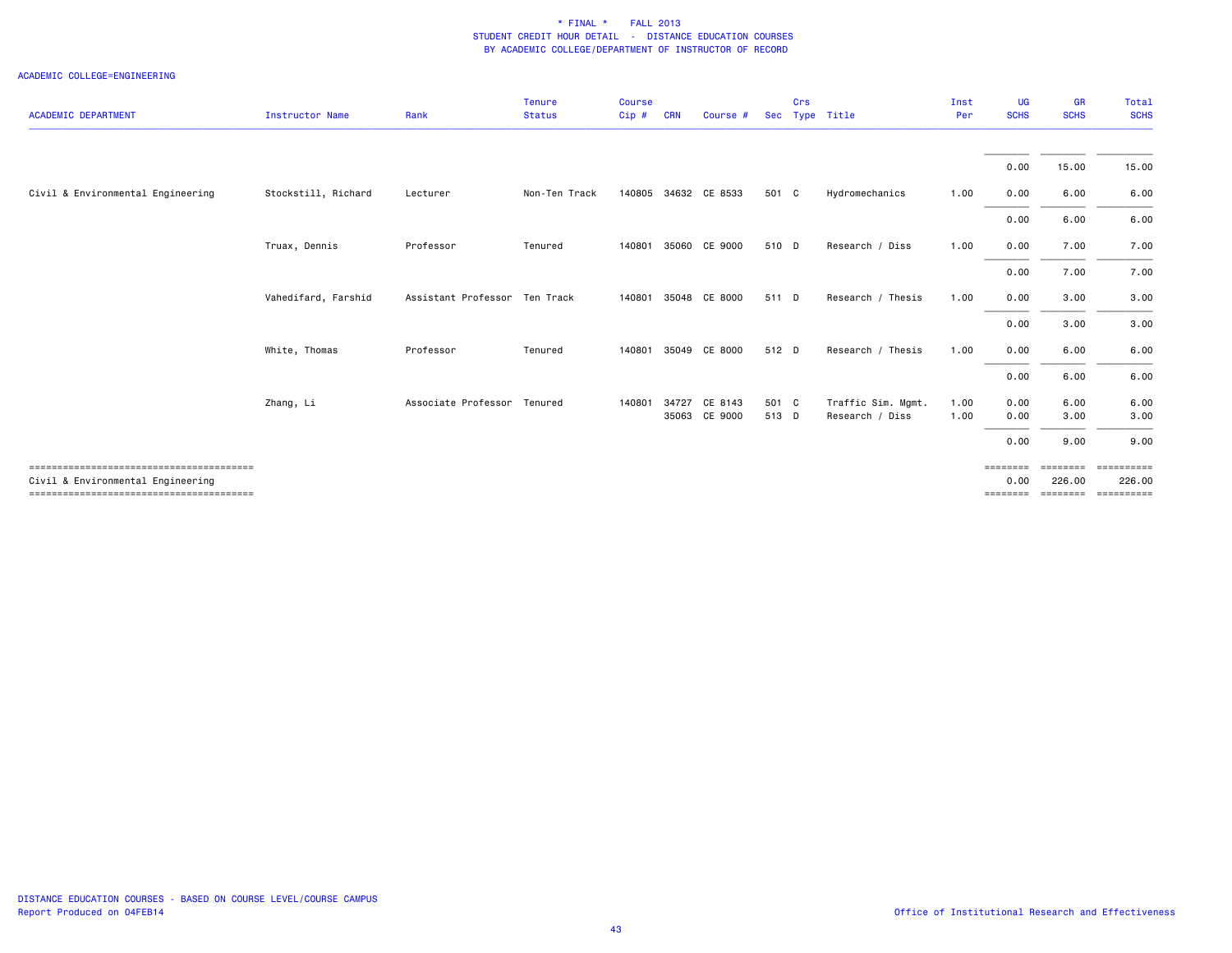| <b>ACADEMIC DEPARTMENT</b>        | <b>Instructor Name</b> | Rank                          | <b>Tenure</b><br><b>Status</b> | Course<br>Cip# | <b>CRN</b>     | Course #           | <b>Sec</b>     | Crs | Type Title                            | Inst<br>Per  | <b>UG</b><br><b>SCHS</b> | <b>GR</b><br><b>SCHS</b> | Total<br><b>SCHS</b>                                   |
|-----------------------------------|------------------------|-------------------------------|--------------------------------|----------------|----------------|--------------------|----------------|-----|---------------------------------------|--------------|--------------------------|--------------------------|--------------------------------------------------------|
|                                   |                        |                               |                                |                |                |                    |                |     |                                       |              |                          |                          |                                                        |
|                                   |                        |                               |                                |                |                |                    |                |     |                                       |              | 0.00                     | 15.00                    | 15.00                                                  |
| Civil & Environmental Engineering | Stockstill, Richard    | Lecturer                      | Non-Ten Track                  | 140805         |                | 34632 CE 8533      | 501 C          |     | Hydromechanics                        | 1.00         | 0.00                     | 6.00                     | 6.00                                                   |
|                                   |                        |                               |                                |                |                |                    |                |     |                                       |              | 0.00                     | 6.00                     | 6.00                                                   |
|                                   | Truax, Dennis          | Professor                     | Tenured                        | 140801         | 35060          | CE 9000            | 510 D          |     | Research / Diss                       | 1.00         | 0.00                     | 7.00                     | 7.00                                                   |
|                                   |                        |                               |                                |                |                |                    |                |     |                                       |              | 0.00                     | 7.00                     | 7.00                                                   |
|                                   | Vahedifard, Farshid    | Assistant Professor Ten Track |                                | 140801         | 35048          | CE 8000            | 511 D          |     | Research / Thesis                     | 1.00         | 0.00                     | 3.00                     | 3.00                                                   |
|                                   |                        |                               |                                |                |                |                    |                |     |                                       |              | 0.00                     | 3.00                     | 3.00                                                   |
|                                   | White, Thomas          | Professor                     | Tenured                        | 140801         |                | 35049 CE 8000      | 512 D          |     | Research / Thesis                     | 1.00         | 0.00                     | 6.00                     | 6.00                                                   |
|                                   |                        |                               |                                |                |                |                    |                |     |                                       |              | 0.00                     | 6.00                     | 6.00                                                   |
|                                   | Zhang, Li              | Associate Professor           | Tenured                        | 140801         | 34727<br>35063 | CE 8143<br>CE 9000 | 501 C<br>513 D |     | Traffic Sim. Mgmt.<br>Research / Diss | 1.00<br>1.00 | 0.00<br>0.00             | 6.00<br>3.00             | 6.00<br>3.00                                           |
|                                   |                        |                               |                                |                |                |                    |                |     |                                       |              | 0.00                     | 9.00                     | 9.00                                                   |
| Civil & Environmental Engineering |                        |                               |                                |                |                |                    |                |     |                                       |              | ========<br>0.00         | ========<br>226.00       | ==========<br>226.00<br>============================== |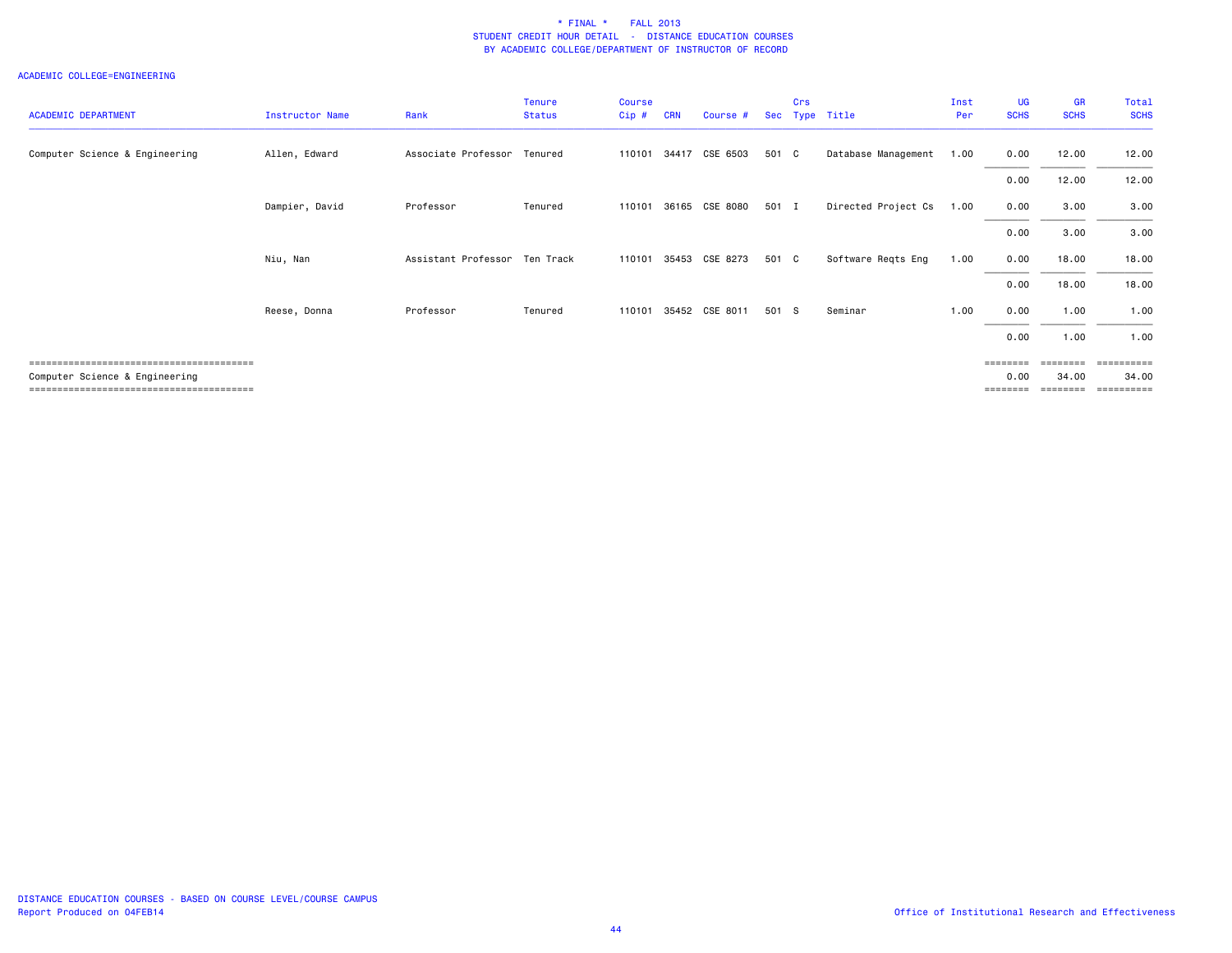| <b>ACADEMIC DEPARTMENT</b>     | Instructor Name | Rank                          | <b>Tenure</b><br><b>Status</b> | <b>Course</b><br>$Cip$ # | <b>CRN</b> | Course #       |       | Crs | Sec Type Title      | Inst<br>Per | <b>UG</b><br><b>SCHS</b> | <b>GR</b><br><b>SCHS</b> | Total<br><b>SCHS</b> |
|--------------------------------|-----------------|-------------------------------|--------------------------------|--------------------------|------------|----------------|-------|-----|---------------------|-------------|--------------------------|--------------------------|----------------------|
| Computer Science & Engineering | Allen, Edward   | Associate Professor           | Tenured                        | 110101                   | 34417      | CSE 6503       | 501 C |     | Database Management | 1.00        | 0.00                     | 12.00                    | 12.00                |
|                                |                 |                               |                                |                          |            |                |       |     |                     |             | 0.00                     | 12.00                    | 12.00                |
|                                | Dampier, David  | Professor                     | Tenured                        | 110101                   |            | 36165 CSE 8080 | 501 I |     | Directed Project Cs | 1.00        | 0.00                     | 3.00                     | 3.00                 |
|                                |                 |                               |                                |                          |            |                |       |     |                     |             | 0.00                     | 3.00                     | 3.00                 |
|                                | Niu, Nan        | Assistant Professor Ten Track |                                | 110101                   | 35453      | CSE 8273       | 501 C |     | Software Reqts Eng  | 1.00        | 0.00                     | 18.00                    | 18.00                |
|                                |                 |                               |                                |                          |            |                |       |     |                     |             | 0.00                     | 18.00                    | 18.00                |
|                                | Reese, Donna    | Professor                     | Tenured                        | 110101                   |            | 35452 CSE 8011 | 501 S |     | Seminar             | 1.00        | 0.00                     | 1.00                     | 1.00                 |
|                                |                 |                               |                                |                          |            |                |       |     |                     |             | 0.00                     | 1.00                     | 1.00                 |
|                                |                 |                               |                                |                          |            |                |       |     |                     |             | ========                 | eeeeeee                  | essessesse           |
| Computer Science & Engineering |                 |                               |                                |                          |            |                |       |     |                     |             | 0.00<br>=======          | 34.00                    | 34.00<br>==========  |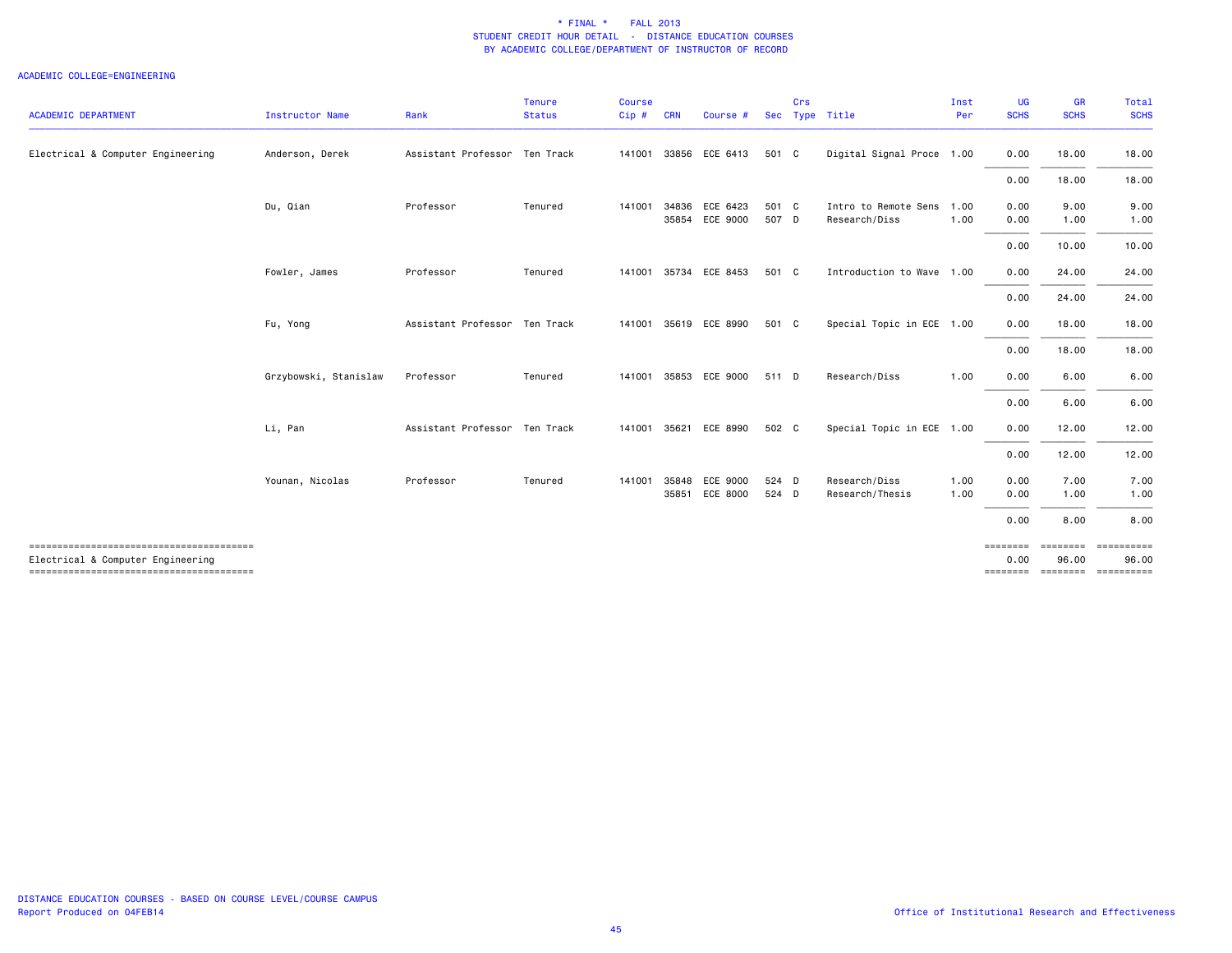| <b>ACADEMIC DEPARTMENT</b>                                                  | <b>Instructor Name</b> | Rank                          | Tenure<br><b>Status</b> | <b>Course</b><br>Cip# | <b>CRN</b>     | Course #                         |                | Crs | Sec Type Title                        | Inst<br>Per  | <b>UG</b><br><b>SCHS</b> | <b>GR</b><br><b>SCHS</b> | Total<br><b>SCHS</b>                                 |
|-----------------------------------------------------------------------------|------------------------|-------------------------------|-------------------------|-----------------------|----------------|----------------------------------|----------------|-----|---------------------------------------|--------------|--------------------------|--------------------------|------------------------------------------------------|
| Electrical & Computer Engineering                                           | Anderson, Derek        | Assistant Professor Ten Track |                         | 141001                |                | 33856 ECE 6413                   | 501 C          |     | Digital Signal Proce 1.00             |              | 0.00                     | 18.00                    | 18.00                                                |
|                                                                             |                        |                               |                         |                       |                |                                  |                |     |                                       |              | 0.00                     | 18.00                    | 18.00                                                |
|                                                                             | Du, Qian               | Professor                     | Tenured                 | 141001                |                | 34836 ECE 6423<br>35854 ECE 9000 | 501 C<br>507 D |     | Intro to Remote Sens<br>Research/Diss | 1.00<br>1.00 | 0.00<br>0.00             | 9.00<br>1.00             | 9.00<br>1.00                                         |
|                                                                             |                        |                               |                         |                       |                |                                  |                |     |                                       |              | 0.00                     | 10.00                    | 10.00                                                |
|                                                                             | Fowler, James          | Professor                     | Tenured                 |                       |                | 141001 35734 ECE 8453            | 501 C          |     | Introduction to Wave 1.00             |              | 0.00                     | 24.00                    | 24.00                                                |
|                                                                             |                        |                               |                         |                       |                |                                  |                |     |                                       |              | 0.00                     | 24.00                    | 24.00                                                |
|                                                                             | Fu, Yong               | Assistant Professor Ten Track |                         |                       |                | 141001 35619 ECE 8990            | 501 C          |     | Special Topic in ECE 1.00             |              | 0.00                     | 18.00                    | 18.00                                                |
|                                                                             |                        |                               |                         |                       |                |                                  |                |     |                                       |              | 0.00                     | 18.00                    | 18.00                                                |
|                                                                             | Grzybowski, Stanislaw  | Professor                     | Tenured                 | 141001                |                | 35853 ECE 9000                   | 511 D          |     | Research/Diss                         | 1.00         | 0.00                     | 6.00                     | 6.00                                                 |
|                                                                             |                        |                               |                         |                       |                |                                  |                |     |                                       |              | 0.00                     | 6.00                     | 6.00                                                 |
|                                                                             | Li, Pan                | Assistant Professor Ten Track |                         | 141001 35621          |                | ECE 8990                         | 502 C          |     | Special Topic in ECE 1.00             |              | 0.00                     | 12.00                    | 12.00                                                |
|                                                                             |                        |                               |                         |                       |                |                                  |                |     |                                       |              | 0.00                     | 12.00                    | 12.00                                                |
|                                                                             | Younan, Nicolas        | Professor                     | Tenured                 | 141001                | 35848<br>35851 | ECE 9000<br>ECE 8000             | 524 D<br>524 D |     | Research/Diss<br>Research/Thesis      | 1.00<br>1.00 | 0.00<br>0.00             | 7.00<br>1.00             | 7.00<br>1.00                                         |
|                                                                             |                        |                               |                         |                       |                |                                  |                |     |                                       |              | 0.00                     | 8.00                     | 8.00                                                 |
| Electrical & Computer Engineering<br>-------------------------------------- |                        |                               |                         |                       |                |                                  |                |     |                                       |              | 0.00                     | <b>EEEEEEE</b><br>96.00  | -----------<br>96.00<br>======== ======== ========== |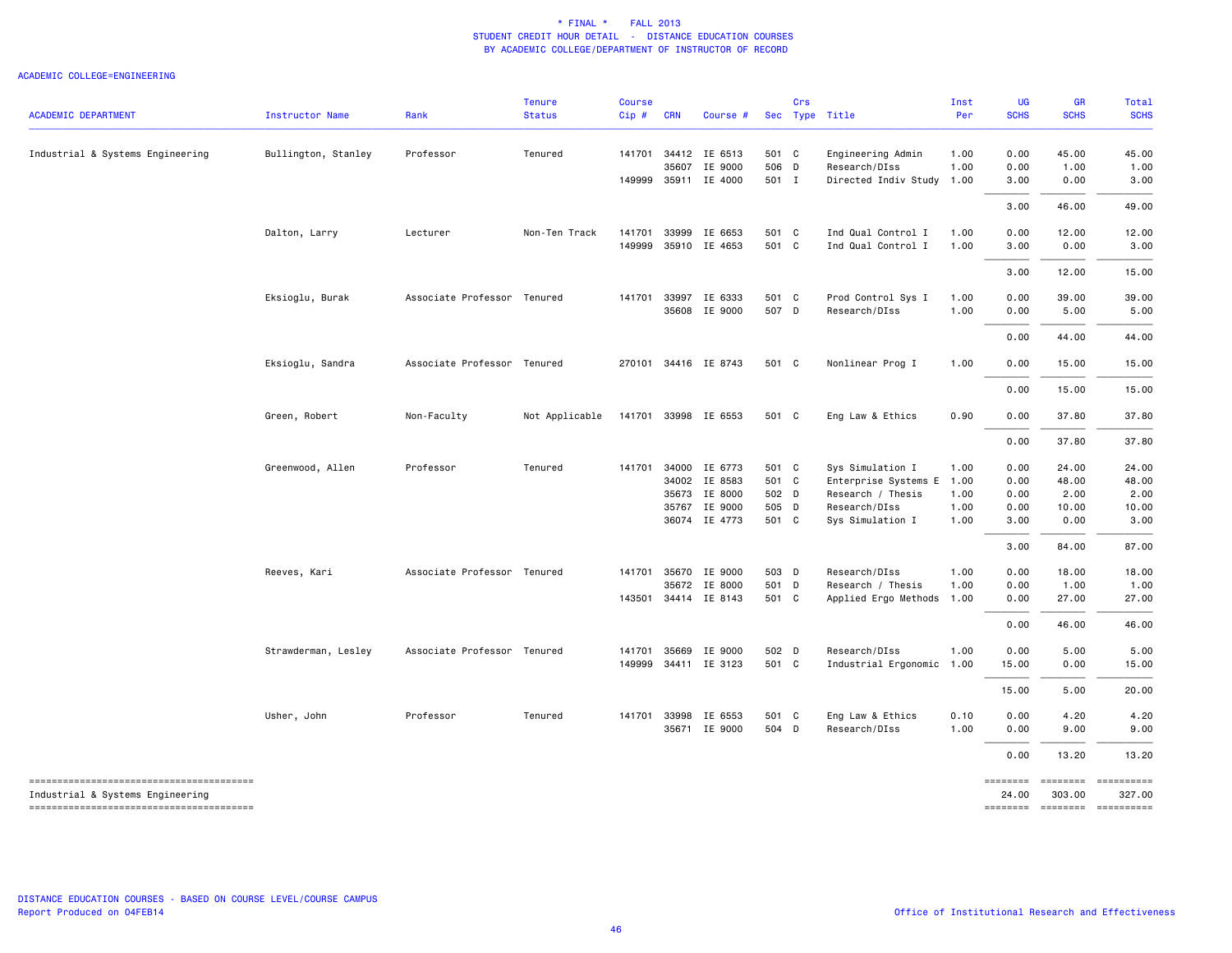| <b>ACADEMIC DEPARTMENT</b>       | Instructor Name     | Rank                        | <b>Tenure</b><br><b>Status</b> | Course<br>Cip#   | <b>CRN</b> | Course #                       |                | Crs          | Sec Type Title                           | Inst<br>Per  | UG<br><b>SCHS</b> | <b>GR</b><br><b>SCHS</b> | Total<br><b>SCHS</b> |
|----------------------------------|---------------------|-----------------------------|--------------------------------|------------------|------------|--------------------------------|----------------|--------------|------------------------------------------|--------------|-------------------|--------------------------|----------------------|
| Industrial & Systems Engineering | Bullington, Stanley | Professor                   | Tenured                        | 141701           |            | 34412 IE 6513<br>35607 IE 9000 | 501 C<br>506 D |              | Engineering Admin<br>Research/DIss       | 1.00<br>1.00 | 0.00<br>0.00      | 45.00<br>1.00            | 45.00<br>1.00        |
|                                  |                     |                             |                                |                  |            | 149999 35911 IE 4000           | 501 I          |              | Directed Indiv Study 1.00                |              | 3.00<br>3.00      | 0.00<br>46.00            | 3.00<br>49.00        |
|                                  |                     |                             |                                |                  |            |                                |                |              |                                          |              |                   |                          |                      |
|                                  | Dalton, Larry       | Lecturer                    | Non-Ten Track                  | 141701<br>149999 |            | 33999 IE 6653<br>35910 IE 4653 | 501 C<br>501 C |              | Ind Qual Control I<br>Ind Qual Control I | 1.00<br>1.00 | 0.00<br>3.00      | 12.00<br>0.00            | 12.00<br>3.00        |
|                                  |                     |                             |                                |                  |            |                                |                |              |                                          |              | 3.00              | 12.00                    | 15.00                |
|                                  | Eksioglu, Burak     | Associate Professor Tenured |                                | 141701           |            | 33997 IE 6333                  | 501 C          |              | Prod Control Sys I                       | 1.00         | 0.00              | 39.00                    | 39.00                |
|                                  |                     |                             |                                |                  |            | 35608 IE 9000                  | 507 D          |              | Research/DIss                            | 1.00         | 0.00              | 5.00                     | 5.00                 |
|                                  |                     |                             |                                |                  |            |                                |                |              |                                          |              | 0.00              | 44.00                    | 44.00                |
|                                  | Eksioglu, Sandra    | Associate Professor Tenured |                                |                  |            | 270101 34416 IE 8743           | 501 C          |              | Nonlinear Prog I                         | 1.00         | 0.00              | 15.00                    | 15.00                |
|                                  |                     |                             |                                |                  |            |                                |                |              |                                          |              | 0.00              | 15.00                    | 15.00                |
|                                  | Green, Robert       | Non-Faculty                 | Not Applicable                 |                  |            | 141701 33998 IE 6553           | 501 C          |              | Eng Law & Ethics                         | 0.90         | 0.00              | 37.80                    | 37.80                |
|                                  |                     |                             |                                |                  |            |                                |                |              |                                          |              | 0.00              | 37.80                    | 37.80                |
|                                  | Greenwood, Allen    | Professor                   | Tenured                        | 141701           |            | 34000 IE 6773                  | 501 C          |              | Sys Simulation I                         | 1.00         | 0.00              | 24.00                    | 24.00                |
|                                  |                     |                             |                                |                  |            | 34002 IE 8583                  | 501 C          |              | Enterprise Systems E 1.00                |              | 0.00              | 48.00                    | 48.00                |
|                                  |                     |                             |                                |                  |            | 35673 IE 8000                  | 502 D          |              | Research / Thesis                        | 1.00         | 0.00              | 2.00                     | 2.00                 |
|                                  |                     |                             |                                |                  |            | 35767 IE 9000                  | 505            | $\mathsf{D}$ | Research/DIss                            | 1.00         | 0.00              | 10.00                    | 10.00                |
|                                  |                     |                             |                                |                  |            | 36074 IE 4773                  | 501 C          |              | Sys Simulation I                         | 1.00         | 3.00              | 0.00                     | 3.00                 |
|                                  |                     |                             |                                |                  |            |                                |                |              |                                          |              | 3.00              | 84.00                    | 87.00                |
|                                  | Reeves, Kari        | Associate Professor Tenured |                                | 141701           |            | 35670 IE 9000                  | 503            | D            | Research/DIss                            | 1.00         | 0.00              | 18.00                    | 18.00                |
|                                  |                     |                             |                                |                  |            | 35672 IE 8000                  | 501 D          |              | Research / Thesis                        | 1.00         | 0.00              | 1.00                     | 1.00                 |
|                                  |                     |                             |                                |                  |            | 143501 34414 IE 8143           | 501 C          |              | Applied Ergo Methods 1.00                |              | 0.00              | 27.00                    | 27.00                |
|                                  |                     |                             |                                |                  |            |                                |                |              |                                          |              | 0.00              | 46.00                    | 46.00                |
|                                  | Strawderman, Lesley | Associate Professor Tenured |                                | 141701           | 35669      | IE 9000                        | 502 D          |              | Research/DIss                            | 1.00         | 0.00              | 5.00                     | 5.00                 |
|                                  |                     |                             |                                | 149999           |            | 34411 IE 3123                  | 501 C          |              | Industrial Ergonomic 1.00                |              | 15.00             | 0.00                     | 15.00                |
|                                  |                     |                             |                                |                  |            |                                |                |              |                                          |              | 15.00             | 5.00                     | 20.00                |
|                                  |                     |                             |                                |                  |            |                                |                |              |                                          |              |                   |                          |                      |
|                                  | Usher, John         | Professor                   | Tenured                        | 141701           |            | 33998 IE 6553                  | 501 C          |              | Eng Law & Ethics                         | 0.10         | 0.00              | 4.20                     | 4.20                 |
|                                  |                     |                             |                                |                  |            | 35671 IE 9000                  | 504 D          |              | Research/DIss                            | 1.00         | 0.00              | 9.00                     | 9.00                 |
|                                  |                     |                             |                                |                  |            |                                |                |              |                                          |              | 0.00              | 13.20                    | 13.20                |
| Industrial & Systems Engineering |                     |                             |                                |                  |            |                                |                |              |                                          |              | ========<br>24.00 | 303.00                   | 327.00               |
|                                  |                     |                             |                                |                  |            |                                |                |              |                                          |              |                   |                          |                      |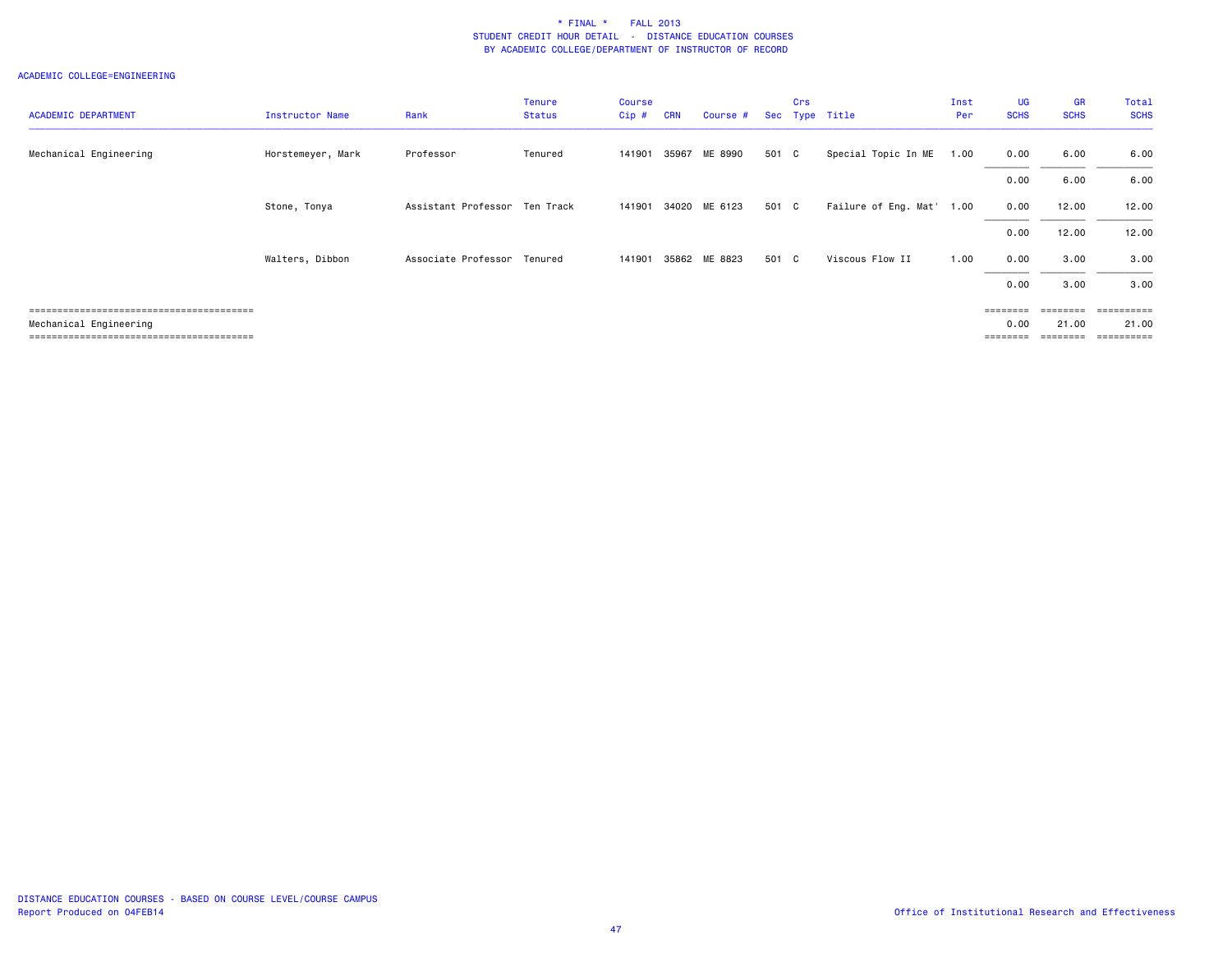| <b>ACADEMIC DEPARTMENT</b> | Instructor Name   | Rank                          | <b>Tenure</b><br><b>Status</b> | <b>Course</b><br>$Cip$ # | <b>CRN</b> | Course #      |       | Crs | Sec Type Title       | Inst<br>Per | UG<br><b>SCHS</b> | <b>GR</b><br><b>SCHS</b> | Total<br><b>SCHS</b> |
|----------------------------|-------------------|-------------------------------|--------------------------------|--------------------------|------------|---------------|-------|-----|----------------------|-------------|-------------------|--------------------------|----------------------|
| Mechanical Engineering     | Horstemeyer, Mark | Professor                     | Tenured                        | 141901                   |            | 35967 ME 8990 | 501 C |     | Special Topic In ME  | 1.00        | 0.00              | 6.00                     | 6.00                 |
|                            |                   |                               |                                |                          |            |               |       |     |                      |             | 0.00              | 6.00                     | 6.00                 |
|                            | Stone, Tonya      | Assistant Professor Ten Track |                                | 141901                   |            | 34020 ME 6123 | 501 C |     | Failure of Eng. Mat' | 1.00        | 0.00              | 12.00                    | 12.00                |
|                            |                   |                               |                                |                          |            |               |       |     |                      |             | 0.00              | 12.00                    | 12.00                |
|                            | Walters, Dibbon   | Associate Professor           | Tenured                        | 141901                   |            | 35862 ME 8823 | 501 C |     | Viscous Flow II      | 1.00        | 0.00              | 3.00                     | 3.00                 |
|                            |                   |                               |                                |                          |            |               |       |     |                      |             | 0.00              | 3.00                     | 3.00                 |
|                            |                   |                               |                                |                          |            |               |       |     |                      |             | $= 222222222$     | <b>EEEEEEE</b>           | essessess            |
| Mechanical Engineering     |                   |                               |                                |                          |            |               |       |     |                      |             | 0.00              | 21.00                    | 21.00                |
|                            |                   |                               |                                |                          |            |               |       |     |                      |             |                   | ========                 | =========            |